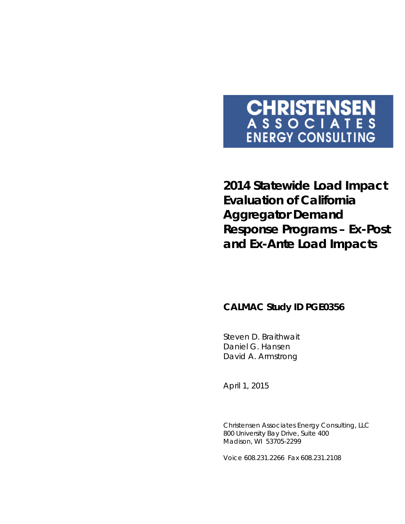# **CHRISTENSEN**<br>ASSOCIATES **ENERGY CONSULTING**

**2014 Statewide Load Impact Evaluation of California Aggregator Demand Response Programs –** *Ex-Post* **and** *Ex-Ante* **Load Impacts**

# **CALMAC Study ID PGE0356**

Steven D. Braithwait Daniel G. Hansen David A. Armstrong

*April 1, 2015*

Christensen Associates Energy Consulting, LLC 800 University Bay Drive, Suite 400 Madison, WI 53705-2299

Voice 608.231.2266 Fax 608.231.2108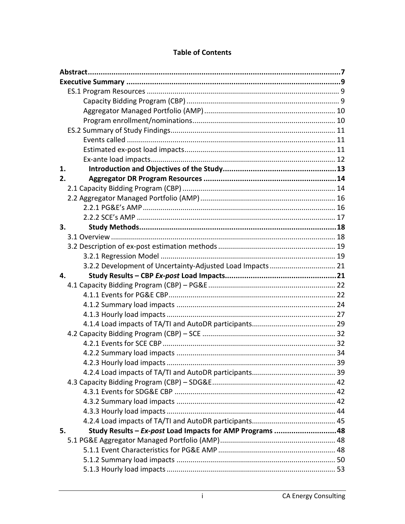| 1. |                                                           |  |
|----|-----------------------------------------------------------|--|
| 2. |                                                           |  |
|    |                                                           |  |
|    |                                                           |  |
|    |                                                           |  |
|    |                                                           |  |
| 3. |                                                           |  |
|    |                                                           |  |
|    |                                                           |  |
|    |                                                           |  |
|    | 3.2.2 Development of Uncertainty-Adjusted Load Impacts 21 |  |
|    |                                                           |  |
| 4. |                                                           |  |
|    |                                                           |  |
|    |                                                           |  |
|    |                                                           |  |
|    |                                                           |  |
|    |                                                           |  |
|    |                                                           |  |
|    |                                                           |  |
|    |                                                           |  |
|    |                                                           |  |
|    |                                                           |  |
|    |                                                           |  |
|    |                                                           |  |
|    |                                                           |  |
|    |                                                           |  |
|    |                                                           |  |
| 5. | Study Results - Ex-post Load Impacts for AMP Programs  48 |  |
|    |                                                           |  |
|    |                                                           |  |
|    |                                                           |  |

## **Table of Contents**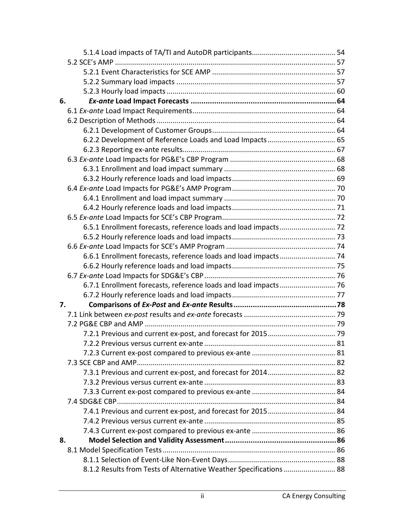| 6. |                                                                     |  |
|----|---------------------------------------------------------------------|--|
|    |                                                                     |  |
|    |                                                                     |  |
|    |                                                                     |  |
|    | 6.2.2 Development of Reference Loads and Load Impacts  65           |  |
|    |                                                                     |  |
|    |                                                                     |  |
|    |                                                                     |  |
|    |                                                                     |  |
|    |                                                                     |  |
|    |                                                                     |  |
|    |                                                                     |  |
|    |                                                                     |  |
|    |                                                                     |  |
|    |                                                                     |  |
|    |                                                                     |  |
|    | 6.6.1 Enrollment forecasts, reference loads and load impacts  74    |  |
|    |                                                                     |  |
|    |                                                                     |  |
|    | 6.7.1 Enrollment forecasts, reference loads and load impacts  76    |  |
|    |                                                                     |  |
| 7. |                                                                     |  |
|    |                                                                     |  |
|    |                                                                     |  |
|    |                                                                     |  |
|    |                                                                     |  |
|    |                                                                     |  |
|    |                                                                     |  |
|    |                                                                     |  |
|    |                                                                     |  |
|    |                                                                     |  |
|    |                                                                     |  |
|    |                                                                     |  |
|    |                                                                     |  |
|    |                                                                     |  |
| 8. |                                                                     |  |
|    |                                                                     |  |
|    |                                                                     |  |
|    | 88.1.2 Results from Tests of Alternative Weather Specifications  88 |  |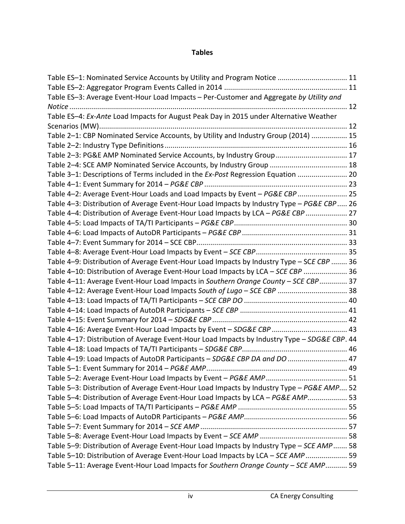## **Tables**

| Table ES-1: Nominated Service Accounts by Utility and Program Notice  11                     |  |
|----------------------------------------------------------------------------------------------|--|
|                                                                                              |  |
| Table ES-3: Average Event-Hour Load Impacts - Per-Customer and Aggregate by Utility and      |  |
|                                                                                              |  |
| Table ES-4: Ex-Ante Load Impacts for August Peak Day in 2015 under Alternative Weather       |  |
|                                                                                              |  |
| Table 2-1: CBP Nominated Service Accounts, by Utility and Industry Group (2014)  15          |  |
|                                                                                              |  |
| Table 2-3: PG&E AMP Nominated Service Accounts, by Industry Group  17                        |  |
| Table 2-4: SCE AMP Nominated Service Accounts, by Industry Group  18                         |  |
| Table 3-1: Descriptions of Terms included in the Ex-Post Regression Equation  20             |  |
|                                                                                              |  |
| Table 4-2: Average Event-Hour Loads and Load Impacts by Event - PG&E CBP  25                 |  |
| Table 4-3: Distribution of Average Event-Hour Load Impacts by Industry Type - PG&E CBP  26   |  |
| Table 4-4: Distribution of Average Event-Hour Load Impacts by LCA - PG&E CBP  27             |  |
|                                                                                              |  |
|                                                                                              |  |
|                                                                                              |  |
|                                                                                              |  |
| Table 4-9: Distribution of Average Event-Hour Load Impacts by Industry Type - SCE CBP  36    |  |
| Table 4-10: Distribution of Average Event-Hour Load Impacts by LCA - SCE CBP  36             |  |
| Table 4-11: Average Event-Hour Load Impacts in Southern Orange County - SCE CBP 37           |  |
| Table 4-12: Average Event-Hour Load Impacts South of Lugo - SCE CBP  38                      |  |
|                                                                                              |  |
|                                                                                              |  |
|                                                                                              |  |
|                                                                                              |  |
| Table 4-17: Distribution of Average Event-Hour Load Impacts by Industry Type - SDG&E CBP. 44 |  |
|                                                                                              |  |
| Table 4-19: Load Impacts of AutoDR Participants - SDG&E CBP DA and DO  47                    |  |
|                                                                                              |  |
|                                                                                              |  |
| Table 5-3: Distribution of Average Event-Hour Load Impacts by Industry Type - PG&E AMP 52    |  |
| Table 5-4: Distribution of Average Event-Hour Load Impacts by LCA - PG&E AMP 53              |  |
|                                                                                              |  |
|                                                                                              |  |
|                                                                                              |  |
|                                                                                              |  |
| Table 5-9: Distribution of Average Event-Hour Load Impacts by Industry Type - SCE AMP 58     |  |
| Table 5-10: Distribution of Average Event-Hour Load Impacts by LCA - SCE AMP 59              |  |
| Table 5-11: Average Event-Hour Load Impacts for Southern Orange County - SCE AMP 59          |  |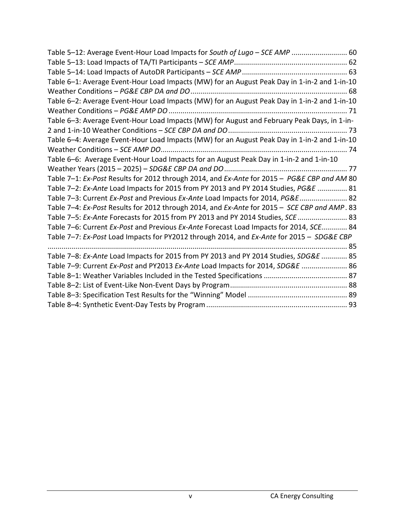| Table 5-12: Average Event-Hour Load Impacts for South of Lugo - SCE AMP  60                  |
|----------------------------------------------------------------------------------------------|
|                                                                                              |
|                                                                                              |
| Table 6-1: Average Event-Hour Load Impacts (MW) for an August Peak Day in 1-in-2 and 1-in-10 |
|                                                                                              |
| Table 6-2: Average Event-Hour Load Impacts (MW) for an August Peak Day in 1-in-2 and 1-in-10 |
|                                                                                              |
| Table 6-3: Average Event-Hour Load Impacts (MW) for August and February Peak Days, in 1-in-  |
|                                                                                              |
| Table 6-4: Average Event-Hour Load Impacts (MW) for an August Peak Day in 1-in-2 and 1-in-10 |
|                                                                                              |
| Table 6-6: Average Event-Hour Load Impacts for an August Peak Day in 1-in-2 and 1-in-10      |
|                                                                                              |
| Table 7-1: Ex-Post Results for 2012 through 2014, and Ex-Ante for 2015 - PG&E CBP and AM 80  |
| Table 7-2: Ex-Ante Load Impacts for 2015 from PY 2013 and PY 2014 Studies, PG&E  81          |
| Table 7-3: Current Ex-Post and Previous Ex-Ante Load Impacts for 2014, PG&E  82              |
| Table 7-4: Ex-Post Results for 2012 through 2014, and Ex-Ante for 2015 - SCE CBP and AMP. 83 |
| Table 7-5: Ex-Ante Forecasts for 2015 from PY 2013 and PY 2014 Studies, SCE  83              |
| Table 7-6: Current Ex-Post and Previous Ex-Ante Forecast Load Impacts for 2014, SCE 84       |
| Table 7-7: Ex-Post Load Impacts for PY2012 through 2014, and Ex-Ante for 2015 - SDG&E CBP    |
|                                                                                              |
| Table 7-8: Ex-Ante Load Impacts for 2015 from PY 2013 and PY 2014 Studies, SDG&E  85         |
| Table 7-9: Current Ex-Post and PY2013 Ex-Ante Load Impacts for 2014, SDG&E  86               |
|                                                                                              |
|                                                                                              |
|                                                                                              |
|                                                                                              |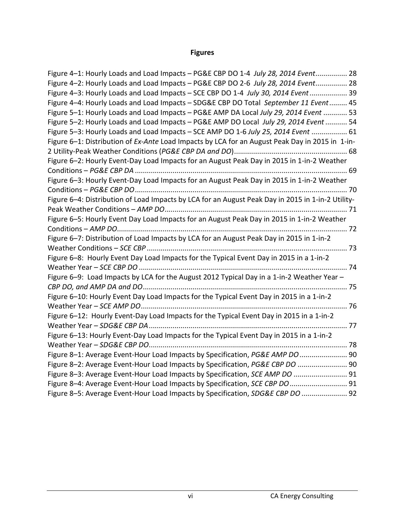# **Figures**

| Figure 4-1: Hourly Loads and Load Impacts - PG&E CBP DO 1-4 July 28, 2014 Event 28                |
|---------------------------------------------------------------------------------------------------|
| Figure 4-2: Hourly Loads and Load Impacts - PG&E CBP DO 2-6 July 28, 2014 Event 28                |
| Figure 4-3: Hourly Loads and Load Impacts - SCE CBP DO 1-4 July 30, 2014 Event 39                 |
| Figure 4-4: Hourly Loads and Load Impacts - SDG&E CBP DO Total September 11 Event 45              |
| Figure 5-1: Hourly Loads and Load Impacts - PG&E AMP DA Local July 29, 2014 Event  53             |
| Figure 5-2: Hourly Loads and Load Impacts - PG&E AMP DO Local July 29, 2014 Event  54             |
| Figure 5-3: Hourly Loads and Load Impacts - SCE AMP DO 1-6 July 25, 2014 Event  61                |
| Figure 6-1: Distribution of Ex-Ante Load Impacts by LCA for an August Peak Day in 2015 in 1-in-   |
|                                                                                                   |
| Figure 6-2: Hourly Event-Day Load Impacts for an August Peak Day in 2015 in 1-in-2 Weather        |
|                                                                                                   |
| Figure 6-3: Hourly Event-Day Load Impacts for an August Peak Day in 2015 in 1-in-2 Weather        |
|                                                                                                   |
| Figure 6-4: Distribution of Load Impacts by LCA for an August Peak Day in 2015 in 1-in-2 Utility- |
|                                                                                                   |
| Figure 6-5: Hourly Event Day Load Impacts for an August Peak Day in 2015 in 1-in-2 Weather        |
|                                                                                                   |
| Figure 6-7: Distribution of Load Impacts by LCA for an August Peak Day in 2015 in 1-in-2          |
|                                                                                                   |
| Figure 6-8: Hourly Event Day Load Impacts for the Typical Event Day in 2015 in a 1-in-2           |
|                                                                                                   |
| Figure 6-9: Load Impacts by LCA for the August 2012 Typical Day in a 1-in-2 Weather Year -        |
|                                                                                                   |
| Figure 6-10: Hourly Event Day Load Impacts for the Typical Event Day in 2015 in a 1-in-2          |
|                                                                                                   |
| Figure 6-12: Hourly Event-Day Load Impacts for the Typical Event Day in 2015 in a 1-in-2          |
|                                                                                                   |
| Figure 6-13: Hourly Event-Day Load Impacts for the Typical Event Day in 2015 in a 1-in-2          |
|                                                                                                   |
| Figure 8-1: Average Event-Hour Load Impacts by Specification, PG&E AMP DO  90                     |
| Figure 8-2: Average Event-Hour Load Impacts by Specification, PG&E CBP DO  90                     |
| Figure 8-3: Average Event-Hour Load Impacts by Specification, SCE AMP DO  91                      |
| Figure 8-4: Average Event-Hour Load Impacts by Specification, SCE CBP DO  91                      |
| Figure 8-5: Average Event-Hour Load Impacts by Specification, SDG&E CBP DO  92                    |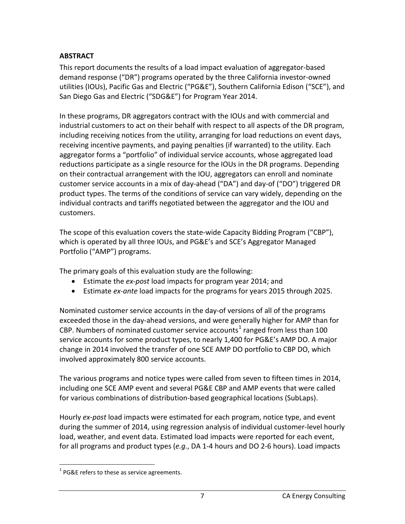## <span id="page-7-0"></span>**ABSTRACT**

This report documents the results of a load impact evaluation of aggregator-based demand response ("DR") programs operated by the three California investor-owned utilities (IOUs), Pacific Gas and Electric ("PG&E"), Southern California Edison ("SCE"), and San Diego Gas and Electric ("SDG&E") for Program Year 2014.

In these programs, DR aggregators contract with the IOUs and with commercial and industrial customers to act on their behalf with respect to all aspects of the DR program, including receiving notices from the utility, arranging for load reductions on event days, receiving incentive payments, and paying penalties (if warranted) to the utility. Each aggregator forms a "portfolio" of individual service accounts, whose aggregated load reductions participate as a single resource for the IOUs in the DR programs. Depending on their contractual arrangement with the IOU, aggregators can enroll and nominate customer service accounts in a mix of day-ahead ("DA") and day-of ("DO") triggered DR product types. The terms of the conditions of service can vary widely, depending on the individual contracts and tariffs negotiated between the aggregator and the IOU and customers.

The scope of this evaluation covers the state-wide Capacity Bidding Program ("CBP"), which is operated by all three IOUs, and PG&E's and SCE's Aggregator Managed Portfolio ("AMP") programs.

The primary goals of this evaluation study are the following:

- Estimate the *ex-post* load impacts for program year 2014; and
- Estimate *ex-ante* load impacts for the programs for years 2015 through 2025.

Nominated customer service accounts in the day-of versions of all of the programs exceeded those in the day-ahead versions, and were generally higher for AMP than for CBP. Numbers of nominated customer service accounts<sup>[1](#page-7-1)</sup> ranged from less than 100 service accounts for some product types, to nearly 1,400 for PG&E's AMP DO. A major change in 2014 involved the transfer of one SCE AMP DO portfolio to CBP DO, which involved approximately 800 service accounts.

The various programs and notice types were called from seven to fifteen times in 2014, including one SCE AMP event and several PG&E CBP and AMP events that were called for various combinations of distribution-based geographical locations (SubLaps).

Hourly *ex-post* load impacts were estimated for each program, notice type, and event during the summer of 2014, using regression analysis of individual customer-level hourly load, weather, and event data. Estimated load impacts were reported for each event, for all programs and product types (*e.g.*, DA 1-4 hours and DO 2-6 hours). Load impacts

<span id="page-7-1"></span> $1$  PG&E refers to these as service agreements.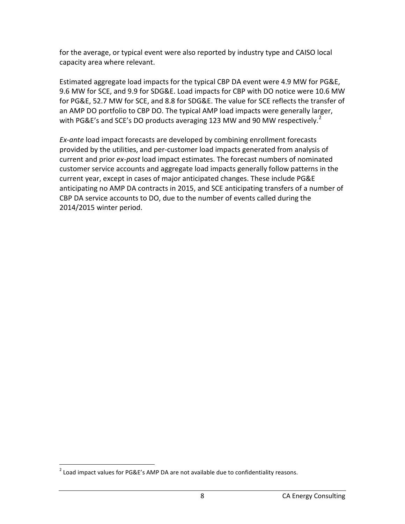for the average, or typical event were also reported by industry type and CAISO local capacity area where relevant.

Estimated aggregate load impacts for the typical CBP DA event were 4.9 MW for PG&E, 9.6 MW for SCE, and 9.9 for SDG&E. Load impacts for CBP with DO notice were 10.6 MW for PG&E, 52.7 MW for SCE, and 8.8 for SDG&E. The value for SCE reflects the transfer of an AMP DO portfolio to CBP DO. The typical AMP load impacts were generally larger, with PG&E's and SCE's DO products averaging 1[2](#page-8-0)3 MW and 90 MW respectively.<sup>2</sup>

*Ex-ante* load impact forecasts are developed by combining enrollment forecasts provided by the utilities, and per-customer load impacts generated from analysis of current and prior *ex-post* load impact estimates. The forecast numbers of nominated customer service accounts and aggregate load impacts generally follow patterns in the current year, except in cases of major anticipated changes. These include PG&E anticipating no AMP DA contracts in 2015, and SCE anticipating transfers of a number of CBP DA service accounts to DO, due to the number of events called during the 2014/2015 winter period.

<span id="page-8-0"></span> $2$  Load impact values for PG&E's AMP DA are not available due to confidentiality reasons.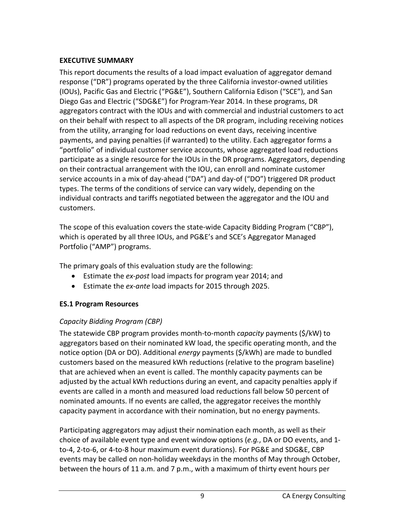## <span id="page-9-0"></span>**EXECUTIVE SUMMARY**

This report documents the results of a load impact evaluation of aggregator demand response ("DR") programs operated by the three California investor-owned utilities (IOUs), Pacific Gas and Electric ("PG&E"), Southern California Edison ("SCE"), and San Diego Gas and Electric ("SDG&E") for Program-Year 2014. In these programs, DR aggregators contract with the IOUs and with commercial and industrial customers to act on their behalf with respect to all aspects of the DR program, including receiving notices from the utility, arranging for load reductions on event days, receiving incentive payments, and paying penalties (if warranted) to the utility. Each aggregator forms a "portfolio" of individual customer service accounts, whose aggregated load reductions participate as a single resource for the IOUs in the DR programs. Aggregators, depending on their contractual arrangement with the IOU, can enroll and nominate customer service accounts in a mix of day-ahead ("DA") and day-of ("DO") triggered DR product types. The terms of the conditions of service can vary widely, depending on the individual contracts and tariffs negotiated between the aggregator and the IOU and customers.

The scope of this evaluation covers the state-wide Capacity Bidding Program ("CBP"), which is operated by all three IOUs, and PG&E's and SCE's Aggregator Managed Portfolio ("AMP") programs.

The primary goals of this evaluation study are the following:

- Estimate the *ex-post* load impacts for program year 2014; and
- Estimate the *ex-ante* load impacts for 2015 through 2025.

# <span id="page-9-1"></span>**ES.1 Program Resources**

# <span id="page-9-2"></span>*Capacity Bidding Program (CBP)*

The statewide CBP program provides month-to-month *capacity* payments (\$/kW) to aggregators based on their nominated kW load, the specific operating month, and the notice option (DA or DO). Additional *energy* payments (\$/kWh) are made to bundled customers based on the measured kWh reductions (relative to the program baseline) that are achieved when an event is called. The monthly capacity payments can be adjusted by the actual kWh reductions during an event, and capacity penalties apply if events are called in a month and measured load reductions fall below 50 percent of nominated amounts. If no events are called, the aggregator receives the monthly capacity payment in accordance with their nomination, but no energy payments.

Participating aggregators may adjust their nomination each month, as well as their choice of available event type and event window options (*e.g.*, DA or DO events, and 1 to-4, 2-to-6, or 4-to-8 hour maximum event durations). For PG&E and SDG&E, CBP events may be called on non-holiday weekdays in the months of May through October, between the hours of 11 a.m. and 7 p.m., with a maximum of thirty event hours per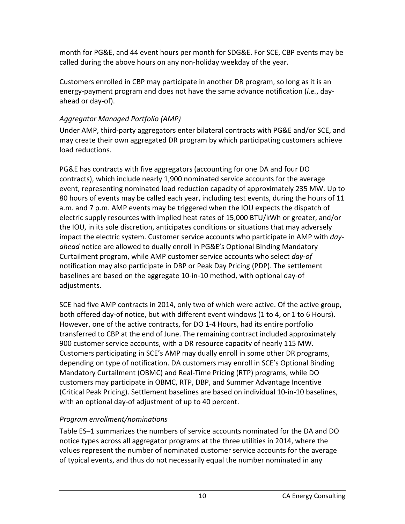month for PG&E, and 44 event hours per month for SDG&E. For SCE, CBP events may be called during the above hours on any non-holiday weekday of the year.

Customers enrolled in CBP may participate in another DR program, so long as it is an energy-payment program and does not have the same advance notification (*i.e.*, dayahead or day-of).

## <span id="page-10-0"></span>*Aggregator Managed Portfolio (AMP)*

Under AMP, third-party aggregators enter bilateral contracts with PG&E and/or SCE, and may create their own aggregated DR program by which participating customers achieve load reductions.

PG&E has contracts with five aggregators (accounting for one DA and four DO contracts), which include nearly 1,900 nominated service accounts for the average event, representing nominated load reduction capacity of approximately 235 MW. Up to 80 hours of events may be called each year, including test events, during the hours of 11 a.m. and 7 p.m. AMP events may be triggered when the IOU expects the dispatch of electric supply resources with implied heat rates of 15,000 BTU/kWh or greater, and/or the IOU, in its sole discretion, anticipates conditions or situations that may adversely impact the electric system. Customer service accounts who participate in AMP with *dayahead* notice are allowed to dually enroll in PG&E's Optional Binding Mandatory Curtailment program, while AMP customer service accounts who select *day-of* notification may also participate in DBP or Peak Day Pricing (PDP). The settlement baselines are based on the aggregate 10-in-10 method, with optional day-of adjustments.

SCE had five AMP contracts in 2014, only two of which were active. Of the active group, both offered day-of notice, but with different event windows (1 to 4, or 1 to 6 Hours). However, one of the active contracts, for DO 1-4 Hours, had its entire portfolio transferred to CBP at the end of June. The remaining contract included approximately 900 customer service accounts, with a DR resource capacity of nearly 115 MW. Customers participating in SCE's AMP may dually enroll in some other DR programs, depending on type of notification. DA customers may enroll in SCE's Optional Binding Mandatory Curtailment (OBMC) and Real-Time Pricing (RTP) programs, while DO customers may participate in OBMC, RTP, DBP, and Summer Advantage Incentive (Critical Peak Pricing). Settlement baselines are based on individual 10-in-10 baselines, with an optional day-of adjustment of up to 40 percent.

## <span id="page-10-1"></span>*Program enrollment/nominations*

Table ES–1 summarizes the numbers of service accounts nominated for the DA and DO notice types across all aggregator programs at the three utilities in 2014, where the values represent the number of nominated customer service accounts for the average of typical events, and thus do not necessarily equal the number nominated in any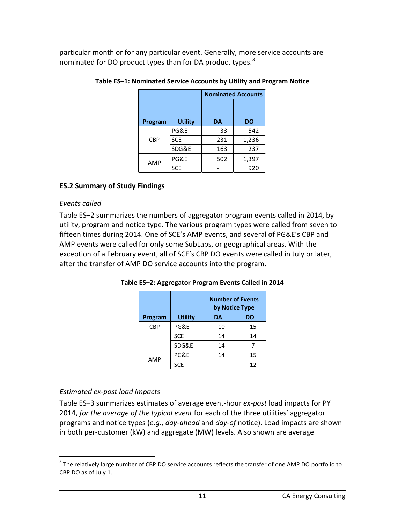<span id="page-11-3"></span>particular month or for any particular event. Generally, more service accounts are nominated for DO product types than for DA product types.<sup>[3](#page-11-5)</sup>

|            |                |           | <b>Nominated Accounts</b> |
|------------|----------------|-----------|---------------------------|
|            |                |           |                           |
| Program    | <b>Utility</b> | <b>DA</b> | <b>DO</b>                 |
|            | PG&E           | 33        | 542                       |
| <b>CBP</b> | <b>SCE</b>     | 231       | 1,236                     |
|            | SDG&E          | 163       | 237                       |
| AMP        | PG&E           | 502       | 1,397                     |
|            | <b>SCE</b>     |           | 920                       |

**Table ES–1: Nominated Service Accounts by Utility and Program Notice**

#### <span id="page-11-0"></span>**ES.2 Summary of Study Findings**

#### <span id="page-11-1"></span>*Events called*

Table ES–2 summarizes the numbers of aggregator program events called in 2014, by utility, program and notice type. The various program types were called from seven to fifteen times during 2014. One of SCE's AMP events, and several of PG&E's CBP and AMP events were called for only some SubLaps, or geographical areas. With the exception of a February event, all of SCE's CBP DO events were called in July or later, after the transfer of AMP DO service accounts into the program.

|            |                | <b>Number of Events</b><br>by Notice Type |    |  |
|------------|----------------|-------------------------------------------|----|--|
| Program    | <b>Utility</b> | DA                                        | DO |  |
| <b>CBP</b> | PG&E           | 10                                        | 15 |  |
|            | <b>SCE</b>     | 14                                        | 14 |  |
|            | SDG&E          | 14                                        |    |  |
| AMP        | PG&E           | 14                                        | 15 |  |
|            | <b>SCE</b>     |                                           | 12 |  |

<span id="page-11-4"></span>**Table ES–2: Aggregator Program Events Called in 2014**

#### <span id="page-11-2"></span>*Estimated ex-post load impacts*

Table ES–3 summarizes estimates of average event-hour *ex-post* load impacts for PY 2014, *for the average of the typical event* for each of the three utilities' aggregator programs and notice types (*e.g.*, *day-ahead* and *day-of* notice). Load impacts are shown in both per-customer (kW) and aggregate (MW) levels. Also shown are average

<span id="page-11-5"></span><sup>&</sup>lt;sup>3</sup> The relatively large number of CBP DO service accounts reflects the transfer of one AMP DO portfolio to CBP DO as of July 1.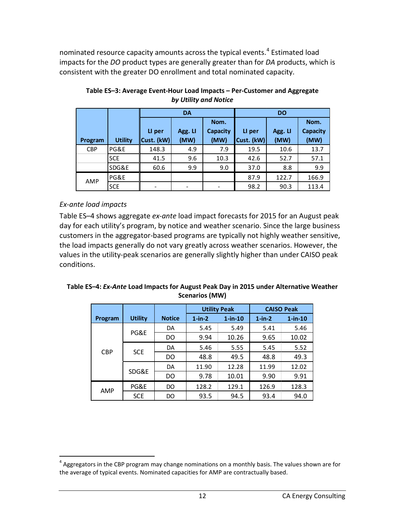nominated resource capacity amounts across the typical events. [4](#page-12-3) Estimated load impacts for the *DO* product types are generally greater than for *DA* products, which is consistent with the greater DO enrollment and total nominated capacity.

|            |                | <b>DA</b>  |         |          | <b>DO</b>  |         |          |
|------------|----------------|------------|---------|----------|------------|---------|----------|
|            |                |            |         | Nom.     |            |         | Nom.     |
|            |                | LI per     | Agg. LI | Capacity | LI per     | Agg. LI | Capacity |
| Program    | <b>Utility</b> | Cust. (kW) | (MW)    | (MW)     | Cust. (kW) | (MW)    | (MW)     |
| <b>CBP</b> | PG&E           | 148.3      | 4.9     | 7.9      | 19.5       | 10.6    | 13.7     |
|            | <b>SCE</b>     | 41.5       | 9.6     | 10.3     | 42.6       | 52.7    | 57.1     |
|            | SDG&E          | 60.6       | 9.9     | 9.0      | 37.0       | 8.8     | 9.9      |
| AMP        | PG&E           |            |         |          | 87.9       | 122.7   | 166.9    |
|            | <b>SCE</b>     |            |         |          | 98.2       | 90.3    | 113.4    |

<span id="page-12-1"></span>**Table ES–3: Average Event-Hour Load Impacts – Per-Customer and Aggregate** *by Utility and Notice*

#### <span id="page-12-0"></span>*Ex-ante load impacts*

Table ES–4 shows aggregate *ex-ante* load impact forecasts for 2015 for an August peak day for each utility's program, by notice and weather scenario. Since the large business customers in the aggregator-based programs are typically not highly weather sensitive, the load impacts generally do not vary greatly across weather scenarios. However, the values in the utility-peak scenarios are generally slightly higher than under CAISO peak conditions.

<span id="page-12-2"></span>**Table ES–4:** *Ex-Ante* **Load Impacts for August Peak Day in 2015 under Alternative Weather Scenarios (MW)**

|            |                |               | <b>Utility Peak</b> |               |              | <b>CAISO Peak</b> |
|------------|----------------|---------------|---------------------|---------------|--------------|-------------------|
| Program    | <b>Utility</b> | <b>Notice</b> | $1$ -in- $2$        | $1$ -in- $10$ | $1$ -in- $2$ | $1$ -in-10        |
|            |                | DA            | 5.45                | 5.49          | 5.41         | 5.46              |
|            | PG&E           | DO            | 9.94                | 10.26         | 9.65         | 10.02             |
|            | <b>SCE</b>     | DA            | 5.46                | 5.55          | 5.45         | 5.52              |
| <b>CBP</b> |                | DO            | 48.8                | 49.5          | 48.8         | 49.3              |
|            | SDG&E          | DA            | 11.90               | 12.28         | 11.99        | 12.02             |
|            |                | DO            | 9.78                | 10.01         | 9.90         | 9.91              |
| AMP        | PG&E           | DO            | 128.2               | 129.1         | 126.9        | 128.3             |
|            | <b>SCE</b>     | DO            | 93.5                | 94.5          | 93.4         | 94.0              |

<span id="page-12-3"></span> $4$  Aggregators in the CBP program may change nominations on a monthly basis. The values shown are for the average of typical events. Nominated capacities for AMP are contractually based.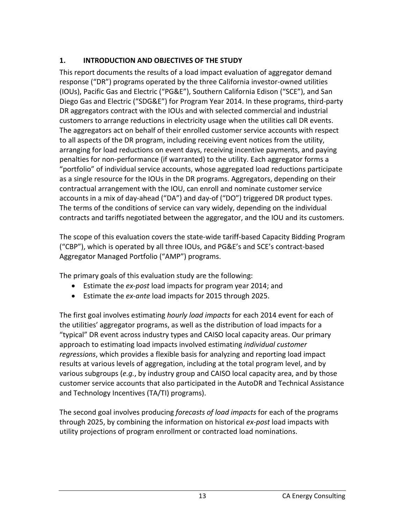# <span id="page-13-0"></span>**1. INTRODUCTION AND OBJECTIVES OF THE STUDY**

This report documents the results of a load impact evaluation of aggregator demand response ("DR") programs operated by the three California investor-owned utilities (IOUs), Pacific Gas and Electric ("PG&E"), Southern California Edison ("SCE"), and San Diego Gas and Electric ("SDG&E") for Program Year 2014. In these programs, third-party DR aggregators contract with the IOUs and with selected commercial and industrial customers to arrange reductions in electricity usage when the utilities call DR events. The aggregators act on behalf of their enrolled customer service accounts with respect to all aspects of the DR program, including receiving event notices from the utility, arranging for load reductions on event days, receiving incentive payments, and paying penalties for non-performance (if warranted) to the utility. Each aggregator forms a "portfolio" of individual service accounts, whose aggregated load reductions participate as a single resource for the IOUs in the DR programs. Aggregators, depending on their contractual arrangement with the IOU, can enroll and nominate customer service accounts in a mix of day-ahead ("DA") and day-of ("DO") triggered DR product types. The terms of the conditions of service can vary widely, depending on the individual contracts and tariffs negotiated between the aggregator, and the IOU and its customers.

The scope of this evaluation covers the state-wide tariff-based Capacity Bidding Program ("CBP"), which is operated by all three IOUs, and PG&E's and SCE's contract-based Aggregator Managed Portfolio ("AMP") programs.

The primary goals of this evaluation study are the following:

- Estimate the *ex-post* load impacts for program year 2014; and
- Estimate the *ex-ante* load impacts for 2015 through 2025.

The first goal involves estimating *hourly load impacts* for each 2014 event for each of the utilities' aggregator programs, as well as the distribution of load impacts for a "typical" DR event across industry types and CAISO local capacity areas. Our primary approach to estimating load impacts involved estimating *individual customer regressions*, which provides a flexible basis for analyzing and reporting load impact results at various levels of aggregation, including at the total program level, and by various subgroups (*e.g.*, by industry group and CAISO local capacity area, and by those customer service accounts that also participated in the AutoDR and Technical Assistance and Technology Incentives (TA/TI) programs).

The second goal involves producing *forecasts of load impacts* for each of the programs through 2025, by combining the information on historical *ex-post* load impacts with utility projections of program enrollment or contracted load nominations.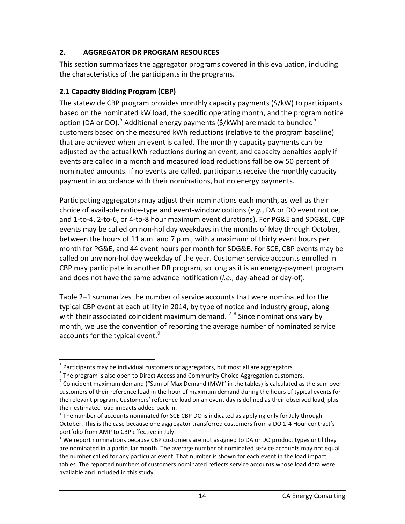## <span id="page-14-0"></span>**2. AGGREGATOR DR PROGRAM RESOURCES**

This section summarizes the aggregator programs covered in this evaluation, including the characteristics of the participants in the programs.

## <span id="page-14-1"></span>**2.1 Capacity Bidding Program (CBP)**

The statewide CBP program provides monthly capacity payments (\$/kW) to participants based on the nominated kW load, the specific operating month, and the program notice option (DA or DO).<sup>[5](#page-14-2)</sup> Additional energy payments (\$/kWh) are made to bundled<sup>[6](#page-14-3)</sup> customers based on the measured kWh reductions (relative to the program baseline) that are achieved when an event is called. The monthly capacity payments can be adjusted by the actual kWh reductions during an event, and capacity penalties apply if events are called in a month and measured load reductions fall below 50 percent of nominated amounts. If no events are called, participants receive the monthly capacity payment in accordance with their nominations, but no energy payments.

Participating aggregators may adjust their nominations each month, as well as their choice of available notice-type and event-window options (*e.g.*, DA or DO event notice, and 1-to-4, 2-to-6, or 4-to-8 hour maximum event durations). For PG&E and SDG&E, CBP events may be called on non-holiday weekdays in the months of May through October, between the hours of 11 a.m. and 7 p.m., with a maximum of thirty event hours per month for PG&E, and 44 event hours per month for SDG&E. For SCE, CBP events may be called on any non-holiday weekday of the year. Customer service accounts enrolled in CBP may participate in another DR program, so long as it is an energy-payment program and does not have the same advance notification (*i.e.*, day-ahead or day-of).

Table 2–1 summarizes the number of service accounts that were nominated for the typical CBP event at each utility in 2014, by type of notice and industry group, along with their associated coincident maximum demand.<sup>[7](#page-14-4)[8](#page-14-5)</sup> Since nominations vary by month, we use the convention of reporting the average number of nominated service accounts for the typical event.<sup>[9](#page-14-6)</sup>

<span id="page-14-2"></span> $<sup>5</sup>$  Participants may be individual customers or aggregators, but most all are aggregators.<br> $<sup>6</sup>$  The program is also open to Direct Access and Community Choice Aggregation customers.</sup></sup>

<span id="page-14-3"></span>

<span id="page-14-4"></span> $<sup>7</sup>$  Coincident maximum demand ("Sum of Max Demand (MW)" in the tables) is calculated as the sum over</sup> customers of their reference load in the hour of maximum demand during the hours of typical events for the relevant program. Customers' reference load on an event day is defined as their observed load, plus their estimated load impacts added back in.

<span id="page-14-5"></span><sup>&</sup>lt;sup>8</sup> The number of accounts nominated for SCE CBP DO is indicated as applying only for July through October. This is the case because one aggregator transferred customers from a DO 1-4 Hour contract's portfolio from AMP to CBP effective in July.

<span id="page-14-6"></span> $9$  We report nominations because CBP customers are not assigned to DA or DO product types until they are nominated in a particular month. The average number of nominated service accounts may not equal the number called for any particular event. That number is shown for each event in the load impact tables. The reported numbers of customers nominated reflects service accounts whose load data were available and included in this study.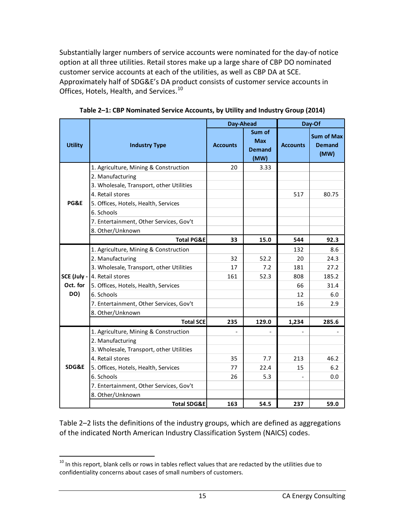Substantially larger numbers of service accounts were nominated for the day-of notice option at all three utilities. Retail stores make up a large share of CBP DO nominated customer service accounts at each of the utilities, as well as CBP DA at SCE. Approximately half of SDG&E's DA product consists of customer service accounts in Offices, Hotels, Health, and Services.<sup>[10](#page-15-1)</sup>

<span id="page-15-0"></span>

|                 |                                          | Day-Ahead       |                                               | Day-Of          |                                            |
|-----------------|------------------------------------------|-----------------|-----------------------------------------------|-----------------|--------------------------------------------|
| <b>Utility</b>  | <b>Industry Type</b>                     | <b>Accounts</b> | Sum of<br><b>Max</b><br><b>Demand</b><br>(MW) | <b>Accounts</b> | <b>Sum of Max</b><br><b>Demand</b><br>(MW) |
|                 | 1. Agriculture, Mining & Construction    | 20              | 3.33                                          |                 |                                            |
|                 | 2. Manufacturing                         |                 |                                               |                 |                                            |
|                 | 3. Wholesale, Transport, other Utilities |                 |                                               |                 |                                            |
|                 | 4. Retail stores                         |                 |                                               | 517             | 80.75                                      |
| <b>PG&amp;E</b> | 5. Offices, Hotels, Health, Services     |                 |                                               |                 |                                            |
|                 | 6. Schools                               |                 |                                               |                 |                                            |
|                 | 7. Entertainment, Other Services, Gov't  |                 |                                               |                 |                                            |
|                 | 8. Other/Unknown                         |                 |                                               |                 |                                            |
|                 | <b>Total PG&amp;E</b>                    | 33              | 15.0                                          | 544             | 92.3                                       |
|                 | 1. Agriculture, Mining & Construction    |                 |                                               | 132             | 8.6                                        |
|                 | 2. Manufacturing                         | 32              | 52.2                                          | 20              | 24.3                                       |
|                 | 3. Wholesale, Transport, other Utilities | 17              | 7.2                                           | 181             | 27.2                                       |
|                 | <b>SCE (July - 4. Retail stores</b>      | 161             | 52.3                                          | 808             | 185.2                                      |
| Oct. for        | 5. Offices, Hotels, Health, Services     |                 |                                               | 66              | 31.4                                       |
| DO)             | 6. Schools                               |                 |                                               | 12              | 6.0                                        |
|                 | 7. Entertainment, Other Services, Gov't  |                 |                                               | 16              | 2.9                                        |
|                 | 8. Other/Unknown                         |                 |                                               |                 |                                            |
|                 | <b>Total SCE</b>                         | 235             | 129.0                                         | 1,234           | 285.6                                      |
|                 | 1. Agriculture, Mining & Construction    |                 |                                               |                 |                                            |
|                 | 2. Manufacturing                         |                 |                                               |                 |                                            |
|                 | 3. Wholesale, Transport, other Utilities |                 |                                               |                 |                                            |
|                 | 4. Retail stores                         | 35              | 7.7                                           | 213             | 46.2                                       |
| SDG&E           | 5. Offices, Hotels, Health, Services     | 77              | 22.4                                          | 15              | 6.2                                        |
|                 | 6. Schools                               | 26              | 5.3                                           |                 | 0.0                                        |
|                 | 7. Entertainment, Other Services, Gov't  |                 |                                               |                 |                                            |
|                 | 8. Other/Unknown                         |                 |                                               |                 |                                            |
|                 | <b>Total SDG&amp;E</b>                   | 163             | 54.5                                          | 237             | 59.0                                       |

**Table 2–1: CBP Nominated Service Accounts, by Utility and Industry Group (2014)**

Table 2–2 lists the definitions of the industry groups, which are defined as aggregations of the indicated North American Industry Classification System (NAICS) codes.

<span id="page-15-1"></span> $10$  In this report, blank cells or rows in tables reflect values that are redacted by the utilities due to confidentiality concerns about cases of small numbers of customers.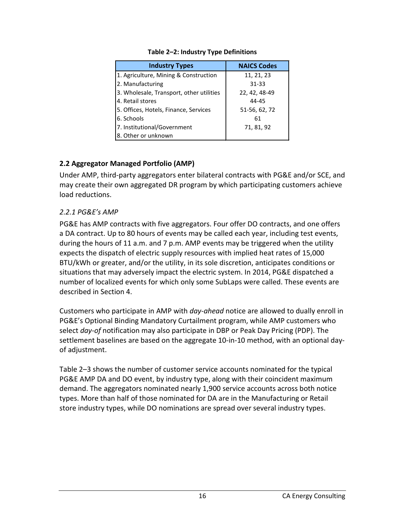<span id="page-16-2"></span>

| <b>Industry Types</b>                    | <b>NAICS Codes</b> |  |  |
|------------------------------------------|--------------------|--|--|
| 1. Agriculture, Mining & Construction    | 11, 21, 23         |  |  |
| 2. Manufacturing                         | 31-33              |  |  |
| 3. Wholesale, Transport, other utilities | 22, 42, 48-49      |  |  |
| 4. Retail stores                         | 44-45              |  |  |
| 5. Offices, Hotels, Finance, Services    | 51-56, 62, 72      |  |  |
| 6. Schools                               | 61                 |  |  |
| 7. Institutional/Government              | 71, 81, 92         |  |  |
| 8. Other or unknown                      |                    |  |  |

#### **Table 2–2: Industry Type Definitions**

#### <span id="page-16-0"></span>**2.2 Aggregator Managed Portfolio (AMP)**

Under AMP, third-party aggregators enter bilateral contracts with PG&E and/or SCE, and may create their own aggregated DR program by which participating customers achieve load reductions.

#### <span id="page-16-1"></span>*2.2.1 PG&E's AMP*

PG&E has AMP contracts with five aggregators. Four offer DO contracts, and one offers a DA contract. Up to 80 hours of events may be called each year, including test events, during the hours of 11 a.m. and 7 p.m. AMP events may be triggered when the utility expects the dispatch of electric supply resources with implied heat rates of 15,000 BTU/kWh or greater, and/or the utility, in its sole discretion, anticipates conditions or situations that may adversely impact the electric system. In 2014, PG&E dispatched a number of localized events for which only some SubLaps were called. These events are described in Section 4.

Customers who participate in AMP with *day-ahead* notice are allowed to dually enroll in PG&E's Optional Binding Mandatory Curtailment program, while AMP customers who select *day-of* notification may also participate in DBP or Peak Day Pricing (PDP). The settlement baselines are based on the aggregate 10-in-10 method, with an optional dayof adjustment.

Table 2–3 shows the number of customer service accounts nominated for the typical PG&E AMP DA and DO event, by industry type, along with their coincident maximum demand. The aggregators nominated nearly 1,900 service accounts across both notice types. More than half of those nominated for DA are in the Manufacturing or Retail store industry types, while DO nominations are spread over several industry types.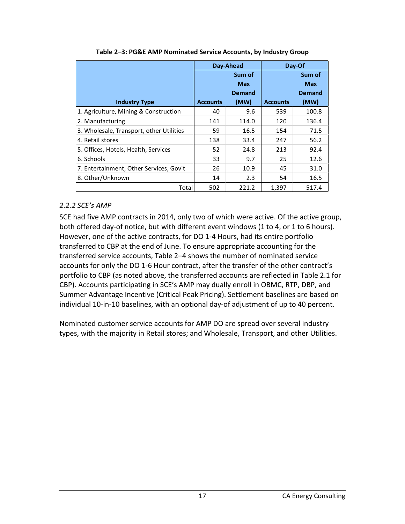<span id="page-17-1"></span>

|                                          |                 | Day-Ahead     |                 | Day-Of        |
|------------------------------------------|-----------------|---------------|-----------------|---------------|
|                                          |                 | Sum of        |                 | Sum of        |
|                                          |                 | <b>Max</b>    |                 | <b>Max</b>    |
|                                          |                 | <b>Demand</b> |                 | <b>Demand</b> |
| <b>Industry Type</b>                     | <b>Accounts</b> | (MW)          | <b>Accounts</b> | (MW)          |
| 1. Agriculture, Mining & Construction    | 40              | 9.6           | 539             | 100.8         |
| 2. Manufacturing                         | 141             | 114.0         | 120             | 136.4         |
| 3. Wholesale, Transport, other Utilities | 59              | 16.5          | 154             | 71.5          |
| 4. Retail stores                         | 138             | 33.4          | 247             | 56.2          |
| 5. Offices, Hotels, Health, Services     | 52              | 24.8          | 213             | 92.4          |
| 6. Schools                               | 33              | 9.7           | 25              | 12.6          |
| 7. Entertainment, Other Services, Gov't  | 26              | 10.9          | 45              | 31.0          |
| 8. Other/Unknown                         | 14              | 2.3           | 54              | 16.5          |
| Total                                    | 502             | 221.2         | 1,397           | 517.4         |

**Table 2–3: PG&E AMP Nominated Service Accounts, by Industry Group**

#### <span id="page-17-0"></span>*2.2.2 SCE's AMP*

SCE had five AMP contracts in 2014, only two of which were active. Of the active group, both offered day-of notice, but with different event windows (1 to 4, or 1 to 6 hours). However, one of the active contracts, for DO 1-4 Hours, had its entire portfolio transferred to CBP at the end of June. To ensure appropriate accounting for the transferred service accounts, Table 2–4 shows the number of nominated service accounts for only the DO 1-6 Hour contract, after the transfer of the other contract's portfolio to CBP (as noted above, the transferred accounts are reflected in Table 2.1 for CBP). Accounts participating in SCE's AMP may dually enroll in OBMC, RTP, DBP, and Summer Advantage Incentive (Critical Peak Pricing). Settlement baselines are based on individual 10-in-10 baselines, with an optional day-of adjustment of up to 40 percent.

Nominated customer service accounts for AMP DO are spread over several industry types, with the majority in Retail stores; and Wholesale, Transport, and other Utilities.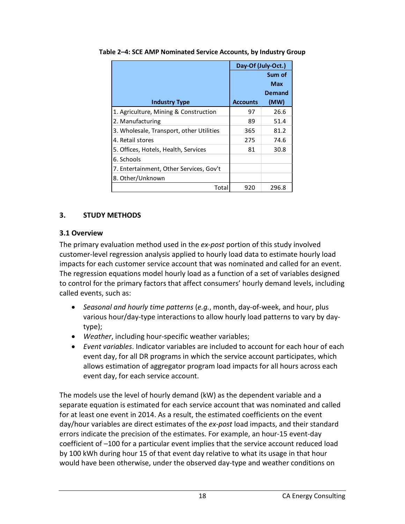|                                          | Day-Of (July-Oct.) |        |
|------------------------------------------|--------------------|--------|
|                                          |                    | Sum of |
|                                          |                    | Max    |
|                                          |                    | Demand |
| <b>Industry Type</b>                     | <b>Accounts</b>    | (MW)   |
| 1. Agriculture, Mining & Construction    | 97                 | 26.6   |
| 2. Manufacturing                         | 89                 | 51.4   |
| 3. Wholesale, Transport, other Utilities | 365                | 81.2   |
| 4. Retail stores                         | 275                | 74.6   |
| 5. Offices, Hotels, Health, Services     | 81                 | 30.8   |
| 6. Schools                               |                    |        |
| 7. Entertainment, Other Services, Gov't  |                    |        |
| 8. Other/Unknown                         |                    |        |
| Total                                    | 920                | 296.8  |

<span id="page-18-2"></span>**Table 2–4: SCE AMP Nominated Service Accounts, by Industry Group**

#### <span id="page-18-0"></span>**3. STUDY METHODS**

#### <span id="page-18-1"></span>**3.1 Overview**

The primary evaluation method used in the *ex-post* portion of this study involved customer-level regression analysis applied to hourly load data to estimate hourly load impacts for each customer service account that was nominated and called for an event. The regression equations model hourly load as a function of a set of variables designed to control for the primary factors that affect consumers' hourly demand levels, including called events, such as:

- *Seasonal and hourly time patterns* (*e.g.*, month, day-of-week, and hour, plus various hour/day-type interactions to allow hourly load patterns to vary by daytype);
- *Weather*, including hour-specific weather variables;
- *Event variables*. Indicator variables are included to account for each hour of each event day, for all DR programs in which the service account participates, which allows estimation of aggregator program load impacts for all hours across each event day, for each service account.

The models use the level of hourly demand (kW) as the dependent variable and a separate equation is estimated for each service account that was nominated and called for at least one event in 2014. As a result, the estimated coefficients on the event day/hour variables are direct estimates of the *ex-post* load impacts, and their standard errors indicate the precision of the estimates. For example, an hour-15 event-day coefficient of –100 for a particular event implies that the service account reduced load by 100 kWh during hour 15 of that event day relative to what its usage in that hour would have been otherwise, under the observed day-type and weather conditions on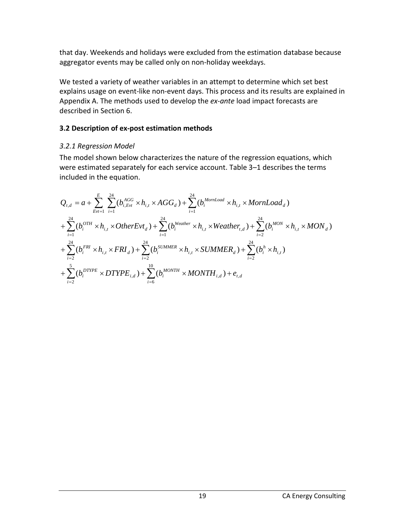that day. Weekends and holidays were excluded from the estimation database because aggregator events may be called only on non-holiday weekdays.

We tested a variety of weather variables in an attempt to determine which set best explains usage on event-like non-event days. This process and its results are explained in Appendix A. The methods used to develop the *ex-ante* load impact forecasts are described in Section 6.

#### <span id="page-19-0"></span>**3.2 Description of ex-post estimation methods**

## <span id="page-19-1"></span>*3.2.1 Regression Model*

The model shown below characterizes the nature of the regression equations, which were estimated separately for each service account. Table 3–1 describes the terms included in the equation.

$$
Q_{t,d} = a + \sum_{Evt=1}^{E} \sum_{i=1}^{24} (b_{i, Evt}^{AGG} \times h_{i,t} \times AGG_d) + \sum_{i=1}^{24} (b_{i}^{MornLoad} \times h_{i,t} \times MornLoad_d)
$$
  
+ 
$$
\sum_{i=1}^{24} (b_{i}^{OTH} \times h_{i,t} \times OtherEvt_d) + \sum_{i=1}^{24} (b_{i}^{Weather} \times h_{i,t} \times Weather_{t,d}) + \sum_{i=2}^{24} (b_{i}^{MON} \times h_{i,t} \times MON_d)
$$
  
+ 
$$
\sum_{i=2}^{24} (b_{i}^{FRI} \times h_{i,t} \times FRI_d) + \sum_{i=2}^{24} (b_{i}^{SUMMER} \times h_{i,t} \times SUMMER_d) + \sum_{i=2}^{24} (b_{i}^{h} \times h_{i,t})
$$
  
+ 
$$
\sum_{i=2}^{5} (b_{i}^{DTYPE} \times DTYPE_{i,d}) + \sum_{i=6}^{10} (b_{i}^{MONTH} \times MONTH_{i,d}) + e_{t,d}
$$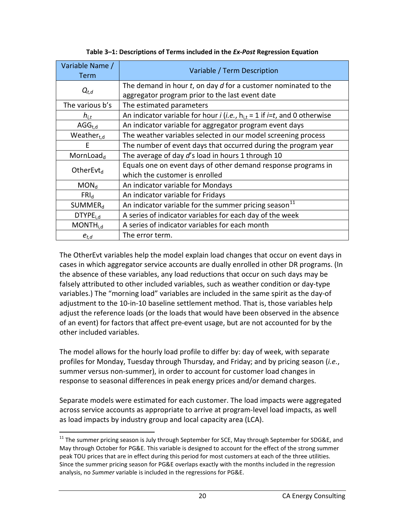<span id="page-20-0"></span>

| Variable Name /<br><b>Term</b> | Variable / Term Description                                                                                    |  |  |  |  |
|--------------------------------|----------------------------------------------------------------------------------------------------------------|--|--|--|--|
|                                | The demand in hour $t$ , on day $d$ for a customer nominated to the                                            |  |  |  |  |
| $Q_{t,d}$                      | aggregator program prior to the last event date                                                                |  |  |  |  |
| The various b's                | The estimated parameters                                                                                       |  |  |  |  |
| $h_{i,t}$                      | An indicator variable for hour <i>i</i> ( <i>i.e.</i> , $h_{i,t} = 1$ if <i>i</i> = <i>t</i> , and 0 otherwise |  |  |  |  |
| $AGG_{t,d}$                    | An indicator variable for aggregator program event days                                                        |  |  |  |  |
| Weather $_{t,d}$               | The weather variables selected in our model screening process                                                  |  |  |  |  |
| F                              | The number of event days that occurred during the program year                                                 |  |  |  |  |
| MornLoad $_{\rm d}$            | The average of day d's load in hours 1 through 10                                                              |  |  |  |  |
| OtherEvt <sub>d</sub>          | Equals one on event days of other demand response programs in                                                  |  |  |  |  |
|                                | which the customer is enrolled                                                                                 |  |  |  |  |
| MON <sub>d</sub>               | An indicator variable for Mondays                                                                              |  |  |  |  |
| FRI <sub>d</sub>               | An indicator variable for Fridays                                                                              |  |  |  |  |
| SUMMER <sub>d</sub>            | An indicator variable for the summer pricing season <sup>11</sup>                                              |  |  |  |  |
| DTYPE <sub>i.d</sub>           | A series of indicator variables for each day of the week                                                       |  |  |  |  |
| MONTH <sub>i.d</sub>           | A series of indicator variables for each month                                                                 |  |  |  |  |
| $e_{t,d}$                      | The error term.                                                                                                |  |  |  |  |

#### **Table 3–1: Descriptions of Terms included in the** *Ex-Post* **Regression Equation**

The OtherEvt variables help the model explain load changes that occur on event days in cases in which aggregator service accounts are dually enrolled in other DR programs. (In the absence of these variables, any load reductions that occur on such days may be falsely attributed to other included variables, such as weather condition or day-type variables.) The "morning load" variables are included in the same spirit as the day-of adjustment to the 10-in-10 baseline settlement method. That is, those variables help adjust the reference loads (or the loads that would have been observed in the absence of an event) for factors that affect pre-event usage, but are not accounted for by the other included variables.

The model allows for the hourly load profile to differ by: day of week, with separate profiles for Monday, Tuesday through Thursday, and Friday; and by pricing season (*i.e.*, summer versus non-summer), in order to account for customer load changes in response to seasonal differences in peak energy prices and/or demand charges.

Separate models were estimated for each customer. The load impacts were aggregated across service accounts as appropriate to arrive at program-level load impacts, as well as load impacts by industry group and local capacity area (LCA).

<span id="page-20-1"></span> $11$  The summer pricing season is July through September for SCE, May through September for SDG&E, and May through October for PG&E. This variable is designed to account for the effect of the strong summer peak TOU prices that are in effect during this period for most customers at each of the three utilities. Since the summer pricing season for PG&E overlaps exactly with the months included in the regression analysis, no *Summer* variable is included in the regressions for PG&E.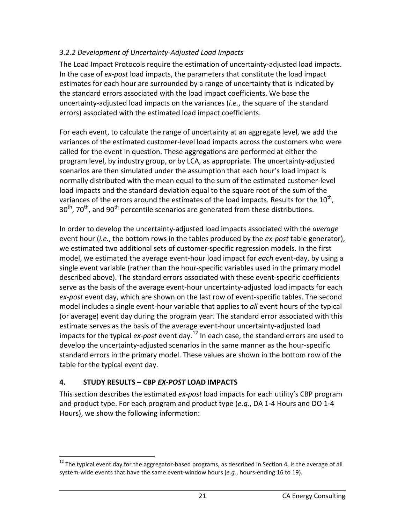## <span id="page-21-0"></span>*3.2.2 Development of Uncertainty-Adjusted Load Impacts*

The Load Impact Protocols require the estimation of uncertainty-adjusted load impacts. In the case of *ex-post* load impacts, the parameters that constitute the load impact estimates for each hour are surrounded by a range of uncertainty that is indicated by the standard errors associated with the load impact coefficients. We base the uncertainty-adjusted load impacts on the variances (*i.e.*, the square of the standard errors) associated with the estimated load impact coefficients.

For each event, to calculate the range of uncertainty at an aggregate level, we add the variances of the estimated customer-level load impacts across the customers who were called for the event in question. These aggregations are performed at either the program level, by industry group, or by LCA, as appropriate. The uncertainty-adjusted scenarios are then simulated under the assumption that each hour's load impact is normally distributed with the mean equal to the sum of the estimated customer-level load impacts and the standard deviation equal to the square root of the sum of the variances of the errors around the estimates of the load impacts. Results for the  $10^{th}$ ,  $30<sup>th</sup>$ , 70<sup>th</sup>, and 90<sup>th</sup> percentile scenarios are generated from these distributions.

In order to develop the uncertainty-adjusted load impacts associated with the *average* event hour (*i.e.*, the bottom rows in the tables produced by the *ex-post* table generator), we estimated two additional sets of customer-specific regression models. In the first model, we estimated the average event-hour load impact for *each* event-day, by using a single event variable (rather than the hour-specific variables used in the primary model described above). The standard errors associated with these event-specific coefficients serve as the basis of the average event-hour uncertainty-adjusted load impacts for each *ex-post* event day, which are shown on the last row of event-specific tables. The second model includes a single event-hour variable that applies to *all* event hours of the typical (or average) event day during the program year. The standard error associated with this estimate serves as the basis of the average event-hour uncertainty-adjusted load impacts for the typical *ex-post* event day.<sup>[12](#page-21-2)</sup> In each case, the standard errors are used to develop the uncertainty-adjusted scenarios in the same manner as the hour-specific standard errors in the primary model. These values are shown in the bottom row of the table for the typical event day.

## <span id="page-21-1"></span>**4. STUDY RESULTS – CBP** *EX-POST* **LOAD IMPACTS**

This section describes the estimated *ex-post* load impacts for each utility's CBP program and product type. For each program and product type (*e.g.*, DA 1-4 Hours and DO 1-4 Hours), we show the following information:

<span id="page-21-2"></span> $12$  The typical event day for the aggregator-based programs, as described in Section 4, is the average of all system-wide events that have the same event-window hours (*e.g.*, hours-ending 16 to 19).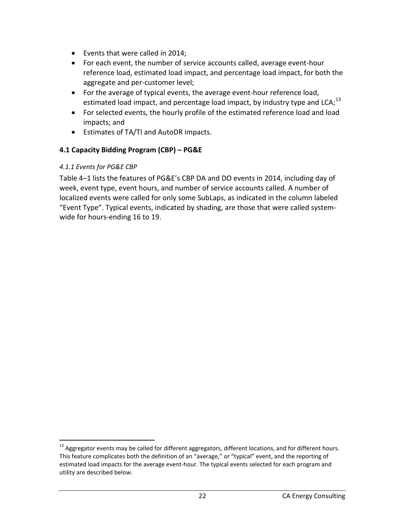- Events that were called in 2014;
- For each event, the number of service accounts called, average event-hour reference load, estimated load impact, and percentage load impact, for both the aggregate and per-customer level;
- For the average of typical events, the average event-hour reference load, estimated load impact, and percentage load impact, by industry type and LCA; $^{13}$  $^{13}$  $^{13}$
- For selected events, the hourly profile of the estimated reference load and load impacts; and
- Estimates of TA/TI and AutoDR impacts.

## <span id="page-22-0"></span>**4.1 Capacity Bidding Program (CBP) – PG&E**

## <span id="page-22-1"></span>*4.1.1 Events for PG&E CBP*

Table 4–1 lists the features of PG&E's CBP DA and DO events in 2014, including day of week, event type, event hours, and number of service accounts called. A number of localized events were called for only some SubLaps, as indicated in the column labeled "Event Type". Typical events, indicated by shading, are those that were called systemwide for hours-ending 16 to 19.

<span id="page-22-2"></span> $13$  Aggregator events may be called for different aggregators, different locations, and for different hours. This feature complicates both the definition of an "average," or "typical" event, and the reporting of estimated load impacts for the average event-hour. The typical events selected for each program and utility are described below.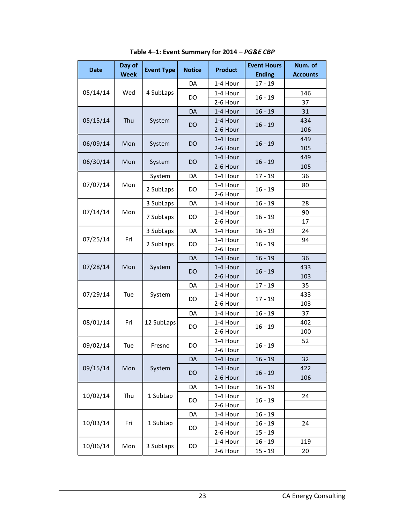<span id="page-23-0"></span>

| <b>Date</b> | Day of<br><b>Week</b> | <b>Event Type</b> | <b>Notice</b> | <b>Product</b> | <b>Event Hours</b><br><b>Ending</b> | Num. of<br><b>Accounts</b> |
|-------------|-----------------------|-------------------|---------------|----------------|-------------------------------------|----------------------------|
|             |                       |                   | DA            | 1-4 Hour       | $17 - 19$                           |                            |
| 05/14/14    | Wed                   | 4 SubLaps         |               | 1-4 Hour       |                                     | 146                        |
|             |                       |                   | DO            | 2-6 Hour       | $16 - 19$                           | 37                         |
|             |                       |                   | <b>DA</b>     | 1-4 Hour       | $16 - 19$                           | 31                         |
| 05/15/14    | Thu                   | System            |               | 1-4 Hour       |                                     | 434                        |
|             |                       |                   | DO            | 2-6 Hour       | $16 - 19$                           | 106                        |
|             |                       |                   |               | 1-4 Hour       |                                     | 449                        |
| 06/09/14    | Mon                   | System            | <b>DO</b>     | 2-6 Hour       | $16 - 19$                           | 105                        |
|             |                       |                   |               | 1-4 Hour       |                                     | 449                        |
| 06/30/14    | Mon                   | System            | DO            | 2-6 Hour       | $16 - 19$                           | 105                        |
|             |                       | System            | DA            | 1-4 Hour       | $17 - 19$                           | 36                         |
| 07/07/14    | Mon                   |                   |               | 1-4 Hour       |                                     | 80                         |
|             |                       | 2 SubLaps         | DO.           | 2-6 Hour       | $16 - 19$                           |                            |
|             |                       | 3 SubLaps         | DA            | 1-4 Hour       | $16 - 19$                           | 28                         |
| 07/14/14    | Mon                   |                   |               | 1-4 Hour       |                                     | 90                         |
|             |                       | 7 SubLaps         | DO.           | 2-6 Hour       | $16 - 19$                           | 17                         |
|             |                       | 3 SubLaps         | DA            | 1-4 Hour       | $16 - 19$                           | 24                         |
| 07/25/14    | Fri                   | 2 SubLaps         | DO.           | 1-4 Hour       | $16 - 19$                           | 94                         |
|             |                       |                   |               | 2-6 Hour       |                                     |                            |
|             |                       |                   | DA            | 1-4 Hour       | $16 - 19$                           | 36                         |
| 07/28/14    | Mon                   | System            | DO            | 1-4 Hour       | $16 - 19$                           | 433                        |
|             |                       |                   |               | 2-6 Hour       |                                     | 103                        |
|             |                       |                   | DA            | 1-4 Hour       | $17 - 19$                           | 35                         |
| 07/29/14    | Tue                   | System            | DO.           | 1-4 Hour       | $17 - 19$                           | 433                        |
|             |                       |                   |               | 2-6 Hour       |                                     | 103                        |
|             |                       |                   | DA            | 1-4 Hour       | $16 - 19$                           | 37                         |
| 08/01/14    | Fri                   | 12 SubLaps        | DO            | 1-4 Hour       | $16 - 19$                           | 402                        |
|             |                       |                   |               | 2-6 Hour       |                                     | 100                        |
| 09/02/14    | Tue                   | Fresno            | DO.           | 1-4 Hour       | $16 - 19$                           | 52                         |
|             |                       |                   |               | 2-6 Hour       |                                     |                            |
|             |                       |                   | DA            | 1-4 Hour       | $16 - 19$                           | 32                         |
| 09/15/14    | Mon                   | System            | DO            | 1-4 Hour       | $16 - 19$                           | 422                        |
|             |                       |                   |               | 2-6 Hour       |                                     | 106                        |
|             |                       |                   | DA            | 1-4 Hour       | $16 - 19$                           |                            |
| 10/02/14    | Thu                   | 1 SubLap          | DO            | 1-4 Hour       | $16 - 19$                           | 24                         |
|             |                       |                   |               | 2-6 Hour       |                                     |                            |
|             |                       |                   | DA            | 1-4 Hour       | $16 - 19$                           |                            |
| 10/03/14    | Fri                   | 1 SubLap          | DO            | 1-4 Hour       | $16 - 19$                           | 24                         |
|             |                       |                   |               | 2-6 Hour       | 15 - 19                             |                            |
| 10/06/14    | Mon                   | 3 SubLaps         | DO            | 1-4 Hour       | $16 - 19$                           | 119                        |
|             |                       |                   |               | 2-6 Hour       | 15 - 19                             | 20                         |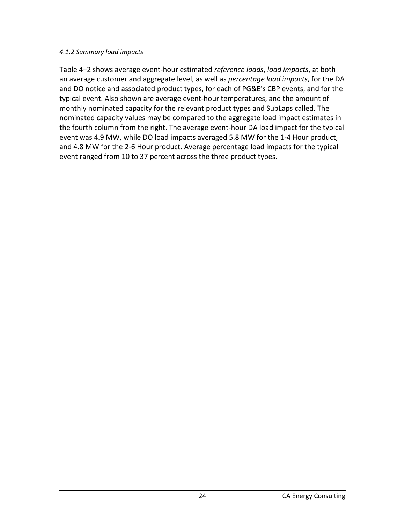#### <span id="page-24-0"></span>*4.1.2 Summary load impacts*

Table 4–2 shows average event-hour estimated *reference loads*, *load impacts*, at both an average customer and aggregate level, as well as *percentage load impacts*, for the DA and DO notice and associated product types, for each of PG&E's CBP events, and for the typical event. Also shown are average event-hour temperatures, and the amount of monthly nominated capacity for the relevant product types and SubLaps called. The nominated capacity values may be compared to the aggregate load impact estimates in the fourth column from the right. The average event-hour DA load impact for the typical event was 4.9 MW, while DO load impacts averaged 5.8 MW for the 1-4 Hour product, and 4.8 MW for the 2-6 Hour product. Average percentage load impacts for the typical event ranged from 10 to 37 percent across the three product types.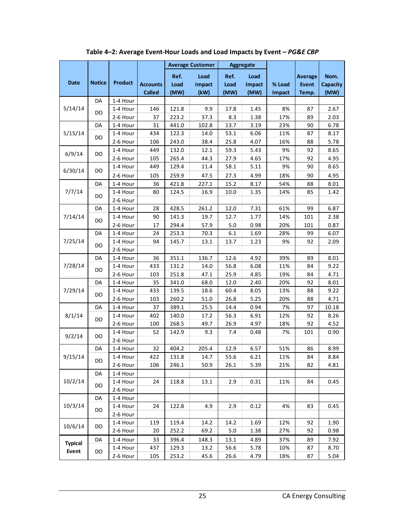<span id="page-25-0"></span>

|                                                                                                                                                                                          |               |                      |                 |                | <b>Average Customer</b> |              | <b>Aggregate</b> |            |                |                 |
|------------------------------------------------------------------------------------------------------------------------------------------------------------------------------------------|---------------|----------------------|-----------------|----------------|-------------------------|--------------|------------------|------------|----------------|-----------------|
|                                                                                                                                                                                          |               |                      |                 | Ref.           | Load                    | Ref.         | Load             |            | <b>Average</b> | Nom.            |
| <b>Date</b>                                                                                                                                                                              | <b>Notice</b> | <b>Product</b>       | <b>Accounts</b> | Load           | <b>Impact</b>           | Load         | Impact           | % Load     | <b>Event</b>   | <b>Capacity</b> |
|                                                                                                                                                                                          |               |                      | <b>Called</b>   | (MW)           | (kW)                    | (MW)         | (MW)             | Impact     | Temp.          | (MW)            |
|                                                                                                                                                                                          | DA            | 1-4 Hour             |                 |                |                         |              |                  |            |                |                 |
| 5/14/14<br>5/15/14<br>6/9/14<br>6/30/14<br>7/7/14<br>7/14/14<br>7/25/14<br>7/28/14<br>7/29/14<br>8/1/14<br>9/2/14<br>9/15/14<br>10/2/14<br>10/3/14<br>10/6/14<br><b>Typical</b><br>Event |               | 1-4 Hour             | 146             | 121.8          | 9.9                     | 17.8         | 1.45             | 8%         | 87             | 2.67            |
|                                                                                                                                                                                          | DO            | 2-6 Hour             | 37              | 223.2          | 37.3                    | 8.3          | 1.38             | 17%        | 89             | 2.03            |
|                                                                                                                                                                                          | DA            | 1-4 Hour             | 31              | 441.0          | 102.8                   | 13.7         | 3.19             | 23%        | 90             | 6.78            |
|                                                                                                                                                                                          | DO            | 1-4 Hour             | 434             | 122.3          | 14.0                    | 53.1         | 6.06             | 11%        | 87             | 8.17            |
|                                                                                                                                                                                          |               | 2-6 Hour             | 106             | 243.0          | 38.4                    | 25.8         | 4.07             | 16%        | 88             | 5.78            |
|                                                                                                                                                                                          | DO            | 1-4 Hour             | 449             | 132.0          | 12.1                    | 59.3         | 5.43             | 9%         | 92             | 8.65            |
|                                                                                                                                                                                          |               | 2-6 Hour             | 105             | 265.4          | 44.3                    | 27.9         | 4.65             | 17%        | 92             | 4.95            |
|                                                                                                                                                                                          | DO            | 1-4 Hour             | 449             | 129.4          | 11.4                    | 58.1         | 5.11             | 9%         | 90             | 8.65            |
|                                                                                                                                                                                          |               | 2-6 Hour             | 105             | 259.9          | 47.5                    | 27.3         | 4.99             | 18%        | 90             | 4.95            |
|                                                                                                                                                                                          | DA            | 1-4 Hour             | 36              | 421.8          | 227.1                   | 15.2         | 8.17             | 54%        | 88             | 8.01            |
|                                                                                                                                                                                          | DO            | 1-4 Hour             | 80              | 124.5          | 16.9                    | 10.0         | 1.35             | 14%        | 85             | 1.42            |
|                                                                                                                                                                                          |               | 2-6 Hour             |                 |                |                         |              |                  |            |                |                 |
|                                                                                                                                                                                          | DA            | 1-4 Hour             | 28              | 428.5          | 261.2                   | 12.0         | 7.31             | 61%        | 99             | 6.87            |
|                                                                                                                                                                                          | DO            | 1-4 Hour             | 90              | 141.3          | 19.7                    | 12.7         | 1.77             | 14%        | 101            | 2.38            |
|                                                                                                                                                                                          |               | 2-6 Hour             | 17              | 294.4          | 57.9                    | 5.0          | 0.98             | 20%        | 101            | 0.87            |
|                                                                                                                                                                                          | DA            | 1-4 Hour             | 24              | 253.3          | 70.3                    | $6.1\,$      | 1.69             | 28%        | 99             | 6.07            |
|                                                                                                                                                                                          | DO            | 1-4 Hour             | 94              | 145.7          | 13.1                    | 13.7         | 1.23             | 9%         | 92             | 2.09            |
|                                                                                                                                                                                          |               | 2-6 Hour             |                 |                |                         |              |                  |            |                |                 |
|                                                                                                                                                                                          | DA            | 1-4 Hour             | 36              | 351.1          | 136.7                   | 12.6         | 4.92             | 39%        | 89             | 8.01            |
|                                                                                                                                                                                          | DO            | 1-4 Hour             | 433             | 131.2          | 14.0                    | 56.8         | 6.08             | 11%        | 84             | 9.22            |
|                                                                                                                                                                                          |               | 2-6 Hour             | 103             | 251.8          | 47.1                    | 25.9         | 4.85             | 19%        | 84             | 4.71            |
|                                                                                                                                                                                          | DA            | 1-4 Hour             | 35              | 341.0          | 68.0                    | 12.0         | 2.40             | 20%        | 92             | 8.01            |
|                                                                                                                                                                                          | DO            | 1-4 Hour             | 433             | 139.5          | 18.6                    | 60.4         | 8.05             | 13%        | 88             | 9.22            |
|                                                                                                                                                                                          |               | 2-6 Hour             | 103             | 260.2          | 51.0                    | 26.8         | 5.25             | 20%        | 88             | 4.71            |
|                                                                                                                                                                                          | DA            | 1-4 Hour             | 37              | 389.1          | 25.5                    | 14.4         | 0.94             | 7%         | 97             | 10.18           |
|                                                                                                                                                                                          | DO            | 1-4 Hour             | 402             | 140.0          | 17.2                    | 56.3         | 6.91             | 12%        | 92             | 8.26            |
|                                                                                                                                                                                          |               | 2-6 Hour             | 100             | 268.5          | 49.7                    | 26.9         | 4.97             | 18%        | 92             | 4.52            |
|                                                                                                                                                                                          | DO            | 1-4 Hour             | 52              | 142.9          | 9.3                     | 7.4          | 0.48             | 7%         | 101            | 0.90            |
|                                                                                                                                                                                          |               | 2-6 Hour             |                 |                |                         |              |                  |            |                |                 |
|                                                                                                                                                                                          | DA            | 1-4 Hour             | 32<br>422       | 404.2<br>131.8 | 205.4                   | 12.9<br>55.6 | 6.57<br>6.21     | 51%        | 86             | 8.99            |
|                                                                                                                                                                                          | DO            | 1-4 Hour<br>2-6 Hour | 106             | 246.1          | 14.7<br>50.9            | 26.1         | 5.39             | 11%<br>21% | 84<br>82       | 8.84<br>4.81    |
|                                                                                                                                                                                          | DA            | 1-4 Hour             |                 |                |                         |              |                  |            |                |                 |
|                                                                                                                                                                                          |               | 1-4 Hour             | 24              | 118.8          | 13.1                    | 2.9          | 0.31             | 11%        | 84             | 0.45            |
|                                                                                                                                                                                          | DO            | 2-6 Hour             |                 |                |                         |              |                  |            |                |                 |
|                                                                                                                                                                                          | DA            | 1-4 Hour             |                 |                |                         |              |                  |            |                |                 |
|                                                                                                                                                                                          |               | 1-4 Hour             | 24              | 122.8          | 4.9                     | 2.9          | 0.12             | 4%         | 83             | 0.45            |
|                                                                                                                                                                                          | DO            | 2-6 Hour             |                 |                |                         |              |                  |            |                |                 |
|                                                                                                                                                                                          |               | 1-4 Hour             | 119             | 119.4          | 14.2                    | 14.2         | 1.69             | 12%        | 92             | 1.90            |
|                                                                                                                                                                                          | DO            | 2-6 Hour             | 20              | 252.2          | 69.2                    | 5.0          | 1.38             | 27%        | 92             | 0.98            |
|                                                                                                                                                                                          | DA            | 1-4 Hour             | 33              | 396.4          | 148.3                   | 13.1         | 4.89             | 37%        | 89             | 7.92            |
|                                                                                                                                                                                          |               | 1-4 Hour             | 437             | 129.3          | 13.2                    | 56.6         | 5.78             | 10%        | 87             | 8.70            |
|                                                                                                                                                                                          | DO            | 2-6 Hour             | 105             | 253.2          | 45.6                    | 26.6         | 4.79             | 18%        | 87             | 5.04            |
|                                                                                                                                                                                          |               |                      |                 |                |                         |              |                  |            |                |                 |

**Table 4–2: Average Event-Hour Loads and Load Impacts by Event –** *PG&E CBP*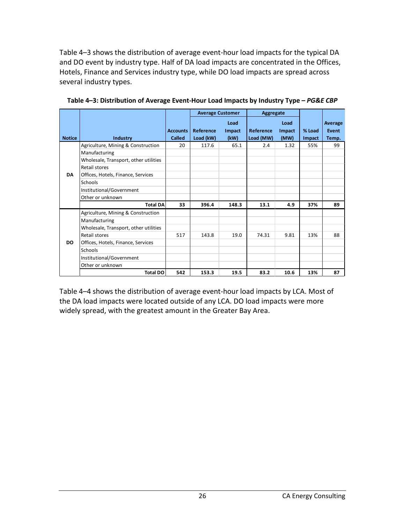Table 4–3 shows the distribution of average event-hour load impacts for the typical DA and DO event by industry type. Half of DA load impacts are concentrated in the Offices, Hotels, Finance and Services industry type, while DO load impacts are spread across several industry types.

|               |                                                     |                                  | <b>Average Customer</b>       |                        | Aggregate              |                        |                  |                           |
|---------------|-----------------------------------------------------|----------------------------------|-------------------------------|------------------------|------------------------|------------------------|------------------|---------------------------|
| <b>Notice</b> | Industry                                            | <b>Accounts</b><br><b>Called</b> | <b>Reference</b><br>Load (kW) | Load<br>Impact<br>(kW) | Reference<br>Load (MW) | Load<br>Impact<br>(MW) | % Load<br>Impact | Average<br>Event<br>Temp. |
|               |                                                     | 20                               | 117.6                         | 65.1                   | 2.4                    | 1.32                   | 55%              | 99                        |
|               | Agriculture, Mining & Construction<br>Manufacturing |                                  |                               |                        |                        |                        |                  |                           |
|               | Wholesale, Transport, other utilities               |                                  |                               |                        |                        |                        |                  |                           |
|               | Retail stores                                       |                                  |                               |                        |                        |                        |                  |                           |
| <b>DA</b>     | Offices, Hotels, Finance, Services                  |                                  |                               |                        |                        |                        |                  |                           |
|               | <b>Schools</b>                                      |                                  |                               |                        |                        |                        |                  |                           |
|               | Institutional/Government                            |                                  |                               |                        |                        |                        |                  |                           |
|               | Other or unknown                                    |                                  |                               |                        |                        |                        |                  |                           |
|               | <b>Total DA</b>                                     | 33                               | 396.4                         | 148.3                  | 13.1                   | 4.9                    | 37%              | 89                        |
|               | Agriculture, Mining & Construction                  |                                  |                               |                        |                        |                        |                  |                           |
|               | Manufacturing                                       |                                  |                               |                        |                        |                        |                  |                           |
|               | Wholesale, Transport, other utilities               |                                  |                               |                        |                        |                        |                  |                           |
|               | Retail stores                                       | 517                              | 143.8                         | 19.0                   | 74.31                  | 9.81                   | 13%              | 88                        |
| DO.           | Offices, Hotels, Finance, Services                  |                                  |                               |                        |                        |                        |                  |                           |
|               | Schools                                             |                                  |                               |                        |                        |                        |                  |                           |
|               | Institutional/Government                            |                                  |                               |                        |                        |                        |                  |                           |
|               | Other or unknown                                    |                                  |                               |                        |                        |                        |                  |                           |
|               | <b>Total DO</b>                                     | 542                              | 153.3                         | 19.5                   | 83.2                   | 10.6                   | 13%              | 87                        |

<span id="page-26-0"></span>**Table 4–3: Distribution of Average Event-Hour Load Impacts by Industry Type –** *PG&E CBP*

Table 4–4 shows the distribution of average event-hour load impacts by LCA. Most of the DA load impacts were located outside of any LCA. DO load impacts were more widely spread, with the greatest amount in the Greater Bay Area.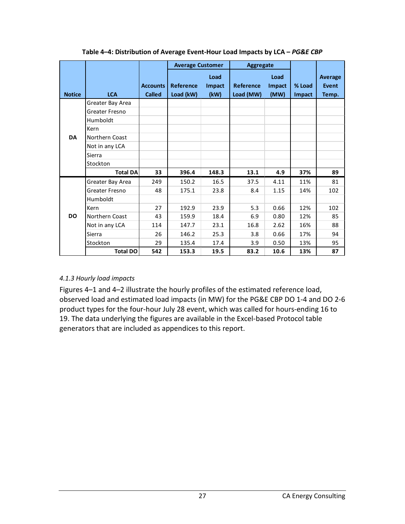<span id="page-27-1"></span>

|               |                  |                 |           | <b>Average Customer</b> |                  | <b>Aggregate</b> |        |                |
|---------------|------------------|-----------------|-----------|-------------------------|------------------|------------------|--------|----------------|
|               |                  |                 |           | Load                    |                  | Load             |        | <b>Average</b> |
|               |                  | <b>Accounts</b> | Reference | <b>Impact</b>           | <b>Reference</b> | Impact           | % Load | Event          |
| <b>Notice</b> | <b>LCA</b>       | <b>Called</b>   | Load (kW) | (kW)                    | Load (MW)        | (MW)             | Impact | Temp.          |
|               | Greater Bay Area |                 |           |                         |                  |                  |        |                |
|               | Greater Fresno   |                 |           |                         |                  |                  |        |                |
|               | Humboldt         |                 |           |                         |                  |                  |        |                |
|               | Kern             |                 |           |                         |                  |                  |        |                |
| <b>DA</b>     | Northern Coast   |                 |           |                         |                  |                  |        |                |
|               | Not in any LCA   |                 |           |                         |                  |                  |        |                |
|               | Sierra           |                 |           |                         |                  |                  |        |                |
|               | Stockton         |                 |           |                         |                  |                  |        |                |
|               | <b>Total DA</b>  | 33              | 396.4     | 148.3                   | 13.1             | 4.9              | 37%    | 89             |
|               | Greater Bay Area | 249             | 150.2     | 16.5                    | 37.5             | 4.11             | 11%    | 81             |
|               | Greater Fresno   | 48              | 175.1     | 23.8                    | 8.4              | 1.15             | 14%    | 102            |
|               | Humboldt         |                 |           |                         |                  |                  |        |                |
|               | Kern             | 27              | 192.9     | 23.9                    | 5.3              | 0.66             | 12%    | 102            |
| <b>DO</b>     | Northern Coast   | 43              | 159.9     | 18.4                    | 6.9              | 0.80             | 12%    | 85             |
|               | Not in any LCA   | 114             | 147.7     | 23.1                    | 16.8             | 2.62             | 16%    | 88             |
|               | Sierra           | 26              | 146.2     | 25.3                    | 3.8              | 0.66             | 17%    | 94             |
|               | Stockton         | 29              | 135.4     | 17.4                    | 3.9              | 0.50             | 13%    | 95             |
|               | <b>Total DO</b>  | 542             | 153.3     | 19.5                    | 83.2             | 10.6             | 13%    | 87             |

**Table 4–4: Distribution of Average Event-Hour Load Impacts by LCA –** *PG&E CBP*

#### <span id="page-27-0"></span>*4.1.3 Hourly load impacts*

Figures 4–1 and 4–2 illustrate the hourly profiles of the estimated reference load, observed load and estimated load impacts (in MW) for the PG&E CBP DO 1-4 and DO 2-6 product types for the four-hour July 28 event, which was called for hours-ending 16 to 19. The data underlying the figures are available in the Excel-based Protocol table generators that are included as appendices to this report.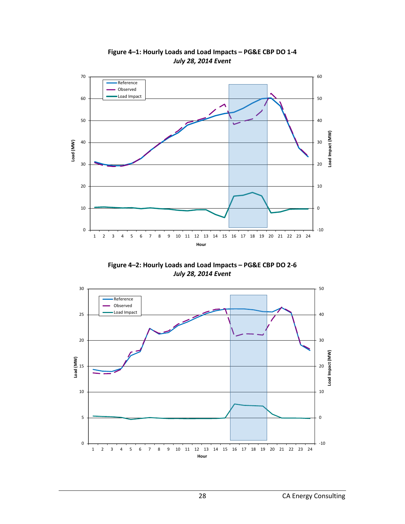<span id="page-28-0"></span>

**Figure 4–1: Hourly Loads and Load Impacts – PG&E CBP DO 1-4** *July 28, 2014 Event*

**Figure 4–2: Hourly Loads and Load Impacts – PG&E CBP DO 2-6** *July 28, 2014 Event*

<span id="page-28-1"></span>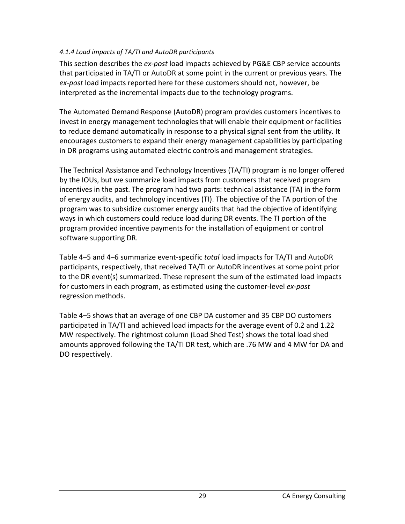#### <span id="page-29-0"></span>*4.1.4 Load impacts of TA/TI and AutoDR participants*

This section describes the *ex-post* load impacts achieved by PG&E CBP service accounts that participated in TA/TI or AutoDR at some point in the current or previous years. The *ex-post* load impacts reported here for these customers should not, however, be interpreted as the incremental impacts due to the technology programs.

The Automated Demand Response (AutoDR) program provides customers incentives to invest in energy management technologies that will enable their equipment or facilities to reduce demand automatically in response to a physical signal sent from the utility. It encourages customers to expand their energy management capabilities by participating in DR programs using automated electric controls and management strategies.

The Technical Assistance and Technology Incentives (TA/TI) program is no longer offered by the IOUs, but we summarize load impacts from customers that received program incentives in the past. The program had two parts: technical assistance (TA) in the form of energy audits, and technology incentives (TI). The objective of the TA portion of the program was to subsidize customer energy audits that had the objective of identifying ways in which customers could reduce load during DR events. The TI portion of the program provided incentive payments for the installation of equipment or control software supporting DR.

Table 4–5 and 4–6 summarize event-specific *total* load impacts for TA/TI and AutoDR participants, respectively, that received TA/TI or AutoDR incentives at some point prior to the DR event(s) summarized. These represent the sum of the estimated load impacts for customers in each program, as estimated using the customer-level *ex-post* regression methods.

Table 4–5 shows that an average of one CBP DA customer and 35 CBP DO customers participated in TA/TI and achieved load impacts for the average event of 0.2 and 1.22 MW respectively. The rightmost column (Load Shed Test) shows the total load shed amounts approved following the TA/TI DR test, which are .76 MW and 4 MW for DA and DO respectively.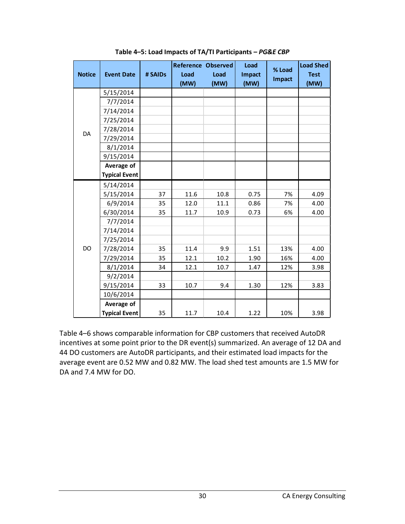<span id="page-30-0"></span>

| <b>Notice</b> | <b>Event Date</b>    | # SAIDs | <b>Reference Observed</b><br>Load<br>(MW) | Load<br>(MW) | Load<br>Impact<br>(MW) | % Load<br><b>Impact</b> | <b>Load Shed</b><br><b>Test</b><br>(MW) |
|---------------|----------------------|---------|-------------------------------------------|--------------|------------------------|-------------------------|-----------------------------------------|
|               | 5/15/2014            |         |                                           |              |                        |                         |                                         |
|               | 7/7/2014             |         |                                           |              |                        |                         |                                         |
|               | 7/14/2014            |         |                                           |              |                        |                         |                                         |
|               | 7/25/2014            |         |                                           |              |                        |                         |                                         |
|               | 7/28/2014            |         |                                           |              |                        |                         |                                         |
| DA            | 7/29/2014            |         |                                           |              |                        |                         |                                         |
|               | 8/1/2014             |         |                                           |              |                        |                         |                                         |
|               | 9/15/2014            |         |                                           |              |                        |                         |                                         |
|               | Average of           |         |                                           |              |                        |                         |                                         |
|               | <b>Typical Event</b> |         |                                           |              |                        |                         |                                         |
|               | 5/14/2014            |         |                                           |              |                        |                         |                                         |
|               | 5/15/2014            | 37      | 11.6                                      | 10.8         | 0.75                   | 7%                      | 4.09                                    |
|               | 6/9/2014             | 35      | 12.0                                      | 11.1         | 0.86                   | 7%                      | 4.00                                    |
|               | 6/30/2014            | 35      | 11.7                                      | 10.9         | 0.73                   | 6%                      | 4.00                                    |
|               | 7/7/2014             |         |                                           |              |                        |                         |                                         |
|               | 7/14/2014            |         |                                           |              |                        |                         |                                         |
|               | 7/25/2014            |         |                                           |              |                        |                         |                                         |
| DO            | 7/28/2014            | 35      | 11.4                                      | 9.9          | 1.51                   | 13%                     | 4.00                                    |
|               | 7/29/2014            | 35      | 12.1                                      | 10.2         | 1.90                   | 16%                     | 4.00                                    |
|               | 8/1/2014             | 34      | 12.1                                      | 10.7         | 1.47                   | 12%                     | 3.98                                    |
|               | 9/2/2014             |         |                                           |              |                        |                         |                                         |
|               | 9/15/2014            | 33      | 10.7                                      | 9.4          | 1.30                   | 12%                     | 3.83                                    |
|               | 10/6/2014            |         |                                           |              |                        |                         |                                         |
|               | Average of           |         |                                           |              |                        |                         |                                         |
|               | <b>Typical Event</b> | 35      | 11.7                                      | 10.4         | 1.22                   | 10%                     | 3.98                                    |

**Table 4–5: Load Impacts of TA/TI Participants –** *PG&E CBP*

Table 4–6 shows comparable information for CBP customers that received AutoDR incentives at some point prior to the DR event(s) summarized. An average of 12 DA and 44 DO customers are AutoDR participants, and their estimated load impacts for the average event are 0.52 MW and 0.82 MW. The load shed test amounts are 1.5 MW for DA and 7.4 MW for DO.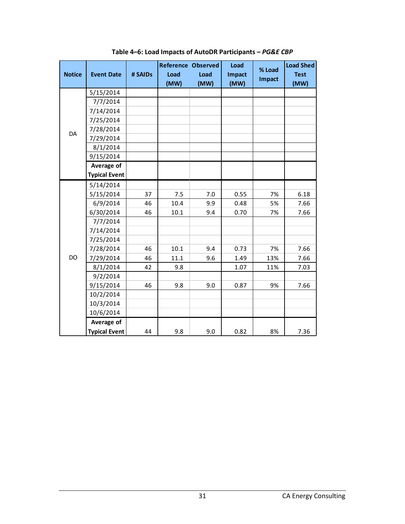<span id="page-31-0"></span>

| <b>Notice</b> | <b>Event Date</b>    | # SAIDs | Load<br>(MW) | <b>Reference Observed</b><br>Load<br>(MW) | Load<br><b>Impact</b><br>(MW) | % Load<br><b>Impact</b> | <b>Load Shed</b><br><b>Test</b><br>(MW) |
|---------------|----------------------|---------|--------------|-------------------------------------------|-------------------------------|-------------------------|-----------------------------------------|
|               | 5/15/2014            |         |              |                                           |                               |                         |                                         |
|               | 7/7/2014             |         |              |                                           |                               |                         |                                         |
|               | 7/14/2014            |         |              |                                           |                               |                         |                                         |
|               | 7/25/2014            |         |              |                                           |                               |                         |                                         |
|               | 7/28/2014            |         |              |                                           |                               |                         |                                         |
| DA            | 7/29/2014            |         |              |                                           |                               |                         |                                         |
|               | 8/1/2014             |         |              |                                           |                               |                         |                                         |
|               | 9/15/2014            |         |              |                                           |                               |                         |                                         |
|               | Average of           |         |              |                                           |                               |                         |                                         |
|               | <b>Typical Event</b> |         |              |                                           |                               |                         |                                         |
|               | 5/14/2014            |         |              |                                           |                               |                         |                                         |
|               | 5/15/2014            | 37      | 7.5          | 7.0                                       | 0.55                          | 7%                      | 6.18                                    |
|               | 6/9/2014             | 46      | 10.4         | 9.9                                       | 0.48                          | 5%                      | 7.66                                    |
|               | 6/30/2014            | 46      | 10.1         | 9.4                                       | 0.70                          | 7%                      | 7.66                                    |
|               | 7/7/2014             |         |              |                                           |                               |                         |                                         |
|               | 7/14/2014            |         |              |                                           |                               |                         |                                         |
|               | 7/25/2014            |         |              |                                           |                               |                         |                                         |
|               | 7/28/2014            | 46      | 10.1         | 9.4                                       | 0.73                          | 7%                      | 7.66                                    |
| DO            | 7/29/2014            | 46      | 11.1         | 9.6                                       | 1.49                          | 13%                     | 7.66                                    |
|               | 8/1/2014             | 42      | 9.8          |                                           | 1.07                          | 11%                     | 7.03                                    |
|               | 9/2/2014             |         |              |                                           |                               |                         |                                         |
|               | 9/15/2014            | 46      | 9.8          | 9.0                                       | 0.87                          | 9%                      | 7.66                                    |
|               | 10/2/2014            |         |              |                                           |                               |                         |                                         |
|               | 10/3/2014            |         |              |                                           |                               |                         |                                         |
|               | 10/6/2014            |         |              |                                           |                               |                         |                                         |
|               | Average of           |         |              |                                           |                               |                         |                                         |
|               | <b>Typical Event</b> | 44      | 9.8          | 9.0                                       | 0.82                          | 8%                      | 7.36                                    |

**Table 4–6: Load Impacts of AutoDR Participants –** *PG&E CBP*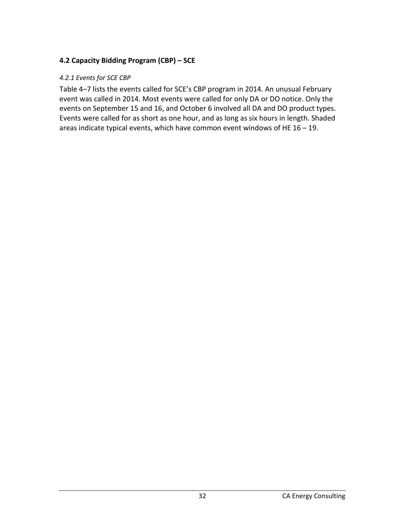## <span id="page-32-0"></span>**4.2 Capacity Bidding Program (CBP) – SCE**

#### <span id="page-32-1"></span>*4.2.1 Events for SCE CBP*

Table 4–7 lists the events called for SCE's CBP program in 2014. An unusual February event was called in 2014. Most events were called for only DA or DO notice. Only the events on September 15 and 16, and October 6 involved all DA and DO product types. Events were called for as short as one hour, and as long as six hours in length. Shaded areas indicate typical events, which have common event windows of HE 16 – 19.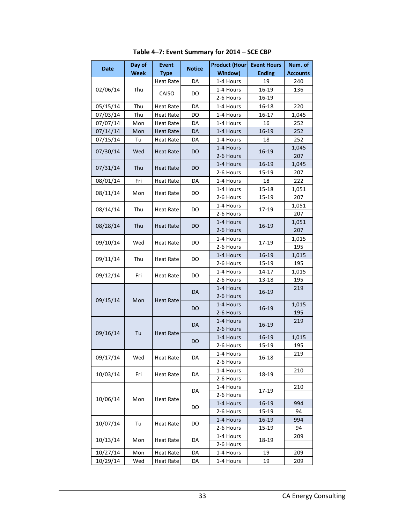<span id="page-33-0"></span>

| Day of<br><b>Event</b><br><b>Notice</b><br><b>Date</b> |      | <b>Product (Hour</b> | <b>Event Hours</b> | Num. of   |               |                 |
|--------------------------------------------------------|------|----------------------|--------------------|-----------|---------------|-----------------|
|                                                        | Week | <b>Type</b>          |                    | Window)   | <b>Ending</b> | <b>Accounts</b> |
|                                                        |      | <b>Heat Rate</b>     | DA                 | 1-4 Hours | 19            | 240             |
| 02/06/14                                               | Thu  | CAISO                | DO                 | 1-4 Hours | 16-19         | 136             |
|                                                        |      |                      |                    | 2-6 Hours | 16-19         |                 |
| 05/15/14                                               | Thu  | <b>Heat Rate</b>     | DA                 | 1-4 Hours | 16-18         | 220             |
| 07/03/14                                               | Thu  | <b>Heat Rate</b>     | DO                 | 1-4 Hours | 16-17         | 1,045           |
| 07/07/14                                               | Mon  | Heat Rate            | DA                 | 1-4 Hours | 16            | 252             |
| 07/14/14                                               | Mon  | <b>Heat Rate</b>     | DA                 | 1-4 Hours | 16-19         | 252             |
| 07/15/14                                               | Tu   | <b>Heat Rate</b>     | DA                 | 1-4 Hours | 18            | 252             |
| 07/30/14                                               | Wed  | <b>Heat Rate</b>     | DO                 | 1-4 Hours | 16-19         | 1,045           |
|                                                        |      |                      |                    | 2-6 Hours |               | 207             |
| 07/31/14                                               | Thu  | <b>Heat Rate</b>     | DO                 | 1-4 Hours | 16-19         | 1,045           |
|                                                        |      |                      |                    | 2-6 Hours | 15-19         | 207             |
| 08/01/14                                               | Fri  | <b>Heat Rate</b>     | DA                 | 1-4 Hours | 18            | 222             |
| 08/11/14                                               | Mon  | <b>Heat Rate</b>     | DO                 | 1-4 Hours | 15-18         | 1,051           |
|                                                        |      |                      |                    | 2-6 Hours | 15-19         | 207             |
| 08/14/14                                               | Thu  | <b>Heat Rate</b>     | DO                 | 1-4 Hours | 17-19         | 1,051           |
|                                                        |      |                      |                    | 2-6 Hours |               | 207             |
| 08/28/14                                               | Thu  | Heat Rate            | DO                 | 1-4 Hours | 16-19         | 1,051           |
|                                                        |      |                      |                    | 2-6 Hours |               | 207             |
| 09/10/14                                               | Wed  | <b>Heat Rate</b>     | DO                 | 1-4 Hours | 17-19         | 1,015           |
|                                                        |      |                      |                    | 2-6 Hours |               | 195             |
| 09/11/14                                               | Thu  | <b>Heat Rate</b>     | DO                 | 1-4 Hours | 16-19         | 1,015           |
|                                                        |      |                      |                    | 2-6 Hours | 15-19         | 195             |
| 09/12/14                                               | Fri  | <b>Heat Rate</b>     | DO                 | 1-4 Hours | 14-17         | 1,015           |
|                                                        |      |                      |                    | 2-6 Hours | 13-18         | 195             |
|                                                        |      |                      | DA                 | 1-4 Hours | 16-19         | 219             |
| 09/15/14                                               | Mon  | <b>Heat Rate</b>     |                    | 2-6 Hours |               |                 |
|                                                        |      |                      | DO                 | 1-4 Hours | 16-19         | 1,015           |
|                                                        |      |                      |                    | 2-6 Hours |               | 195             |
|                                                        |      |                      | DA                 | 1-4 Hours | 16-19         | 219             |
| 09/16/14                                               | Tu   | <b>Heat Rate</b>     |                    | 2-6 Hours |               |                 |
|                                                        |      |                      | DO                 | 1-4 Hours | 16-19         | 1,015           |
|                                                        |      |                      |                    | 2-6 Hours | 15-19         | 195             |
| 09/17/14                                               | Wed  | <b>Heat Rate</b>     | DA                 | 1-4 Hours | $16 - 18$     | 219             |
|                                                        |      |                      |                    | 2-6 Hours |               |                 |
| 10/03/14                                               | Fri  | <b>Heat Rate</b>     | DA                 | 1-4 Hours | 18-19         | 210             |
|                                                        |      |                      |                    | 2-6 Hours |               |                 |
|                                                        |      |                      | DA                 | 1-4 Hours | 17-19         | 210             |
| 10/06/14                                               | Mon  | <b>Heat Rate</b>     |                    | 2-6 Hours |               |                 |
|                                                        |      |                      | DO                 | 1-4 Hours | 16-19         | 994             |
|                                                        |      |                      |                    | 2-6 Hours | 15-19         | 94              |
| 10/07/14                                               | Tu   | Heat Rate            | DO                 | 1-4 Hours | 16-19         | 994             |
|                                                        |      |                      |                    | 2-6 Hours | 15-19         | 94              |
| 10/13/14                                               | Mon  | Heat Rate            | DA                 | 1-4 Hours | 18-19         | 209             |
|                                                        |      |                      |                    | 2-6 Hours |               |                 |
| 10/27/14                                               | Mon  | Heat Rate            | DA                 | 1-4 Hours | 19            | 209             |
| 10/29/14                                               | Wed  | Heat Rate            | DA                 | 1-4 Hours | 19            | 209             |

**Table 4–7: Event Summary for 2014 – SCE CBP**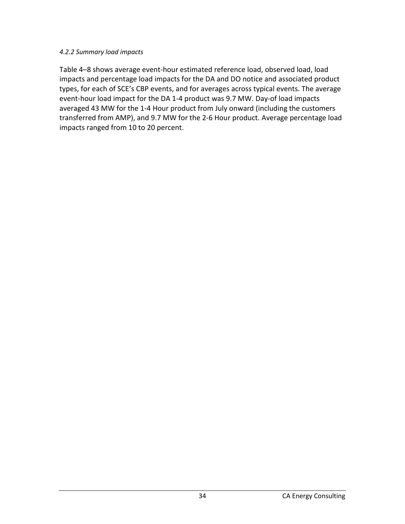#### <span id="page-34-0"></span>*4.2.2 Summary load impacts*

Table 4–8 shows average event-hour estimated reference load, observed load, load impacts and percentage load impacts for the DA and DO notice and associated product types, for each of SCE's CBP events, and for averages across typical events. The average event-hour load impact for the DA 1-4 product was 9.7 MW. Day-of load impacts averaged 43 MW for the 1-4 Hour product from July onward (including the customers transferred from AMP), and 9.7 MW for the 2-6 Hour product. Average percentage load impacts ranged from 10 to 20 percent.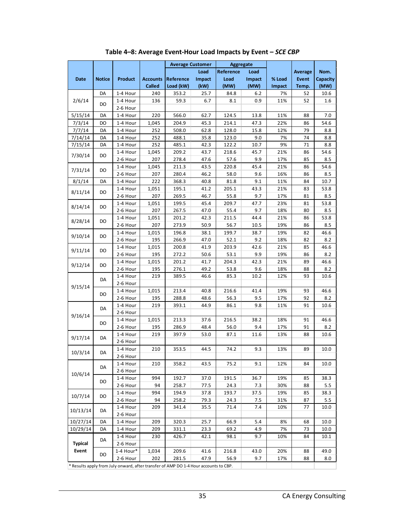<span id="page-35-0"></span>

|                |               |           |                 | <b>Average Customer</b> |        | <b>Aggregate</b> |             |        |              |             |
|----------------|---------------|-----------|-----------------|-------------------------|--------|------------------|-------------|--------|--------------|-------------|
|                |               |           |                 |                         | Load   | Reference        | Load        |        | Average      | Nom.        |
| <b>Date</b>    | <b>Notice</b> | Product   | <b>Accounts</b> | Reference               | Impact | Load             | Impact      | % Load | <b>Event</b> | Capacity    |
|                |               |           | <b>Called</b>   | Load (kW)               | (kW)   | (MW)             | (MW)        | Impact | Temp.        | (MW)        |
|                | DA            | 1-4 Hour  | 240             | 353.2                   | 25.7   | 84.8             | 6.2         | 7%     | 52           | 10.6        |
| 2/6/14         |               | 1-4 Hour  | 136             | 59.3                    | 6.7    | 8.1              | 0.9         | 11%    | 52           | 1.6         |
|                | DO            | 2-6 Hour  |                 |                         |        |                  |             |        |              |             |
| 5/15/14        | DA            | 1-4 Hour  | 220             | 566.0                   | 62.7   | 124.5            | 13.8        | 11%    | 88           | 7.0         |
| 7/3/14         | DO            | 1-4 Hour  | 1,045           | 204.9                   | 45.3   | 214.1            | 47.3        | 22%    | 86           | 54.6        |
| 7/7/14         | DA            | 1-4 Hour  | 252             | 508.0                   | 62.8   | 128.0            | 15.8        | 12%    | 79           | 8.8         |
| 7/14/14        | DA            | 1-4 Hour  | 252             | 488.1                   | 35.8   | 123.0            | 9.0         | 7%     | 74           | 8.8         |
| 7/15/14        | DA            | 1-4 Hour  | 252             | 485.1                   | 42.3   | 122.2            | 10.7        | 9%     | 71           | 8.8         |
|                |               | 1-4 Hour  | 1,045           | 209.2                   | 43.7   | 218.6            | 45.7        | 21%    | 86           | 54.6        |
| 7/30/14        | DO            | 2-6 Hour  | 207             | 278.4                   | 47.6   | 57.6             | 9.9         | 17%    | 85           | 8.5         |
|                |               | 1-4 Hour  | 1,045           | 211.3                   | 43.5   | 220.8            | 45.4        | 21%    | 86           | 54.6        |
| 7/31/14        | DO            | 2-6 Hour  | 207             | 280.4                   | 46.2   | 58.0             | 9.6         | 16%    | 86           | 8.5         |
| 8/1/14         | DA            | 1-4 Hour  | 222             | 368.3                   | 40.8   | 81.8             | 9.1         | 11%    | 84           | 10.7        |
|                |               | 1-4 Hour  | 1,051           | 195.1                   | 41.2   | 205.1            | 43.3        | 21%    | 83           | 53.8        |
| 8/11/14        | DO            | 2-6 Hour  | 207             | 269.5                   | 46.7   | 55.8             | 9.7         | 17%    | 81           | 8.5         |
|                |               | 1-4 Hour  | 1,051           | 199.5                   | 45.4   | 209.7            | 47.7        | 23%    | 81           | 53.8        |
| 8/14/14        | DO            | 2-6 Hour  | 207             | 267.5                   | 47.0   | 55.4             | 9.7         | 18%    | 80           | 8.5         |
|                |               | 1-4 Hour  | 1,051           | 201.2                   | 42.3   | 211.5            | 44.4        | 21%    | 86           | 53.8        |
| 8/28/14        | DO            | 2-6 Hour  | 207             | 273.9                   | 50.9   | 56.7             | 10.5        | 19%    | 86           | 8.5         |
|                |               | 1-4 Hour  | 1,015           | 196.8                   | 38.1   | 199.7            | 38.7        | 19%    | 82           | 46.6        |
| 9/10/14        | DO            | 2-6 Hour  | 195             | 266.9                   | 47.0   | 52.1             | 9.2         | 18%    |              | 8.2         |
|                |               |           | 1,015           |                         |        | 203.9            |             | 21%    | 82           | 46.6        |
| 9/11/14        | DO            | 1-4 Hour  |                 | 200.8                   | 41.9   |                  | 42.6        |        | 85           |             |
|                |               | 2-6 Hour  | 195             | 272.2                   | 50.6   | 53.1<br>204.3    | 9.9<br>42.3 | 19%    | 86           | 8.2<br>46.6 |
| 9/12/14        | DO            | 1-4 Hour  | 1,015           | 201.2                   | 41.7   |                  |             | 21%    | 89           |             |
|                |               | 2-6 Hour  | 195             | 276.1                   | 49.2   | 53.8             | 9.6         | 18%    | 88           | 8.2         |
|                | DA            | 1-4 Hour  | 219             | 389.5                   | 46.6   | 85.3             | 10.2        | 12%    | 93           | 10.6        |
| 9/15/14        |               | 2-6 Hour  |                 |                         |        |                  |             |        |              |             |
|                | DO            | 1-4 Hour  | 1,015           | 213.4                   | 40.8   | 216.6            | 41.4        | 19%    | 93           | 46.6        |
|                |               | 2-6 Hour  | 195             | 288.8                   | 48.6   | 56.3             | 9.5         | 17%    | 92           | 8.2         |
|                | DA            | 1-4 Hour  | 219             | 393.1                   | 44.9   | 86.1             | 9.8         | 11%    | 91           | 10.6        |
| 9/16/14        |               | 2-6 Hour  |                 |                         |        |                  |             |        |              |             |
|                | DO            | 1-4 Hour  | 1,015           | 213.3                   | 37.6   | 216.5            | 38.2        | 18%    | 91           | 46.6        |
|                |               | 2-6 Hour  | 195             | 286.9                   | 48.4   | 56.0             | 9.4         | 17%    | 91           | 8.2         |
| 9/17/14        | DA            | 1-4 Hour  | 219             | 397.9                   | 53.0   | 87.1             | 11.6        | 13%    | 88           | 10.6        |
|                |               | 2-6 Hour  |                 |                         |        |                  |             |        |              |             |
| 10/3/14        | DA            | 1-4 Hour  | 210             | 353.5                   | 44.5   | 74.2             | 9.3         | 13%    | 89           | 10.0        |
|                |               | 2-6 Hour  |                 |                         |        |                  |             |        |              |             |
|                | DA            | 1-4 Hour  | 210             | 358.2                   | 43.5   | 75.2             | 9.1         | 12%    | 84           | 10.0        |
| 10/6/14        |               | 2-6 Hour  |                 |                         |        |                  |             |        |              |             |
|                | DO            | 1-4 Hour  | 994             | 192.7                   | 37.0   | 191.5            | 36.7        | 19%    | 85           | 38.3        |
|                |               | 2-6 Hour  | 94              | 258.7                   | 77.5   | 24.3             | 7.3         | 30%    | 88           | 5.5         |
| 10/7/14        | DO            | 1-4 Hour  | 994             | 194.9                   | 37.8   | 193.7            | 37.5        | 19%    | 85           | 38.3        |
|                |               | 2-6 Hour  | 94              | 258.2                   | 79.3   | 24.3             | 7.5         | 31%    | 87           | 5.5         |
| 10/13/14       | DA            | 1-4 Hour  | 209             | 341.4                   | 35.5   | 71.4             | 7.4         | 10%    | 77           | 10.0        |
|                |               | 2-6 Hour  |                 |                         |        |                  |             |        |              |             |
| 10/27/14       | DA            | 1-4 Hour  | 209             | 320.3                   | 25.7   | 66.9             | 5.4         | 8%     | 68           | 10.0        |
| 10/29/14       | DA            | 1-4 Hour  | 209             | 331.1                   | 23.3   | 69.2             | 4.9         | 7%     | 73           | 10.0        |
|                | DA            | 1-4 Hour  | 230             | 426.7                   | 42.1   | 98.1             | 9.7         | 10%    | 84           | 10.1        |
| <b>Typical</b> |               | 2-6 Hour  |                 |                         |        |                  |             |        |              |             |
| Event          |               | 1-4 Hour* | 1,034           | 209.6                   | 41.6   | 216.8            | 43.0        | 20%    | 88           | 49.0        |
|                | DO            | 2-6 Hour  | 202             | 281.5                   | 47.9   | 56.9             | 9.7         | 17%    | 88           | 8.0         |
|                |               |           |                 |                         |        |                  |             |        |              |             |

**Table 4–8: Average Event-Hour Load Impacts by Event –** *SCE CBP*

\* Results apply from July onward, after transfer of AMP DO 1-4 Hour accounts to CBP.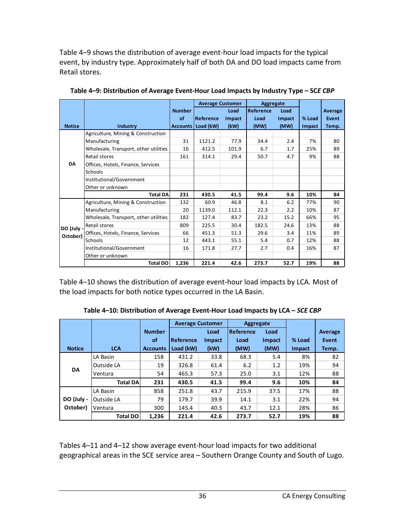Table 4–9 shows the distribution of average event-hour load impacts for the typical event, by industry type. Approximately half of both DA and DO load impacts came from Retail stores.

|               |                                       |               | <b>Average Customer</b> |        | Aggregate        |        |        |         |
|---------------|---------------------------------------|---------------|-------------------------|--------|------------------|--------|--------|---------|
|               |                                       | <b>Number</b> |                         | Load   | <b>Reference</b> | Load   |        | Average |
|               |                                       | οf            | Reference               | Impact | Load             | Impact | % Load | Event   |
| <b>Notice</b> | <b>Industry</b>                       |               | Accounts   Load (kW)    | (kW)   | (MW)             | (MW)   | Impact | Temp.   |
|               | Agriculture, Mining & Construction    |               |                         |        |                  |        |        |         |
|               | Manufacturing                         | 31            | 1121.2                  | 77.9   | 34.4             | 2.4    | 7%     | 80      |
|               | Wholesale, Transport, other utilities | 16            | 412.5                   | 101.9  | 6.7              | 1.7    | 25%    | 89      |
|               | Retail stores                         | 161           | 314.1                   | 29.4   | 50.7             | 4.7    | 9%     | 88      |
| <b>DA</b>     | Offices, Hotels, Finance, Services    |               |                         |        |                  |        |        |         |
|               | Schools                               |               |                         |        |                  |        |        |         |
|               | Institutional/Government              |               |                         |        |                  |        |        |         |
|               | Other or unknown                      |               |                         |        |                  |        |        |         |
|               | <b>Total DA</b>                       | 231           | 430.5                   | 41.5   | 99.4             | 9.6    | 10%    | 84      |
|               | Agriculture, Mining & Construction    | 132           | 60.9                    | 46.8   | 8.1              | 6.2    | 77%    | 90      |
|               | Manufacturing                         | 20            | 1139.0                  | 112.1  | 22.3             | 2.2    | 10%    | 87      |
|               | Wholesale, Transport, other utilities | 182           | 127.4                   | 83.7   | 23.2             | 15.2   | 66%    | 95      |
| DO (July -    | Retail stores                         | 809           | 225.5                   | 30.4   | 182.5            | 24.6   | 13%    | 88      |
| October)      | Offices, Hotels, Finance, Services    | 66            | 451.3                   | 51.3   | 29.6             | 3.4    | 11%    | 89      |
|               | Schools                               | 12            | 443.1                   | 55.1   | 5.4              | 0.7    | 12%    | 88      |
|               | Institutional/Government              | 16            | 171.8                   | 27.7   | 2.7              | 0.4    | 16%    | 87      |
|               | Other or unknown                      |               |                         |        |                  |        |        |         |
|               | <b>Total DO</b>                       | 1,236         | 221.4                   | 42.6   | 273.7            | 52.7   | 19%    | 88      |

**Table 4–9: Distribution of Average Event-Hour Load Impacts by Industry Type – SC***E CBP*

Table 4–10 shows the distribution of average event-hour load impacts by LCA. Most of the load impacts for both notice types occurred in the LA Basin.

**Table 4–10: Distribution of Average Event-Hour Load Impacts by LCA –** *SCE CBP*

|               |                 |                 |           | <b>Average Customer</b> |           | Aggregate |               |              |
|---------------|-----------------|-----------------|-----------|-------------------------|-----------|-----------|---------------|--------------|
|               |                 | <b>Number</b>   |           | Load                    | Reference | Load      |               | Average      |
|               |                 | of              | Reference | Impact                  | Load      | Impact    | % Load        | <b>Event</b> |
| <b>Notice</b> | <b>LCA</b>      | <b>Accounts</b> | Load (kW) | (kW)                    | (MW)      | (MW)      | <b>Impact</b> | Temp.        |
|               | LA Basin        | 158             | 431.2     | 33.8                    | 68.3      | 5.4       | 8%            | 82           |
| <b>DA</b>     | Outside LA      | 19              | 326.8     | 61.4                    | 6.2       | 1.2       | 19%           | 94           |
|               | Ventura         | 54              | 465.3     | 57.3                    | 25.0      | 3.1       | 12%           | 88           |
|               | <b>Total DA</b> | 231             | 430.5     | 41.5                    | 99.4      | 9.6       | 10%           | 84           |
|               | LA Basin        | 858             | 251.8     | 43.7                    | 215.9     | 37.5      | 17%           | 88           |
| DO (July -    | Outside LA      | 79              | 179.7     | 39.9                    | 14.1      | 3.1       | 22%           | 94           |
| October)      | Ventura         | 300             | 145.4     | 40.3                    | 43.7      | 12.1      | 28%           | 86           |
|               | <b>Total DO</b> | 1,236           | 221.4     | 42.6                    | 273.7     | 52.7      | 19%           | 88           |

Tables 4–11 and 4–12 show average event-hour load impacts for two additional geographical areas in the SCE service area – Southern Orange County and South of Lugo.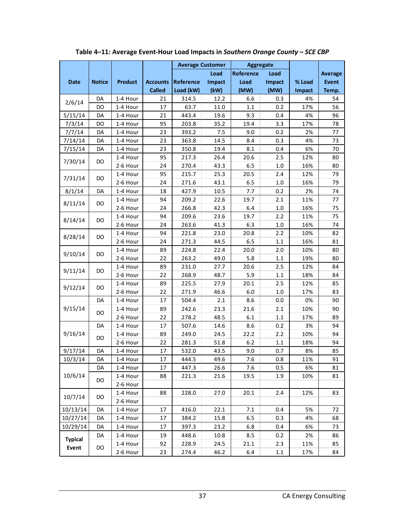|                |               |                      |                 | <b>Average Customer</b> |              | Aggregate   |            |            |                |
|----------------|---------------|----------------------|-----------------|-------------------------|--------------|-------------|------------|------------|----------------|
|                |               |                      |                 |                         | Load         | Reference   | Load       |            | <b>Average</b> |
| <b>Date</b>    | <b>Notice</b> | <b>Product</b>       | <b>Accounts</b> | Reference               | Impact       | Load        | Impact     | % Load     | <b>Event</b>   |
|                |               |                      | <b>Called</b>   | Load (kW)               | (kW)         | (MW)        | (MW)       | Impact     | Temp.          |
| 2/6/14         | DA            | 1-4 Hour             | 21              | 314.5                   | 12.2         | 6.6         | 0.3        | 4%         | 54             |
|                | DO            | 1-4 Hour             | 17              | 63.7                    | 11.0         | 1.1         | 0.2        | 17%        | 56             |
| 5/15/14        | DA            | 1-4 Hour             | 21              | 443.4                   | 19.6         | 9.3         | 0.4        | 4%         | 96             |
| 7/3/14         | DO            | 1-4 Hour             | 95              | 203.8                   | 35.2         | 19.4        | 3.3        | 17%        | 78             |
| 7/7/14         | DA            | 1-4 Hour             | 23              | 393.2                   | 7.5          | 9.0         | 0.2        | 2%         | 77             |
| 7/14/14        | DA            | 1-4 Hour             | 23              | 363.8                   | 14.5         | 8.4         | 0.3        | 4%         | 73             |
| 7/15/14        | DA            | 1-4 Hour             | 23              | 350.8                   | 19.4         | 8.1         | 0.4        | 6%         | 70             |
| 7/30/14        | DO            | 1-4 Hour             | 95              | 217.3                   | 26.4         | 20.6        | 2.5        | 12%        | 80             |
|                |               | 2-6 Hour             | 24              | 270.4                   | 43.3         | 6.5         | 1.0        | 16%        | 80             |
| 7/31/14        | DO.           | 1-4 Hour             | 95              | 215.7                   | 25.3         | 20.5        | 2.4        | 12%        | 79             |
|                |               | 2-6 Hour             | 24              | 271.6                   | 43.1         | 6.5         | 1.0        | 16%        | 79             |
| 8/1/14         | DA            | 1-4 Hour             | 18              | 427.9                   | 10.5         | 7.7         | 0.2        | 2%         | 74             |
| 8/11/14        | <b>DO</b>     | 1-4 Hour             | 94              | 209.2                   | 22.6         | 19.7        | 2.1        | 11%        | 77             |
|                |               | 2-6 Hour             | 24              | 266.8                   | 42.3         | 6.4         | 1.0        | 16%        | 75             |
| 8/14/14        | DO            | 1-4 Hour             | 94              | 209.6                   | 23.6         | 19.7        | 2.2        | 11%        | 75             |
|                |               | 2-6 Hour             | 24              | 263.6                   | 41.3         | 6.3         | 1.0        | 16%        | 74             |
| 8/28/14        | DO            | 1-4 Hour             | 94              | 221.8                   | 23.0         | 20.8        | 2.2        | 10%        | 82             |
|                |               | 2-6 Hour             | 24              | 271.3                   | 44.5         | 6.5         | 1.1        | 16%        | 81             |
| 9/10/14        | <b>DO</b>     | 1-4 Hour             | 89              | 224.8                   | 22.4         | 20.0        | 2.0        | 10%        | 80             |
|                |               | 2-6 Hour             | 22              | 263.2                   | 49.0         | 5.8         | 1.1        | 19%        | 80             |
| 9/11/14        | <b>DO</b>     | 1-4 Hour             | 89              | 231.0                   | 27.7         | 20.6        | 2.5        | 12%        | 84             |
|                |               | 2-6 Hour             | 22              | 268.9                   | 48.7         | 5.9         | $1.1\,$    | 18%        | 84             |
| 9/12/14        | <b>DO</b>     | 1-4 Hour             | 89              | 225.5                   | 27.9         | 20.1        | 2.5        | 12%        | 85             |
|                |               | 2-6 Hour             | 22              | 271.9                   | 46.6         | 6.0         | 1.0        | 17%        | 83<br>90       |
| 9/15/14        | DA            | 1-4 Hour             | 17<br>89        | 504.4                   | 2.1          | 8.6         | 0.0        | 0%         |                |
|                | DO            | 1-4 Hour             | 22              | 242.6                   | 23.3         | 21.6        | 2.1        | 10%        | 90<br>89       |
|                | DA            | 2-6 Hour<br>1-4 Hour | 17              | 278.2<br>507.6          | 48.5<br>14.6 | 6.1<br>8.6  | 1.1<br>0.2 | 17%<br>3%  | 94             |
| 9/16/14        |               | 1-4 Hour             | 89              | 249.0                   | 24.5         | 22.2        | 2.2        | 10%        | 94             |
|                | DO            | 2-6 Hour             | 22              | 281.3                   | 51.8         | 6.2         | $1.1\,$    | 18%        | 94             |
| 9/17/14        | DA            | 1-4 Hour             | 17              | 532.0                   | 43.5         | 9.0         | 0.7        | 8%         | 85             |
| 10/3/14        | DA            | 1-4 Hour             | 17              | 444.5                   | 49.6         | 7.6         | 0.8        | 11%        | 91             |
|                | DA            | 1-4 Hour             | 17              | 447.3                   | 26.6         | 7.6         | 0.5        | 6%         | 81             |
| 10/6/14        |               | 1-4 Hour             | 88              | 221.3                   | 21.6         | 19.5        | 1.9        | 10%        | 81             |
|                | DO            | 2-6 Hour             |                 |                         |              |             |            |            |                |
|                |               | 1-4 Hour             | 88              | 228.0                   | 27.0         | 20.1        | 2.4        | 12%        | 83             |
| 10/7/14        | DO            | 2-6 Hour             |                 |                         |              |             |            |            |                |
| 10/13/14       | DA            | 1-4 Hour             | 17              | 416.0                   | 22.1         | 7.1         | 0.4        | 5%         | 72             |
| 10/27/14       | DA            | 1-4 Hour             | 17              | 384.2                   | 15.8         | 6.5         | 0.3        | 4%         | 68             |
| 10/29/14       | DA            | 1-4 Hour             | 17              | 397.3                   | 23.2         | 6.8         | 0.4        | 6%         | 73             |
|                | DA            | 1-4 Hour             | 19              | 448.6                   | 10.8         | 8.5         | 0.2        | 2%         | 86             |
| <b>Typical</b> |               |                      |                 |                         |              |             |            |            |                |
|                | DO            |                      |                 |                         |              |             |            |            |                |
| Event          |               | 1-4 Hour<br>2-6 Hour | 92<br>23        | 228.9<br>274.4          | 24.5<br>46.2 | 21.1<br>6.4 | 2.3<br>1.1 | 11%<br>17% | 85<br>84       |

**Table 4–11: Average Event-Hour Load Impacts in** *Southern Orange County* **–** *SCE CBP*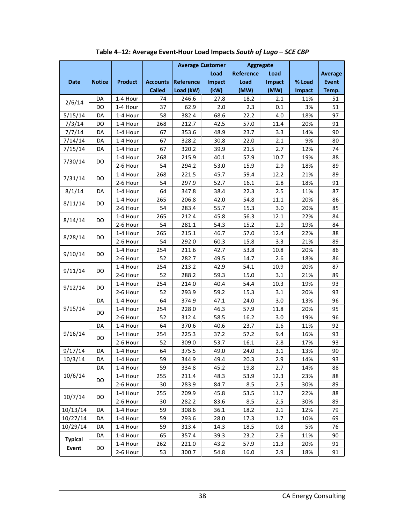|                |               |                |                 | <b>Average Customer</b> |        | <b>Aggregate</b> |        |        |                |
|----------------|---------------|----------------|-----------------|-------------------------|--------|------------------|--------|--------|----------------|
|                |               |                |                 |                         | Load   | Reference        | Load   |        | <b>Average</b> |
| <b>Date</b>    | <b>Notice</b> | <b>Product</b> | <b>Accounts</b> | <b>Reference</b>        | Impact | Load             | Impact | % Load | <b>Event</b>   |
|                |               |                | <b>Called</b>   | Load (kW)               | (kW)   | (MW)             | (MW)   | Impact | Temp.          |
| 2/6/14         | DA            | 1-4 Hour       | 74              | 246.6                   | 27.8   | 18.2             | 2.1    | 11%    | 51             |
|                | DO            | 1-4 Hour       | 37              | 62.9                    | 2.0    | 2.3              | 0.1    | 3%     | 51             |
| 5/15/14        | DA            | 1-4 Hour       | 58              | 382.4                   | 68.6   | 22.2             | 4.0    | 18%    | 97             |
| 7/3/14         | DO            | 1-4 Hour       | 268             | 212.7                   | 42.5   | 57.0             | 11.4   | 20%    | 91             |
| 7/7/14         | DA            | 1-4 Hour       | 67              | 353.6                   | 48.9   | 23.7             | 3.3    | 14%    | 90             |
| 7/14/14        | DA            | 1-4 Hour       | 67              | 328.2                   | 30.8   | 22.0             | 2.1    | 9%     | 80             |
| 7/15/14        | DA            | 1-4 Hour       | 67              | 320.2                   | 39.9   | 21.5             | 2.7    | 12%    | 74             |
| 7/30/14        | DO            | 1-4 Hour       | 268             | 215.9                   | 40.1   | 57.9             | 10.7   | 19%    | 88             |
|                |               | 2-6 Hour       | 54              | 294.2                   | 53.0   | 15.9             | 2.9    | 18%    | 89             |
| 7/31/14        | DO            | 1-4 Hour       | 268             | 221.5                   | 45.7   | 59.4             | 12.2   | 21%    | 89             |
|                |               | 2-6 Hour       | 54              | 297.9                   | 52.7   | 16.1             | 2.8    | 18%    | 91             |
| 8/1/14         | DA            | 1-4 Hour       | 64              | 347.8                   | 38.4   | 22.3             | 2.5    | 11%    | 87             |
| 8/11/14        | DO            | 1-4 Hour       | 265             | 206.8                   | 42.0   | 54.8             | 11.1   | 20%    | 86             |
|                |               | 2-6 Hour       | 54              | 283.4                   | 55.7   | 15.3             | 3.0    | 20%    | 85             |
| 8/14/14        | DO            | 1-4 Hour       | 265             | 212.4                   | 45.8   | 56.3             | 12.1   | 22%    | 84             |
|                |               | 2-6 Hour       | 54              | 281.1                   | 54.3   | 15.2             | 2.9    | 19%    | 84             |
| 8/28/14        | DO            | 1-4 Hour       | 265             | 215.1                   | 46.7   | 57.0             | 12.4   | 22%    | 88             |
|                |               | 2-6 Hour       | 54              | 292.0                   | 60.3   | 15.8             | 3.3    | 21%    | 89             |
| 9/10/14        | DO            | 1-4 Hour       | 254             | 211.6                   | 42.7   | 53.8             | 10.8   | 20%    | 86             |
|                |               | 2-6 Hour       | 52              | 282.7                   | 49.5   | 14.7             | 2.6    | 18%    | 86             |
| 9/11/14        | DO            | 1-4 Hour       | 254             | 213.2                   | 42.9   | 54.1             | 10.9   | 20%    | 87             |
|                |               | 2-6 Hour       | 52              | 288.2                   | 59.3   | 15.0             | 3.1    | 21%    | 89             |
| 9/12/14        | DO            | 1-4 Hour       | 254             | 214.0                   | 40.4   | 54.4             | 10.3   | 19%    | 93             |
|                |               | 2-6 Hour       | 52              | 293.9                   | 59.2   | 15.3             | 3.1    | 20%    | 93             |
|                | DA            | 1-4 Hour       | 64              | 374.9                   | 47.1   | 24.0             | 3.0    | 13%    | 96             |
| 9/15/14        | DO            | 1-4 Hour       | 254             | 228.0                   | 46.3   | 57.9             | 11.8   | 20%    | 95             |
|                |               | 2-6 Hour       | 52              | 312.4                   | 58.5   | 16.2             | 3.0    | 19%    | 96             |
|                | DA            | 1-4 Hour       | 64              | 370.6                   | 40.6   | 23.7             | 2.6    | 11%    | 92             |
| 9/16/14        | DO            | 1-4 Hour       | 254             | 225.3                   | 37.2   | 57.2             | 9.4    | 16%    | 93             |
|                |               | 2-6 Hour       | 52              | 309.0                   | 53.7   | 16.1             | 2.8    | 17%    | 93             |
| 9/17/14        | DA            | 1-4 Hour       | 64              | 375.5                   | 49.0   | 24.0             | 3.1    | 13%    | 90             |
| 10/3/14        | DA            | 1-4 Hour       | 59              | 344.9                   | 49.4   | 20.3             | 2.9    | 14%    | 93             |
|                | DA            | 1-4 Hour       | 59              | 334.8                   | 45.2   | 19.8             | 2.7    | 14%    | 88             |
| 10/6/14        | DO            | 1-4 Hour       | 255             | 211.4                   | 48.3   | 53.9             | 12.3   | 23%    | 88             |
|                |               | 2-6 Hour       | 30              | 283.9                   | 84.7   | 8.5              | 2.5    | 30%    | 89             |
| 10/7/14        | DO.           | 1-4 Hour       | 255             | 209.9                   | 45.8   | 53.5             | 11.7   | 22%    | 88             |
|                |               | 2-6 Hour       | 30              | 282.2                   | 83.6   | 8.5              | 2.5    | 30%    | 89             |
| 10/13/14       | DA            | 1-4 Hour       | 59              | 308.6                   | 36.1   | 18.2             | 2.1    | 12%    | 79             |
| 10/27/14       | DA            | 1-4 Hour       | 59              | 293.6                   | 28.0   | 17.3             | 1.7    | 10%    | 69             |
| 10/29/14       | DA            | 1-4 Hour       | 59              | 313.4                   | 14.3   | 18.5             | 0.8    | 5%     | 76             |
| <b>Typical</b> | DA            | 1-4 Hour       | 65              | 357.4                   | 39.3   | 23.2             | 2.6    | 11%    | 90             |
| Event          | DO            | 1-4 Hour       | 262             | 221.0                   | 43.2   | 57.9             | 11.3   | 20%    | 91             |
|                |               | 2-6 Hour       | 53              | 300.7                   | 54.8   | 16.0             | 2.9    | 18%    | 91             |

**Table 4–12: Average Event-Hour Load Impacts** *South of Lugo* **–** *SCE CBP*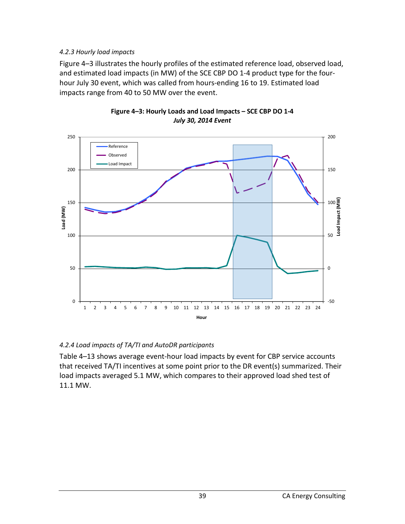### *4.2.3 Hourly load impacts*

Figure 4–3 illustrates the hourly profiles of the estimated reference load, observed load, and estimated load impacts (in MW) of the SCE CBP DO 1-4 product type for the fourhour July 30 event, which was called from hours-ending 16 to 19. Estimated load impacts range from 40 to 50 MW over the event.





### *4.2.4 Load impacts of TA/TI and AutoDR participants*

Table 4–13 shows average event-hour load impacts by event for CBP service accounts that received TA/TI incentives at some point prior to the DR event(s) summarized. Their load impacts averaged 5.1 MW, which compares to their approved load shed test of 11.1 MW.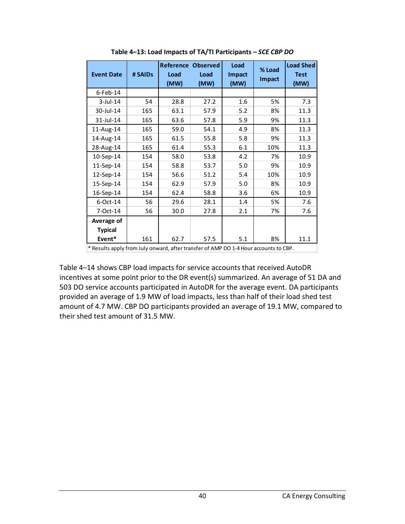| <b>Event Date</b>                                                                    | # SAIDs | Reference<br>Load<br>(MW) | <b>Observed</b><br>Load<br>(MW) | Load<br>Impact<br>(MW) | % Load<br>Impact | <b>Load Shed</b><br><b>Test</b><br>(MW) |
|--------------------------------------------------------------------------------------|---------|---------------------------|---------------------------------|------------------------|------------------|-----------------------------------------|
| $6$ -Feb-14                                                                          |         |                           |                                 |                        |                  |                                         |
| $3$ -Jul-14                                                                          | 54      | 28.8                      | 27.2                            | 1.6                    | 5%               | 7.3                                     |
| 30-Jul-14                                                                            | 165     | 63.1                      | 57.9                            | 5.2                    | 8%               | 11.3                                    |
| 31-Jul-14                                                                            | 165     | 63.6                      | 57.8                            | 5.9                    | 9%               | 11.3                                    |
| 11-Aug-14                                                                            | 165     | 59.0                      | 54.1                            | 4.9                    | 8%               | 11.3                                    |
| 14-Aug-14                                                                            | 165     | 61.5                      | 55.8                            | 5.8                    | 9%               | 11.3                                    |
| 28-Aug-14                                                                            | 165     | 61.4                      | 55.3                            | 6.1                    | 10%              | 11.3                                    |
| 10-Sep-14                                                                            | 154     | 58.0                      | 53.8                            | 4.2                    | 7%               | 10.9                                    |
| 11-Sep-14                                                                            | 154     | 58.8                      | 53.7                            | 5.0                    | 9%               | 10.9                                    |
| 12-Sep-14                                                                            | 154     | 56.6                      | 51.2                            | 5.4                    | 10%              | 10.9                                    |
| 15-Sep-14                                                                            | 154     | 62.9                      | 57.9                            | 5.0                    | 8%               | 10.9                                    |
| 16-Sep-14                                                                            | 154     | 62.4                      | 58.8                            | 3.6                    | 6%               | 10.9                                    |
| 6-Oct-14                                                                             | 56      | 29.6                      | 28.1                            | 1.4                    | 5%               | 7.6                                     |
| 7-Oct-14                                                                             | 56      | 30.0                      | 27.8                            | 2.1                    | 7%               | 7.6                                     |
| Average of                                                                           |         |                           |                                 |                        |                  |                                         |
| <b>Typical</b>                                                                       |         |                           |                                 |                        |                  |                                         |
| Event*                                                                               | 161     | 62.7                      | 57.5                            | 5.1                    | 8%               | 11.1                                    |
| * Results apply from July onward, after transfer of AMP DO 1-4 Hour accounts to CBP. |         |                           |                                 |                        |                  |                                         |

**Table 4–13: Load Impacts of TA/TI Participants –** *SCE CBP DO*

Table 4–14 shows CBP load impacts for service accounts that received AutoDR incentives at some point prior to the DR event(s) summarized. An average of 51 DA and 503 DO service accounts participated in AutoDR for the average event. DA participants provided an average of 1.9 MW of load impacts, less than half of their load shed test amount of 4.7 MW. CBP DO participants provided an average of 19.1 MW, compared to their shed test amount of 31.5 MW.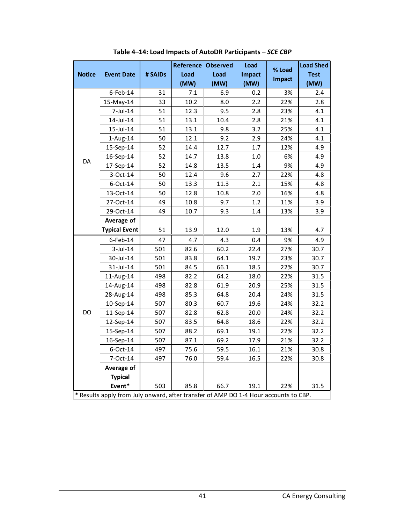|               |                                                                                      |         | <b>Reference Observed</b> |      | Load    | % Load | <b>Load Shed</b> |
|---------------|--------------------------------------------------------------------------------------|---------|---------------------------|------|---------|--------|------------------|
| <b>Notice</b> | <b>Event Date</b>                                                                    | # SAIDs | Load                      | Load | Impact  | Impact | <b>Test</b>      |
|               |                                                                                      |         | (MW)                      | (MW) | (MW)    |        | (MW)             |
|               | $6$ -Feb-14                                                                          | 31      | 7.1                       | 6.9  | 0.2     | 3%     | 2.4              |
|               | 15-May-14                                                                            | 33      | 10.2                      | 8.0  | 2.2     | 22%    | 2.8              |
|               | 7-Jul-14                                                                             | 51      | 12.3                      | 9.5  | 2.8     | 23%    | 4.1              |
| DA            | 14-Jul-14                                                                            | 51      | 13.1                      | 10.4 | 2.8     | 21%    | 4.1              |
|               | 15-Jul-14                                                                            | 51      | 13.1                      | 9.8  | 3.2     | 25%    | 4.1              |
|               | $1-Aug-14$                                                                           | 50      | 12.1                      | 9.2  | 2.9     | 24%    | 4.1              |
|               | 15-Sep-14                                                                            | 52      | 14.4                      | 12.7 | 1.7     | 12%    | 4.9              |
|               | 16-Sep-14                                                                            | 52      | 14.7                      | 13.8 | $1.0\,$ | 6%     | 4.9              |
|               | 17-Sep-14                                                                            | 52      | 14.8                      | 13.5 | 1.4     | 9%     | 4.9              |
|               | 3-Oct-14                                                                             | 50      | 12.4                      | 9.6  | 2.7     | 22%    | 4.8              |
|               | 6-Oct-14                                                                             | 50      | 13.3                      | 11.3 | 2.1     | 15%    | 4.8              |
|               | 13-Oct-14                                                                            | 50      | 12.8                      | 10.8 | 2.0     | 16%    | 4.8              |
|               | 27-Oct-14                                                                            | 49      | 10.8                      | 9.7  | 1.2     | 11%    | 3.9              |
|               | 29-Oct-14                                                                            | 49      | 10.7                      | 9.3  | 1.4     | 13%    | 3.9              |
|               | Average of                                                                           |         |                           |      |         |        |                  |
|               | <b>Typical Event</b>                                                                 | 51      | 13.9                      | 12.0 | 1.9     | 13%    | 4.7              |
|               | $6$ -Feb-14                                                                          | 47      | 4.7                       | 4.3  | 0.4     | 9%     | 4.9              |
|               | $3$ -Jul-14                                                                          | 501     | 82.6                      | 60.2 | 22.4    | 27%    | 30.7             |
|               | 30-Jul-14                                                                            | 501     | 83.8                      | 64.1 | 19.7    | 23%    | 30.7             |
|               | 31-Jul-14                                                                            | 501     | 84.5                      | 66.1 | 18.5    | 22%    | 30.7             |
|               | 11-Aug-14                                                                            | 498     | 82.2                      | 64.2 | 18.0    | 22%    | 31.5             |
|               | 14-Aug-14                                                                            | 498     | 82.8                      | 61.9 | 20.9    | 25%    | 31.5             |
|               | 28-Aug-14                                                                            | 498     | 85.3                      | 64.8 | 20.4    | 24%    | 31.5             |
|               | 10-Sep-14                                                                            | 507     | 80.3                      | 60.7 | 19.6    | 24%    | 32.2             |
| DO            | 11-Sep-14                                                                            | 507     | 82.8                      | 62.8 | 20.0    | 24%    | 32.2             |
|               | 12-Sep-14                                                                            | 507     | 83.5                      | 64.8 | 18.6    | 22%    | 32.2             |
|               | 15-Sep-14                                                                            | 507     | 88.2                      | 69.1 | 19.1    | 22%    | 32.2             |
|               | 16-Sep-14                                                                            | 507     | 87.1                      | 69.2 | 17.9    | 21%    | 32.2             |
|               | 6-Oct-14                                                                             | 497     | 75.6                      | 59.5 | 16.1    | 21%    | 30.8             |
|               | 7-Oct-14                                                                             | 497     | 76.0                      | 59.4 | 16.5    | 22%    | 30.8             |
|               | Average of                                                                           |         |                           |      |         |        |                  |
|               | <b>Typical</b>                                                                       |         |                           |      |         |        |                  |
|               | Event*                                                                               | 503     | 85.8                      | 66.7 | 19.1    | 22%    | 31.5             |
|               | * Results apply from July onward, after transfer of AMP DO 1-4 Hour accounts to CBP. |         |                           |      |         |        |                  |

**Table 4–14: Load Impacts of AutoDR Participants –** *SCE CBP*

\* Results apply from July onward, after transfer of AMP DO 1-4 Hour accounts to CBP.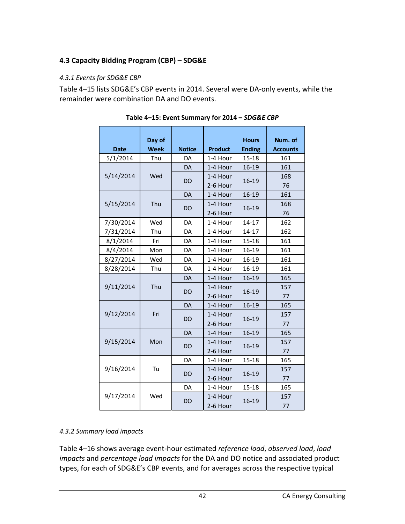## **4.3 Capacity Bidding Program (CBP) – SDG&E**

### *4.3.1 Events for SDG&E CBP*

Table 4–15 lists SDG&E's CBP events in 2014. Several were DA-only events, while the remainder were combination DA and DO events.

| <b>Date</b> | Day of<br><b>Week</b> | <b>Notice</b> | <b>Product</b> | <b>Hours</b><br><b>Ending</b> | Num. of<br><b>Accounts</b> |
|-------------|-----------------------|---------------|----------------|-------------------------------|----------------------------|
| 5/1/2014    | Thu                   | DA            | 1-4 Hour       | $15 - 18$                     | 161                        |
|             |                       | <b>DA</b>     | 1-4 Hour       | 16-19                         | 161                        |
| 5/14/2014   | Wed                   | <b>DO</b>     | 1-4 Hour       | 16-19                         | 168                        |
|             |                       |               | 2-6 Hour       |                               | 76                         |
|             |                       | <b>DA</b>     | 1-4 Hour       | 16-19                         | 161                        |
| 5/15/2014   | Thu                   | <b>DO</b>     | 1-4 Hour       | 16-19                         | 168                        |
|             |                       |               | 2-6 Hour       |                               | 76                         |
| 7/30/2014   | Wed                   | DA            | 1-4 Hour       | $14 - 17$                     | 162                        |
| 7/31/2014   | Thu                   | DA            | 1-4 Hour       | $14 - 17$                     | 162                        |
| 8/1/2014    | Fri                   | DA            | 1-4 Hour       | 15-18                         | 161                        |
| 8/4/2014    | Mon                   | DA            | 1-4 Hour       | 16-19                         | 161                        |
| 8/27/2014   | Wed                   | DA            | 1-4 Hour       | 16-19                         | 161                        |
| 8/28/2014   | Thu                   | DA            | 1-4 Hour       | 16-19                         | 161                        |
|             |                       | <b>DA</b>     | 1-4 Hour       | 16-19                         | 165                        |
| 9/11/2014   | Thu                   | <b>DO</b>     | 1-4 Hour       | 16-19                         | 157                        |
|             |                       |               | 2-6 Hour       |                               | 77                         |
|             |                       | DA            | 1-4 Hour       | 16-19                         | 165                        |
| 9/12/2014   | Fri                   | <b>DO</b>     | 1-4 Hour       | 16-19                         | 157                        |
|             |                       |               | 2-6 Hour       |                               | 77                         |
|             |                       | DA            | 1-4 Hour       | 16-19                         | 165                        |
| 9/15/2014   | Mon                   | <b>DO</b>     | 1-4 Hour       | 16-19                         | 157                        |
|             |                       |               | 2-6 Hour       |                               | 77                         |
|             |                       | DA            | 1-4 Hour       | $15 - 18$                     | 165                        |
| 9/16/2014   | Tu                    | DO            | 1-4 Hour       | 16-19                         | 157                        |
|             |                       |               | 2-6 Hour       |                               | 77                         |
|             |                       | DA            | 1-4 Hour       | 15-18                         | 165                        |
| 9/17/2014   | Wed                   | DO            | 1-4 Hour       | 16-19                         | 157                        |
|             |                       |               | 2-6 Hour       |                               | 77                         |

| Table 4-15: Event Summary for 2014 - SDG&E CBP |
|------------------------------------------------|
|------------------------------------------------|

### *4.3.2 Summary load impacts*

Table 4–16 shows average event-hour estimated *reference load*, *observed load*, *load impacts* and *percentage load impacts* for the DA and DO notice and associated product types, for each of SDG&E's CBP events, and for averages across the respective typical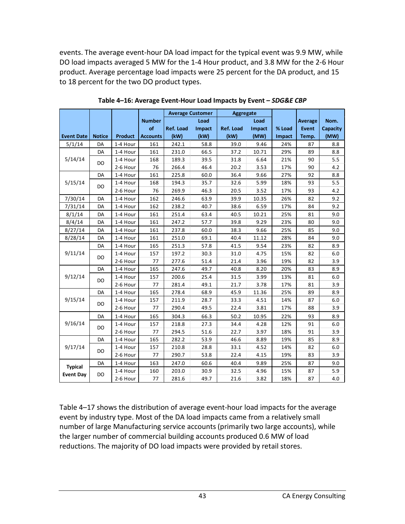events. The average event-hour DA load impact for the typical event was 9.9 MW, while DO load impacts averaged 5 MW for the 1-4 Hour product, and 3.8 MW for the 2-6 Hour product. Average percentage load impacts were 25 percent for the DA product, and 15 to 18 percent for the two DO product types.

|                   |               |                |                 | <b>Average Customer</b> |        | Aggregate |        |        |                |          |
|-------------------|---------------|----------------|-----------------|-------------------------|--------|-----------|--------|--------|----------------|----------|
|                   |               |                | <b>Number</b>   |                         | Load   |           | Load   |        | <b>Average</b> | Nom.     |
|                   |               |                | of              | <b>Ref. Load</b>        | Impact | Ref. Load | Impact | % Load | <b>Event</b>   | Capacity |
| <b>Event Date</b> | <b>Notice</b> | <b>Product</b> | <b>Accounts</b> | (kW)                    | (kW)   | (kW)      | (MW)   | Impact | Temp.          | (MW)     |
| 5/1/14            | DA            | 1-4 Hour       | 161             | 242.1                   | 58.8   | 39.0      | 9.46   | 24%    | 87             | 8.8      |
|                   | DA            | 1-4 Hour       | 161             | 231.0                   | 66.5   | 37.2      | 10.71  | 29%    | 89             | 8.8      |
| 5/14/14           | DO            | 1-4 Hour       | 168             | 189.3                   | 39.5   | 31.8      | 6.64   | 21%    | 90             | 5.5      |
|                   |               | 2-6 Hour       | 76              | 266.4                   | 46.4   | 20.2      | 3.53   | 17%    | 90             | 4.2      |
|                   | DA            | 1-4 Hour       | 161             | 225.8                   | 60.0   | 36.4      | 9.66   | 27%    | 92             | 8.8      |
| 5/15/14           | DO            | 1-4 Hour       | 168             | 194.3                   | 35.7   | 32.6      | 5.99   | 18%    | 93             | 5.5      |
|                   |               | 2-6 Hour       | 76              | 269.9                   | 46.3   | 20.5      | 3.52   | 17%    | 93             | 4.2      |
| 7/30/14           | DA            | 1-4 Hour       | 162             | 246.6                   | 63.9   | 39.9      | 10.35  | 26%    | 82             | 9.2      |
| 7/31/14           | DA            | 1-4 Hour       | 162             | 238.2                   | 40.7   | 38.6      | 6.59   | 17%    | 84             | 9.2      |
| 8/1/14            | DA            | 1-4 Hour       | 161             | 251.4                   | 63.4   | 40.5      | 10.21  | 25%    | 81             | 9.0      |
| 8/4/14            | DA            | 1-4 Hour       | 161             | 247.2                   | 57.7   | 39.8      | 9.29   | 23%    | 80             | 9.0      |
| 8/27/14           | DA            | 1-4 Hour       | 161             | 237.8                   | 60.0   | 38.3      | 9.66   | 25%    | 85             | 9.0      |
| 8/28/14           | DA            | 1-4 Hour       | 161             | 251.0                   | 69.1   | 40.4      | 11.12  | 28%    | 84             | 9.0      |
|                   | DA            | 1-4 Hour       | 165             | 251.3                   | 57.8   | 41.5      | 9.54   | 23%    | 82             | 8.9      |
| 9/11/14           | DO            | 1-4 Hour       | 157             | 197.2                   | 30.3   | 31.0      | 4.75   | 15%    | 82             | 6.0      |
|                   |               | 2-6 Hour       | 77              | 277.6                   | 51.4   | 21.4      | 3.96   | 19%    | 82             | 3.9      |
|                   | DA            | 1-4 Hour       | 165             | 247.6                   | 49.7   | 40.8      | 8.20   | 20%    | 83             | 8.9      |
| 9/12/14           | DO            | 1-4 Hour       | 157             | 200.6                   | 25.4   | 31.5      | 3.99   | 13%    | 81             | 6.0      |
|                   |               | 2-6 Hour       | 77              | 281.4                   | 49.1   | 21.7      | 3.78   | 17%    | 81             | 3.9      |
|                   | DA            | 1-4 Hour       | 165             | 278.4                   | 68.9   | 45.9      | 11.36  | 25%    | 89             | 8.9      |
| 9/15/14           | DO            | 1-4 Hour       | 157             | 211.9                   | 28.7   | 33.3      | 4.51   | 14%    | 87             | 6.0      |
|                   |               | 2-6 Hour       | 77              | 290.4                   | 49.5   | 22.4      | 3.81   | 17%    | 88             | 3.9      |
|                   | DA            | 1-4 Hour       | 165             | 304.3                   | 66.3   | 50.2      | 10.95  | 22%    | 93             | 8.9      |
| 9/16/14           |               | 1-4 Hour       | 157             | 218.8                   | 27.3   | 34.4      | 4.28   | 12%    | 91             | 6.0      |
|                   | DO            | 2-6 Hour       | 77              | 294.5                   | 51.6   | 22.7      | 3.97   | 18%    | 91             | 3.9      |
|                   | DA            | 1-4 Hour       | 165             | 282.2                   | 53.9   | 46.6      | 8.89   | 19%    | 85             | 8.9      |
| 9/17/14           |               | 1-4 Hour       | 157             | 210.8                   | 28.8   | 33.1      | 4.52   | 14%    | 82             | 6.0      |
|                   | DO            | 2-6 Hour       | 77              | 290.7                   | 53.8   | 22.4      | 4.15   | 19%    | 83             | 3.9      |
|                   | DA            | 1-4 Hour       | 163             | 247.0                   | 60.6   | 40.4      | 9.89   | 25%    | 87             | 9.0      |
| <b>Typical</b>    |               | 1-4 Hour       | 160             | 203.0                   | 30.9   | 32.5      | 4.96   | 15%    | 87             | 5.9      |
| <b>Event Day</b>  | DO            | 2-6 Hour       | 77              | 281.6                   | 49.7   | 21.6      | 3.82   | 18%    | 87             | 4.0      |

**Table 4–16: Average Event-Hour Load Impacts by Event –** *SDG&E CBP*

Table 4–17 shows the distribution of average event-hour load impacts for the average event by industry type. Most of the DA load impacts came from a relatively small number of large Manufacturing service accounts (primarily two large accounts), while the larger number of commercial building accounts produced 0.6 MW of load reductions. The majority of DO load impacts were provided by retail stores.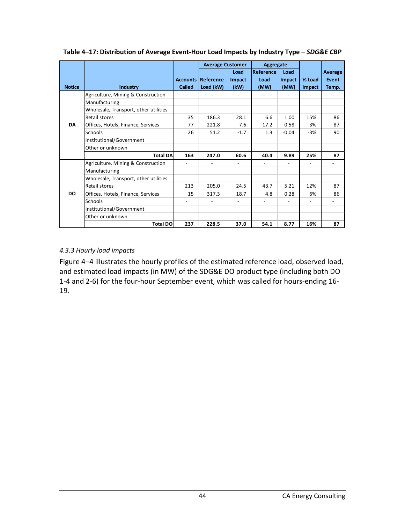|               |                                       |                 | <b>Average Customer</b> |                          | Aggregate        |         |        |         |
|---------------|---------------------------------------|-----------------|-------------------------|--------------------------|------------------|---------|--------|---------|
|               |                                       |                 |                         | Load                     | <b>Reference</b> | Load    |        | Average |
|               |                                       | <b>Accounts</b> | Reference               | Impact                   | Load             | Impact  | % Load | Event   |
| <b>Notice</b> | <b>Industry</b>                       | Called          | Load (kW)               | (kW)                     | (MW)             | (MW)    | Impact | Temp.   |
|               | Agriculture, Mining & Construction    |                 |                         |                          |                  |         |        |         |
|               | Manufacturing                         |                 |                         |                          |                  |         |        |         |
|               | Wholesale, Transport, other utilities |                 |                         |                          |                  |         |        |         |
|               | Retail stores                         | 35              | 186.3                   | 28.1                     | 6.6              | 1.00    | 15%    | 86      |
| <b>DA</b>     | Offices, Hotels, Finance, Services    | 77              | 221.8                   | 7.6                      | 17.2             | 0.58    | 3%     | 87      |
|               | Schools                               | 26              | 51.2                    | $-1.7$                   | 1.3              | $-0.04$ | $-3%$  | 90      |
|               | Institutional/Government              |                 |                         |                          |                  |         |        |         |
|               | Other or unknown                      |                 |                         |                          |                  |         |        |         |
|               | <b>Total DA</b>                       | 163             | 247.0                   | 60.6                     | 40.4             | 9.89    | 25%    | 87      |
|               | Agriculture, Mining & Construction    |                 |                         |                          |                  |         |        |         |
|               | Manufacturing                         |                 |                         |                          |                  |         |        |         |
|               | Wholesale, Transport, other utilities |                 |                         |                          |                  |         |        |         |
|               | Retail stores                         | 213             | 205.0                   | 24.5                     | 43.7             | 5.21    | 12%    | 87      |
| <b>DO</b>     | Offices, Hotels, Finance, Services    | 15              | 317.3                   | 18.7                     | 4.8              | 0.28    | 6%     | 86      |
|               | Schools                               |                 |                         | $\overline{\phantom{0}}$ |                  |         |        |         |
|               | Institutional/Government              |                 |                         |                          |                  |         |        |         |
|               | Other or unknown                      |                 |                         |                          |                  |         |        |         |
|               | <b>Total DO</b>                       | 237             | 228.5                   | 37.0                     | 54.1             | 8.77    | 16%    | 87      |

**Table 4–17: Distribution of Average Event-Hour Load Impacts by Industry Type –** *SDG&E CBP*

#### *4.3.3 Hourly load impacts*

Figure 4–4 illustrates the hourly profiles of the estimated reference load, observed load, and estimated load impacts (in MW) of the SDG&E DO product type (including both DO 1-4 and 2-6) for the four-hour September event, which was called for hours-ending 16- 19.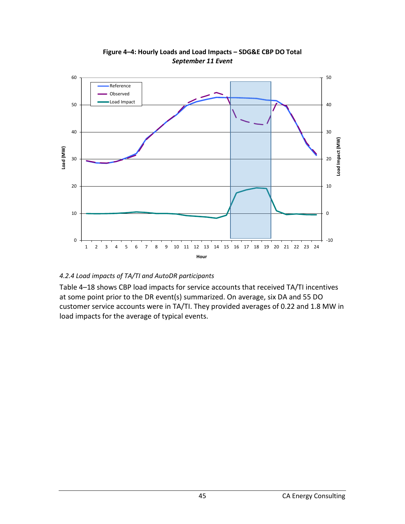

**Figure 4–4: Hourly Loads and Load Impacts – SDG&E CBP DO Total** *September 11 Event*

#### *4.2.4 Load impacts of TA/TI and AutoDR participants*

Table 4–18 shows CBP load impacts for service accounts that received TA/TI incentives at some point prior to the DR event(s) summarized. On average, six DA and 55 DO customer service accounts were in TA/TI. They provided averages of 0.22 and 1.8 MW in load impacts for the average of typical events.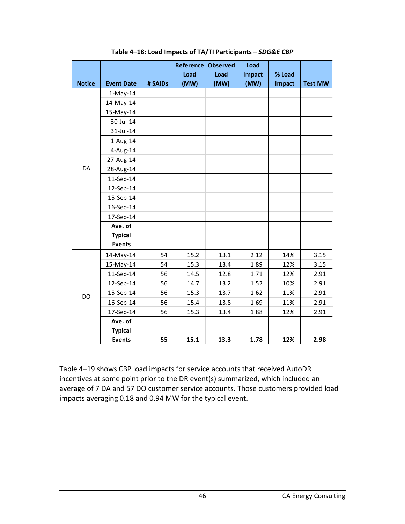|               |                   |         | <b>Reference Observed</b> |      | Load          |               |                |
|---------------|-------------------|---------|---------------------------|------|---------------|---------------|----------------|
|               |                   |         | Load                      | Load | <b>Impact</b> | % Load        |                |
| <b>Notice</b> | <b>Event Date</b> | # SAIDs | (MW)                      | (MW) | (MW)          | <b>Impact</b> | <b>Test MW</b> |
|               | $1-May-14$        |         |                           |      |               |               |                |
|               | 14-May-14         |         |                           |      |               |               |                |
|               | 15-May-14         |         |                           |      |               |               |                |
|               | 30-Jul-14         |         |                           |      |               |               |                |
|               | 31-Jul-14         |         |                           |      |               |               |                |
|               | $1-Aug-14$        |         |                           |      |               |               |                |
|               | 4-Aug-14          |         |                           |      |               |               |                |
|               | 27-Aug-14         |         |                           |      |               |               |                |
| DA            | 28-Aug-14         |         |                           |      |               |               |                |
|               | 11-Sep-14         |         |                           |      |               |               |                |
|               | 12-Sep-14         |         |                           |      |               |               |                |
|               | 15-Sep-14         |         |                           |      |               |               |                |
|               | 16-Sep-14         |         |                           |      |               |               |                |
|               | 17-Sep-14         |         |                           |      |               |               |                |
|               | Ave. of           |         |                           |      |               |               |                |
|               | <b>Typical</b>    |         |                           |      |               |               |                |
|               | <b>Events</b>     |         |                           |      |               |               |                |
|               | 14-May-14         | 54      | 15.2                      | 13.1 | 2.12          | 14%           | 3.15           |
|               | 15-May-14         | 54      | 15.3                      | 13.4 | 1.89          | 12%           | 3.15           |
|               | 11-Sep-14         | 56      | 14.5                      | 12.8 | 1.71          | 12%           | 2.91           |
|               | 12-Sep-14         | 56      | 14.7                      | 13.2 | 1.52          | 10%           | 2.91           |
| <b>DO</b>     | 15-Sep-14         | 56      | 15.3                      | 13.7 | 1.62          | 11%           | 2.91           |
|               | 16-Sep-14         | 56      | 15.4                      | 13.8 | 1.69          | 11%           | 2.91           |
|               | 17-Sep-14         | 56      | 15.3                      | 13.4 | 1.88          | 12%           | 2.91           |
|               | Ave. of           |         |                           |      |               |               |                |
|               | <b>Typical</b>    |         |                           |      |               |               |                |
|               | <b>Events</b>     | 55      | 15.1                      | 13.3 | 1.78          | 12%           | 2.98           |

**Table 4–18: Load Impacts of TA/TI Participants –** *SDG&E CBP*

Table 4–19 shows CBP load impacts for service accounts that received AutoDR incentives at some point prior to the DR event(s) summarized, which included an average of 7 DA and 57 DO customer service accounts. Those customers provided load impacts averaging 0.18 and 0.94 MW for the typical event.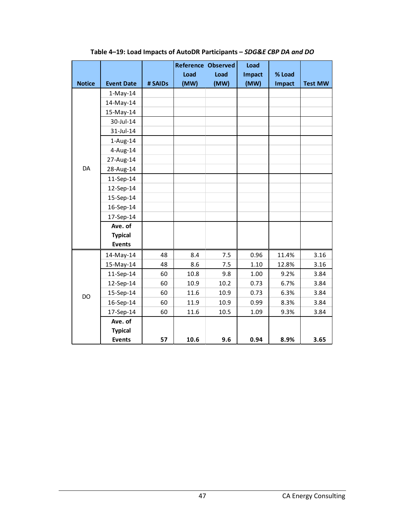|               |                   |         | <b>Reference Observed</b> |      | Load          |        |                |
|---------------|-------------------|---------|---------------------------|------|---------------|--------|----------------|
|               |                   |         | Load                      | Load | <b>Impact</b> | % Load |                |
| <b>Notice</b> | <b>Event Date</b> | # SAIDs | (MW)                      | (MW) | (MW)          | Impact | <b>Test MW</b> |
|               | $1-May-14$        |         |                           |      |               |        |                |
|               | 14-May-14         |         |                           |      |               |        |                |
|               | 15-May-14         |         |                           |      |               |        |                |
|               | 30-Jul-14         |         |                           |      |               |        |                |
|               | 31-Jul-14         |         |                           |      |               |        |                |
|               | $1$ -Aug- $14$    |         |                           |      |               |        |                |
|               | $4$ -Aug-14       |         |                           |      |               |        |                |
|               | 27-Aug-14         |         |                           |      |               |        |                |
| DA            | 28-Aug-14         |         |                           |      |               |        |                |
|               | 11-Sep-14         |         |                           |      |               |        |                |
|               | 12-Sep-14         |         |                           |      |               |        |                |
|               | 15-Sep-14         |         |                           |      |               |        |                |
|               | 16-Sep-14         |         |                           |      |               |        |                |
|               | 17-Sep-14         |         |                           |      |               |        |                |
|               | Ave. of           |         |                           |      |               |        |                |
|               | <b>Typical</b>    |         |                           |      |               |        |                |
|               | <b>Events</b>     |         |                           |      |               |        |                |
|               | 14-May-14         | 48      | 8.4                       | 7.5  | 0.96          | 11.4%  | 3.16           |
|               | 15-May-14         | 48      | 8.6                       | 7.5  | 1.10          | 12.8%  | 3.16           |
|               | 11-Sep-14         | 60      | 10.8                      | 9.8  | 1.00          | 9.2%   | 3.84           |
|               | 12-Sep-14         | 60      | 10.9                      | 10.2 | 0.73          | 6.7%   | 3.84           |
| <b>DO</b>     | 15-Sep-14         | 60      | 11.6                      | 10.9 | 0.73          | 6.3%   | 3.84           |
|               | 16-Sep-14         | 60      | 11.9                      | 10.9 | 0.99          | 8.3%   | 3.84           |
|               | 17-Sep-14         | 60      | 11.6                      | 10.5 | 1.09          | 9.3%   | 3.84           |
|               | Ave. of           |         |                           |      |               |        |                |
|               | <b>Typical</b>    |         |                           |      |               |        |                |
|               | <b>Events</b>     | 57      | 10.6                      | 9.6  | 0.94          | 8.9%   | 3.65           |

**Table 4–19: Load Impacts of AutoDR Participants –** *SDG&E CBP DA and DO*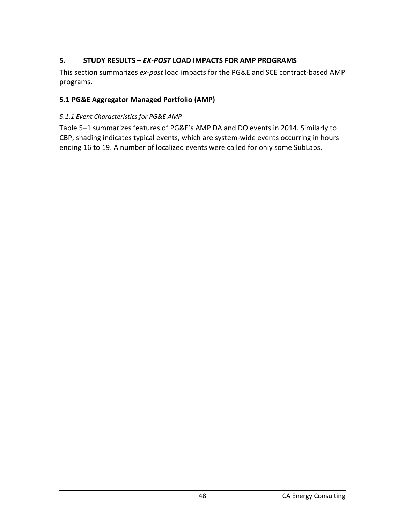### **5. STUDY RESULTS –** *EX-POST* **LOAD IMPACTS FOR AMP PROGRAMS**

This section summarizes *ex-post* load impacts for the PG&E and SCE contract-based AMP programs.

### **5.1 PG&E Aggregator Managed Portfolio (AMP)**

### *5.1.1 Event Characteristics for PG&E AMP*

Table 5–1 summarizes features of PG&E's AMP DA and DO events in 2014. Similarly to CBP, shading indicates typical events, which are system-wide events occurring in hours ending 16 to 19. A number of localized events were called for only some SubLaps.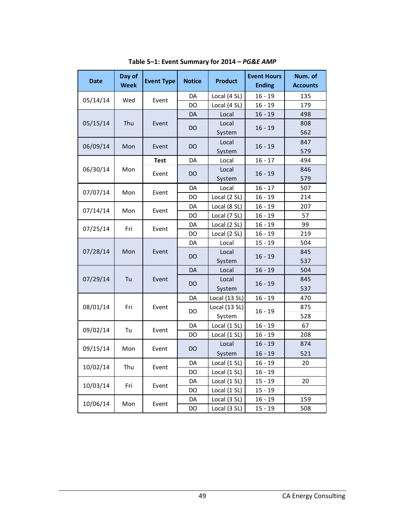| <b>Date</b> | Day of<br><b>Week</b> | <b>Event Type</b> | <b>Notice</b> | <b>Product</b> | <b>Event Hours</b><br><b>Ending</b> | Num. of<br><b>Accounts</b> |
|-------------|-----------------------|-------------------|---------------|----------------|-------------------------------------|----------------------------|
|             |                       |                   | DA            | Local (4 SL)   | $16 - 19$                           | 135                        |
| 05/14/14    | Wed                   | Event             | DO            | Local (4 SL)   | $16 - 19$                           | 179                        |
|             |                       |                   | DA            | Local          | $16 - 19$                           | 498                        |
| 05/15/14    | Thu                   | Event             | DO            | Local          | $16 - 19$                           | 808                        |
|             |                       |                   |               | System         |                                     | 562                        |
| 06/09/14    | Mon                   | Event             | DO            | Local          | $16 - 19$                           | 847                        |
|             |                       |                   |               | System         |                                     | 579                        |
|             |                       | <b>Test</b>       | DA            | Local          | $16 - 17$                           | 494                        |
| 06/30/14    | Mon                   | Event             |               | Local          | $16 - 19$                           | 846                        |
|             |                       |                   | DO<br>System  |                |                                     | 579                        |
| 07/07/14    | Mon                   | Event             | DA<br>Local   |                | $16 - 17$                           | 507                        |
|             |                       |                   | DO            | Local (2 SL)   | $16 - 19$                           | 214                        |
| 07/14/14    | Mon                   | Event             | DA            | Local (8 SL)   | $16 - 19$                           | 207                        |
|             |                       |                   | DO            | Local (7 SL)   | $16 - 19$                           | 57                         |
| 07/25/14    | Fri                   | Event             | DA            | Local (2 SL)   | $16 - 19$                           | 99                         |
|             |                       |                   | DO            | Local (2 SL)   | $16 - 19$                           | 219                        |
|             |                       |                   | DA            | Local          | $15 - 19$                           | 504                        |
| 07/28/14    | Mon                   | Event             | DO            | Local          | 16 - 19                             | 845                        |
|             |                       |                   |               | System         |                                     | 537                        |
|             |                       |                   | <b>DA</b>     | Local          | $16 - 19$                           | 504                        |
| 07/29/14    | Tu                    | Event             | DO            | Local          | $16 - 19$                           | 845                        |
|             |                       |                   |               | System         |                                     | 537                        |
|             |                       |                   | DA            | Local (13 SL)  | $16 - 19$                           | 470                        |
| 08/01/14    | Fri                   | Event             | DO            | Local (13 SL)  | $16 - 19$                           | 875                        |
|             |                       |                   |               | System         |                                     | 528                        |
| 09/02/14    | Tu                    | Event             | DA            | Local (1 SL)   | $16 - 19$                           | 67                         |
|             |                       |                   | DO            | Local (1 SL)   | $16 - 19$                           | 208                        |
| 09/15/14    | Mon                   | Event             | <b>DO</b>     | Local          | $16 - 19$                           | 874                        |
|             |                       |                   |               | System         | 16 - 19                             | 521                        |
| 10/02/14    | Thu                   | Event             | DA            | Local (1 SL)   | $16 - 19$                           | 20                         |
|             |                       |                   | DO            | Local (1 SL)   | $16 - 19$                           |                            |
| 10/03/14    | Fri                   | Event             | DA            | Local (1 SL)   | $15 - 19$                           | 20                         |
|             |                       |                   | DO            | Local (1 SL)   | $15 - 19$                           |                            |
| 10/06/14    | Mon                   | Event             | DA            | Local (3 SL)   | $16 - 19$                           | 159                        |
|             |                       |                   | DO            | Local (3 SL)   | $15 - 19$                           | 508                        |

**Table 5–1: Event Summary for 2014 –** *PG&E AMP*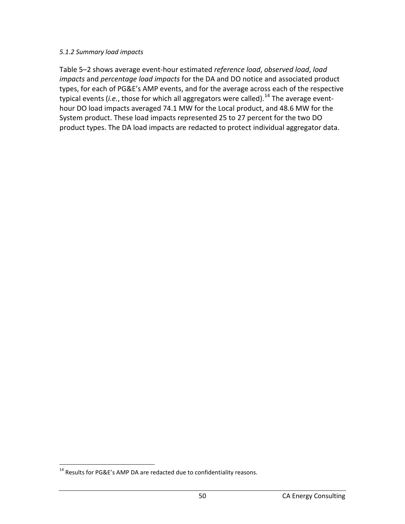#### *5.1.2 Summary load impacts*

Table 5–2 shows average event-hour estimated *reference load*, *observed load*, *load impacts* and *percentage load impacts* for the DA and DO notice and associated product types, for each of PG&E's AMP events, and for the average across each of the respective typical events (*i.e.*, those for which all aggregators were called). [14](#page-50-0) The average eventhour DO load impacts averaged 74.1 MW for the Local product, and 48.6 MW for the System product. These load impacts represented 25 to 27 percent for the two DO product types. The DA load impacts are redacted to protect individual aggregator data.

<span id="page-50-0"></span><sup>&</sup>lt;sup>14</sup> Results for PG&E's AMP DA are redacted due to confidentiality reasons.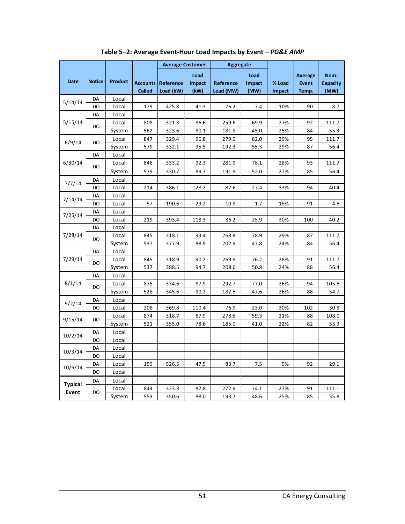|             |               |                |               | <b>Average Customer</b>   |        | <b>Aggregate</b> |        |        |                |          |
|-------------|---------------|----------------|---------------|---------------------------|--------|------------------|--------|--------|----------------|----------|
|             |               |                |               |                           | Load   |                  | Load   |        | <b>Average</b> | Nom.     |
| <b>Date</b> | <b>Notice</b> | <b>Product</b> |               | <b>Accounts Reference</b> | Impact | Reference        | Impact | % Load | <b>Event</b>   | Capacity |
|             |               |                | <b>Called</b> | Load (kW)                 | (kW)   | Load (MW)        | (MW)   | Impact | Temp.          | (MW)     |
|             | DA            | Local          |               |                           |        |                  |        |        |                |          |
| 5/14/14     | DO            | Local          | 179           | 425.8                     | 41.3   | 76.2             | 7.4    | 10%    | 90             | 8.7      |
|             | DA            | Local          |               |                           |        |                  |        |        |                |          |
| 5/15/14     | <b>DO</b>     | Local          | 808           | 321.3                     | 86.6   | 259.6            | 69.9   | 27%    | 92             | 111.7    |
|             |               | System         | 562           | 323.6                     | 80.1   | 181.9            | 45.0   | 25%    | 84             | 55.3     |
| 6/9/14      | DO            | Local          | 847           | 329.4                     | 96.8   | 279.0            | 82.0   | 29%    | 95             | 111.7    |
|             |               | System         | 579           | 332.1                     | 95.5   | 192.3            | 55.3   | 29%    | 87             | 56.4     |
|             | DA            | Local          |               |                           |        |                  |        |        |                |          |
| 6/30/14     | <b>DO</b>     | Local          | 846           | 333.2                     | 92.3   | 281.9            | 78.1   | 28%    | 93             | 111.7    |
|             |               | System         | 579           | 330.7                     | 89.7   | 191.5            | 52.0   | 27%    | 85             | 56.4     |
| 7/7/14      | DA            | Local          |               |                           |        |                  |        |        |                |          |
|             | DO            | Local          | 214           | 386.1                     | 128.2  | 82.6             | 27.4   | 33%    | 94             | 40.4     |
| 7/14/14     | DA            | Local          |               |                           |        |                  |        |        |                |          |
|             | DO            | Local          | 57            | 190.6                     | 29.2   | 10.9             | 1.7    | 15%    | 91             | 4.6      |
| 7/25/14     | DA            | Local          |               |                           |        |                  |        |        |                |          |
|             | DO            | Local          | 219           | 393.4                     | 118.3  | 86.2             | 25.9   | 30%    | 100            | 40.2     |
|             | DA            | Local          |               |                           |        |                  |        |        |                |          |
| 7/28/14     | DO            | Local          | 845           | 318.1                     | 93.4   | 268.8            | 78.9   | 29%    | 87             | 111.7    |
|             |               | System         | 537           | 377.9                     | 88.9   | 202.9            | 47.8   | 24%    | 84             | 56.4     |
|             | DA            | Local          |               |                           |        |                  |        |        |                |          |
| 7/29/14     | DO            | Local          | 845           | 318.9                     | 90.2   | 269.5            | 76.2   | 28%    | 91             | 111.7    |
|             |               | System         | 537           | 388.5                     | 94.7   | 208.6            | 50.8   | 24%    | 88             | 56.4     |
|             | DA            | Local          |               |                           |        |                  |        |        |                |          |
| 8/1/14      | DO            | Local          | 875           | 334.6                     | 87.9   | 292.7            | 77.0   | 26%    | 94             | 105.6    |
|             |               | System         | 528           | 345.6                     | 90.2   | 182.5            | 47.6   | 26%    | 88             | 54.7     |
| 9/2/14      | DA            | Local          |               |                           |        |                  |        |        |                |          |
|             | DO            | Local          | 208           | 369.8                     | 110.4  | 76.9             | 23.0   | 30%    | 102            | 30.8     |
| 9/15/14     | DO            | Local          | 874           | 318.7                     | 67.9   | 278.5            | 59.3   | 21%    | 88             | 108.0    |
|             |               | System         | 521           | 355.0                     | 78.6   | 185.0            | 41.0   | 22%    | 82             | 53.9     |
| 10/2/14     | DA            | Local          |               |                           |        |                  |        |        |                |          |
|             | DO            | Local          |               |                           |        |                  |        |        |                |          |
| 10/3/14     | DA            | Local          |               |                           |        |                  |        |        |                |          |
|             | DO            | Local          |               |                           |        |                  |        |        |                |          |
| 10/6/14     | DA            | Local          | 159           | 526.5                     | 47.5   | 83.7             | 7.5    | 9%     | 92             | 29.1     |
|             | DO            | Local          |               |                           |        |                  |        |        |                |          |
| Typical     | DA            | Local          |               |                           |        |                  |        |        |                |          |
| Event       | DO            | Local          | 844           | 323.3                     | 87.8   | 272.9            | 74.1   | 27%    | 91             | 111.1    |
|             |               | System         | 553           | 350.6                     | 88.0   | 193.7            | 48.6   | 25%    | 85             | 55.8     |

**Table 5–2: Average Event-Hour Load Impacts by Event –** *PG&E AMP*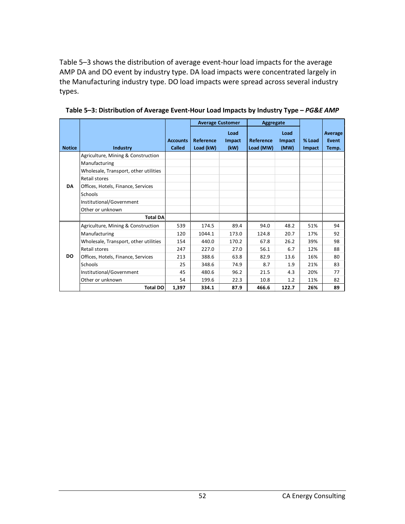Table 5–3 shows the distribution of average event-hour load impacts for the average AMP DA and DO event by industry type. DA load impacts were concentrated largely in the Manufacturing industry type. DO load impacts were spread across several industry types.

|               |                                       |                 | <b>Average Customer</b> |        | Aggregate |        |        |         |
|---------------|---------------------------------------|-----------------|-------------------------|--------|-----------|--------|--------|---------|
|               |                                       |                 |                         | Load   |           | Load   |        | Average |
|               |                                       | <b>Accounts</b> | Reference               | Impact | Reference | Impact | % Load | Event   |
| <b>Notice</b> | Industry                              | Called          | Load (kW)               | (kW)   | Load (MW) | (MW)   | Impact | Temp.   |
|               | Agriculture, Mining & Construction    |                 |                         |        |           |        |        |         |
|               | Manufacturing                         |                 |                         |        |           |        |        |         |
|               | Wholesale, Transport, other utilities |                 |                         |        |           |        |        |         |
|               | Retail stores                         |                 |                         |        |           |        |        |         |
| <b>DA</b>     | Offices, Hotels, Finance, Services    |                 |                         |        |           |        |        |         |
|               | Schools                               |                 |                         |        |           |        |        |         |
|               | Institutional/Government              |                 |                         |        |           |        |        |         |
|               | Other or unknown                      |                 |                         |        |           |        |        |         |
|               | <b>Total DA</b>                       |                 |                         |        |           |        |        |         |
|               | Agriculture, Mining & Construction    | 539             | 174.5                   | 89.4   | 94.0      | 48.2   | 51%    | 94      |
|               | Manufacturing                         | 120             | 1044.1                  | 173.0  | 124.8     | 20.7   | 17%    | 92      |
|               | Wholesale, Transport, other utilities | 154             | 440.0                   | 170.2  | 67.8      | 26.2   | 39%    | 98      |
|               | Retail stores                         | 247             | 227.0                   | 27.0   | 56.1      | 6.7    | 12%    | 88      |
| DO.           | Offices, Hotels, Finance, Services    | 213             | 388.6                   | 63.8   | 82.9      | 13.6   | 16%    | 80      |
|               | Schools                               | 25              | 348.6                   | 74.9   | 8.7       | 1.9    | 21%    | 83      |
|               | Institutional/Government              | 45              | 480.6                   | 96.2   | 21.5      | 4.3    | 20%    | 77      |
|               | Other or unknown                      | 54              | 199.6                   | 22.3   | 10.8      | 1.2    | 11%    | 82      |
|               | <b>Total DO</b>                       | 1,397           | 334.1                   | 87.9   | 466.6     | 122.7  | 26%    | 89      |

**Table 5–3: Distribution of Average Event-Hour Load Impacts by Industry Type –** *PG&E AMP*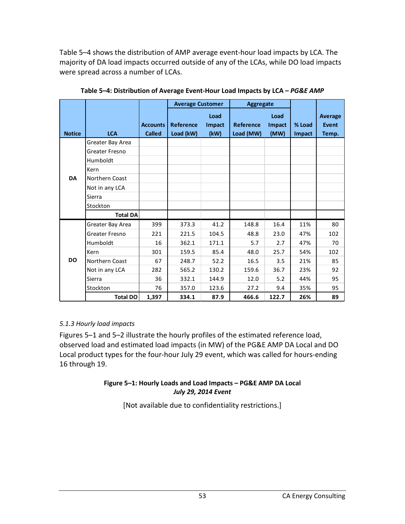Table 5–4 shows the distribution of AMP average event-hour load impacts by LCA. The majority of DA load impacts occurred outside of any of the LCAs, while DO load impacts were spread across a number of LCAs.

|               |                  |                 | <b>Average Customer</b> |        | <b>Aggregate</b> |        |        |         |
|---------------|------------------|-----------------|-------------------------|--------|------------------|--------|--------|---------|
|               |                  |                 |                         | Load   |                  | Load   |        | Average |
|               |                  | <b>Accounts</b> | <b>Reference</b>        | Impact | <b>Reference</b> | Impact | % Load | Event   |
| <b>Notice</b> | <b>LCA</b>       | <b>Called</b>   | Load (kW)               | (kW)   | Load (MW)        | (MW)   | Impact | Temp.   |
|               | Greater Bay Area |                 |                         |        |                  |        |        |         |
|               | Greater Fresno   |                 |                         |        |                  |        |        |         |
|               | Humboldt         |                 |                         |        |                  |        |        |         |
|               | Kern             |                 |                         |        |                  |        |        |         |
| <b>DA</b>     | Northern Coast   |                 |                         |        |                  |        |        |         |
|               | Not in any LCA   |                 |                         |        |                  |        |        |         |
|               | Sierra           |                 |                         |        |                  |        |        |         |
|               | Stockton         |                 |                         |        |                  |        |        |         |
|               | <b>Total DA</b>  |                 |                         |        |                  |        |        |         |
|               | Greater Bay Area | 399             | 373.3                   | 41.2   | 148.8            | 16.4   | 11%    | 80      |
|               | Greater Fresno   | 221             | 221.5                   | 104.5  | 48.8             | 23.0   | 47%    | 102     |
|               | Humboldt         | 16              | 362.1                   | 171.1  | 5.7              | 2.7    | 47%    | 70      |
|               | Kern             | 301             | 159.5                   | 85.4   | 48.0             | 25.7   | 54%    | 102     |
| <b>DO</b>     | Northern Coast   | 67              | 248.7                   | 52.2   | 16.5             | 3.5    | 21%    | 85      |
|               | Not in any LCA   | 282             | 565.2                   | 130.2  | 159.6            | 36.7   | 23%    | 92      |
|               | Sierra           | 36              | 332.1                   | 144.9  | 12.0             | 5.2    | 44%    | 95      |
|               | Stockton         | 76              | 357.0                   | 123.6  | 27.2             | 9.4    | 35%    | 95      |
|               | <b>Total DO</b>  | 1,397           | 334.1                   | 87.9   | 466.6            | 122.7  | 26%    | 89      |

**Table 5–4: Distribution of Average Event-Hour Load Impacts by LCA –** *PG&E AMP*

### *5.1.3 Hourly load impacts*

Figures 5–1 and 5–2 illustrate the hourly profiles of the estimated reference load, observed load and estimated load impacts (in MW) of the PG&E AMP DA Local and DO Local product types for the four-hour July 29 event, which was called for hours-ending 16 through 19.

#### **Figure 5–1: Hourly Loads and Load Impacts – PG&E AMP DA Local** *July 29, 2014 Event*

[Not available due to confidentiality restrictions.]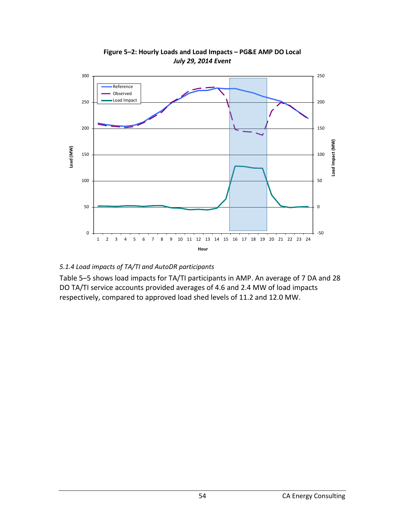

**Figure 5–2: Hourly Loads and Load Impacts – PG&E AMP DO Local** *July 29, 2014 Event*

### *5.1.4 Load impacts of TA/TI and AutoDR participants*

Table 5–5 shows load impacts for TA/TI participants in AMP. An average of 7 DA and 28 DO TA/TI service accounts provided averages of 4.6 and 2.4 MW of load impacts respectively, compared to approved load shed levels of 11.2 and 12.0 MW.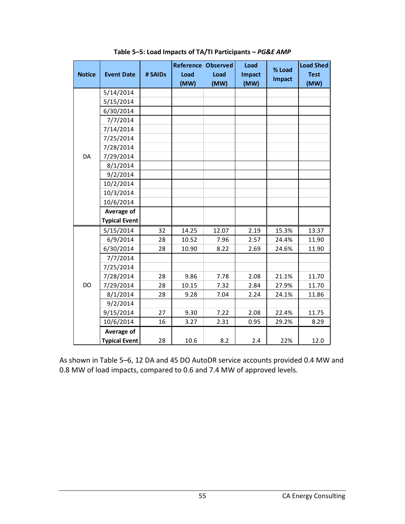|               |                      |         | <b>Reference Observed</b> |       | Load          | % Load | <b>Load Shed</b> |
|---------------|----------------------|---------|---------------------------|-------|---------------|--------|------------------|
| <b>Notice</b> | <b>Event Date</b>    | # SAIDs | Load                      | Load  | <b>Impact</b> | Impact | <b>Test</b>      |
|               |                      |         | (MW)                      | (MW)  | (MW)          |        | (MW)             |
|               | 5/14/2014            |         |                           |       |               |        |                  |
|               | 5/15/2014            |         |                           |       |               |        |                  |
|               | 6/30/2014            |         |                           |       |               |        |                  |
|               | 7/7/2014             |         |                           |       |               |        |                  |
|               | 7/14/2014            |         |                           |       |               |        |                  |
|               | 7/25/2014            |         |                           |       |               |        |                  |
|               | 7/28/2014            |         |                           |       |               |        |                  |
| DA            | 7/29/2014            |         |                           |       |               |        |                  |
|               | 8/1/2014             |         |                           |       |               |        |                  |
|               | 9/2/2014             |         |                           |       |               |        |                  |
|               | 10/2/2014            |         |                           |       |               |        |                  |
|               | 10/3/2014            |         |                           |       |               |        |                  |
|               | 10/6/2014            |         |                           |       |               |        |                  |
|               | Average of           |         |                           |       |               |        |                  |
|               | <b>Typical Event</b> |         |                           |       |               |        |                  |
|               | 5/15/2014            | 32      | 14.25                     | 12.07 | 2.19          | 15.3%  | 13.37            |
|               | 6/9/2014             | 28      | 10.52                     | 7.96  | 2.57          | 24.4%  | 11.90            |
|               | 6/30/2014            | 28      | 10.90                     | 8.22  | 2.69          | 24.6%  | 11.90            |
|               | 7/7/2014             |         |                           |       |               |        |                  |
|               | 7/25/2014            |         |                           |       |               |        |                  |
|               | 7/28/2014            | 28      | 9.86                      | 7.78  | 2.08          | 21.1%  | 11.70            |
| DO            | 7/29/2014            | 28      | 10.15                     | 7.32  | 2.84          | 27.9%  | 11.70            |
|               | 8/1/2014             | 28      | 9.28                      | 7.04  | 2.24          | 24.1%  | 11.86            |
|               | 9/2/2014             |         |                           |       |               |        |                  |
|               | 9/15/2014            | 27      | 9.30                      | 7.22  | 2.08          | 22.4%  | 11.75            |
|               | 10/6/2014            | 16      | 3.27                      | 2.31  | 0.95          | 29.2%  | 8.29             |
|               | Average of           |         |                           |       |               |        |                  |
|               | <b>Typical Event</b> | 28      | 10.6                      | 8.2   | 2.4           | 22%    | 12.0             |

**Table 5–5: Load Impacts of TA/TI Participants –** *PG&E AMP*

As shown in Table 5–6, 12 DA and 45 DO AutoDR service accounts provided 0.4 MW and 0.8 MW of load impacts, compared to 0.6 and 7.4 MW of approved levels.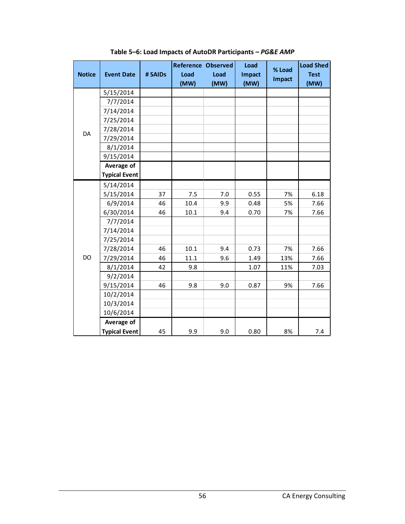|               |                      |         | <b>Reference Observed</b> |      | Load          | % Load        | <b>Load Shed</b> |
|---------------|----------------------|---------|---------------------------|------|---------------|---------------|------------------|
| <b>Notice</b> | <b>Event Date</b>    | # SAIDs | Load                      | Load | <b>Impact</b> | <b>Impact</b> | <b>Test</b>      |
|               |                      |         | (MW)                      | (MW) | (MW)          |               | (MW)             |
|               | 5/15/2014            |         |                           |      |               |               |                  |
|               | 7/7/2014             |         |                           |      |               |               |                  |
|               | 7/14/2014            |         |                           |      |               |               |                  |
|               | 7/25/2014            |         |                           |      |               |               |                  |
| DA            | 7/28/2014            |         |                           |      |               |               |                  |
|               | 7/29/2014            |         |                           |      |               |               |                  |
|               | 8/1/2014             |         |                           |      |               |               |                  |
|               | 9/15/2014            |         |                           |      |               |               |                  |
|               | Average of           |         |                           |      |               |               |                  |
|               | <b>Typical Event</b> |         |                           |      |               |               |                  |
|               | 5/14/2014            |         |                           |      |               |               |                  |
|               | 5/15/2014            | 37      | 7.5                       | 7.0  | 0.55          | 7%            | 6.18             |
|               | 6/9/2014             | 46      | 10.4                      | 9.9  | 0.48          | 5%            | 7.66             |
|               | 6/30/2014            | 46      | 10.1                      | 9.4  | 0.70          | 7%            | 7.66             |
|               | 7/7/2014             |         |                           |      |               |               |                  |
|               | 7/14/2014            |         |                           |      |               |               |                  |
|               | 7/25/2014            |         |                           |      |               |               |                  |
|               | 7/28/2014            | 46      | 10.1                      | 9.4  | 0.73          | 7%            | 7.66             |
| DO            | 7/29/2014            | 46      | 11.1                      | 9.6  | 1.49          | 13%           | 7.66             |
|               | 8/1/2014             | 42      | 9.8                       |      | 1.07          | 11%           | 7.03             |
|               | 9/2/2014             |         |                           |      |               |               |                  |
|               | 9/15/2014            | 46      | 9.8                       | 9.0  | 0.87          | 9%            | 7.66             |
|               | 10/2/2014            |         |                           |      |               |               |                  |
|               | 10/3/2014            |         |                           |      |               |               |                  |
|               | 10/6/2014            |         |                           |      |               |               |                  |
|               | Average of           |         |                           |      |               |               |                  |
|               | <b>Typical Event</b> | 45      | 9.9                       | 9.0  | 0.80          | 8%            | 7.4              |

**Table 5–6: Load Impacts of AutoDR Participants –** *PG&E AMP*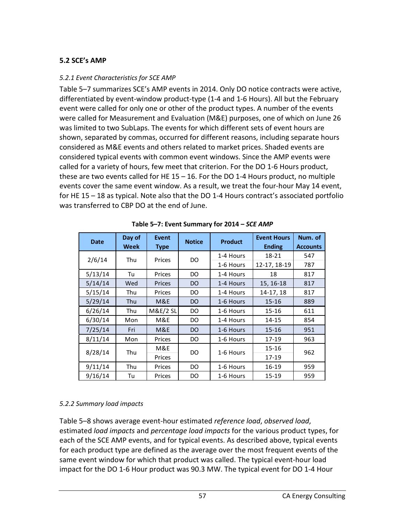### **5.2 SCE's AMP**

#### *5.2.1 Event Characteristics for SCE AMP*

Table 5–7 summarizes SCE's AMP events in 2014. Only DO notice contracts were active, differentiated by event-window product-type (1-4 and 1-6 Hours). All but the February event were called for only one or other of the product types. A number of the events were called for Measurement and Evaluation (M&E) purposes, one of which on June 26 was limited to two SubLaps. The events for which different sets of event hours are shown, separated by commas, occurred for different reasons, including separate hours considered as M&E events and others related to market prices. Shaded events are considered typical events with common event windows. Since the AMP events were called for a variety of hours, few meet that criterion. For the DO 1-6 Hours product, these are two events called for HE 15 – 16. For the DO 1-4 Hours product, no multiple events cover the same event window. As a result, we treat the four-hour May 14 event, for HE 15 – 18 as typical. Note also that the DO 1-4 Hours contract's associated portfolio was transferred to CBP DO at the end of June.

| <b>Date</b> | Day of<br><b>Week</b> | <b>Event</b><br><b>Type</b> | <b>Notice</b> | <b>Product</b> | <b>Event Hours</b><br><b>Ending</b> | Num. of<br><b>Accounts</b> |
|-------------|-----------------------|-----------------------------|---------------|----------------|-------------------------------------|----------------------------|
| 2/6/14      | Thu                   | Prices                      | DO            | 1-4 Hours      | 18-21                               | 547                        |
|             |                       |                             |               | 1-6 Hours      | 12-17, 18-19                        | 787                        |
| 5/13/14     | Tu                    | Prices                      | DO            | 1-4 Hours      | 18                                  | 817                        |
| 5/14/14     | Wed                   | Prices                      | DO            | 1-4 Hours      | 15, 16-18                           | 817                        |
| 5/15/14     | Thu                   | Prices                      | DO            | 1-4 Hours      | 14-17, 18                           | 817                        |
| 5/29/14     | Thu                   | M&E                         | DO            | 1-6 Hours      | $15 - 16$                           | 889                        |
| 6/26/14     | Thu                   | <b>M&amp;E/2 SL</b>         | DO            | 1-6 Hours      | $15 - 16$                           | 611                        |
| 6/30/14     | Mon                   | M&E                         | DO            | 1-4 Hours      | 14-15                               | 854                        |
| 7/25/14     | Fri                   | M&E                         | DO            | 1-6 Hours      | $15 - 16$                           | 951                        |
| 8/11/14     | Mon                   | Prices                      | DO            | 1-6 Hours      | 17-19                               | 963                        |
| 8/28/14     | Thu                   | M&E                         | DO            | 1-6 Hours      | $15 - 16$                           | 962                        |
|             |                       | Prices                      |               |                | 17-19                               |                            |
| 9/11/14     | Thu                   | Prices                      | DO            | 1-6 Hours      | 16-19                               | 959                        |
| 9/16/14     | Tu                    | Prices                      | DO            | 1-6 Hours      | 15-19                               | 959                        |

**Table 5–7: Event Summary for 2014 –** *SCE AMP*

### *5.2.2 Summary load impacts*

Table 5–8 shows average event-hour estimated *reference load*, *observed load*, estimated *load impacts* and *percentage load impacts* for the various product types, for each of the SCE AMP events, and for typical events. As described above, typical events for each product type are defined as the average over the most frequent events of the same event window for which that product was called. The typical event-hour load impact for the DO 1-6 Hour product was 90.3 MW. The typical event for DO 1-4 Hour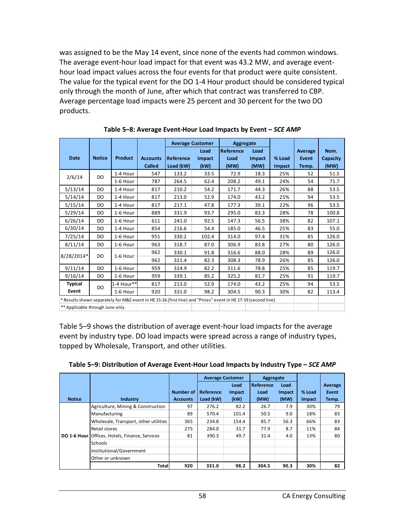was assigned to be the May 14 event, since none of the events had common windows. The average event-hour load impact for that event was 43.2 MW, and average eventhour load impact values across the four events for that product were quite consistent. The value for the typical event for the DO 1-4 Hour product should be considered typical only through the month of June, after which that contract was transferred to CBP. Average percentage load impacts were 25 percent and 30 percent for the two DO products.

|                                                                                                                |               |                |                 |                  | <b>Average Customer</b><br>Aggregate |                  |               |        |              |          |
|----------------------------------------------------------------------------------------------------------------|---------------|----------------|-----------------|------------------|--------------------------------------|------------------|---------------|--------|--------------|----------|
|                                                                                                                |               |                |                 |                  | Load                                 | <b>Reference</b> | Load          |        | Average      | Nom.     |
| <b>Date</b>                                                                                                    | <b>Notice</b> | <b>Product</b> | <b>Accounts</b> | <b>Reference</b> | Impact                               | Load             | <b>Impact</b> | % Load | <b>Event</b> | Capacity |
|                                                                                                                |               |                | <b>Called</b>   | Load (kW)        | (kW)                                 | (MW)             | (MW)          | Impact | Temp.        | (MW)     |
| 2/6/14                                                                                                         | DO            | 1-4 Hour       | 547             | 133.2            | 33.5                                 | 72.9             | 18.3          | 25%    | 52           | 51.5     |
|                                                                                                                |               | 1-6 Hour       | 787             | 264.5            | 62.4                                 | 208.2            | 49.1          | 24%    | 54           | 71.7     |
| 5/13/14                                                                                                        | DO            | 1-4 Hour       | 817             | 210.2            | 54.2                                 | 171.7            | 44.3          | 26%    | 88           | 53.5     |
| 5/14/14                                                                                                        | DO            | 1-4 Hour       | 817             | 213.0            | 52.9                                 | 174.0            | 43.2          | 25%    | 94           | 53.5     |
| 5/15/14                                                                                                        | DO            | 1-4 Hour       | 817             | 217.1            | 47.8                                 | 177.3            | 39.1          | 22%    | 96           | 53.5     |
| 5/29/14                                                                                                        | DO            | 1-6 Hour       | 889             | 331.9            | 93.7                                 | 295.0            | 83.3          | 28%    | 78           | 100.8    |
| 6/26/14                                                                                                        | DO.           | 1-6 Hour       | 611             | 241.0            | 92.5                                 | 147.3            | 56.5          | 38%    | 82           | 107.1    |
| 6/30/14                                                                                                        | DO            | 1-4 Hour       | 854             | 216.6            | 54.4                                 | 185.0            | 46.5          | 25%    | 83           | 55.0     |
| 7/25/14                                                                                                        | <b>DO</b>     | 1-6 Hour       | 951             | 330.2            | 102.4                                | 314.0            | 97.4          | 31%    | 85           | 126.0    |
| 8/11/14                                                                                                        | DO            | 1-6 Hour       | 963             | 318.7            | 87.0                                 | 306.9            | 83.8          | 27%    | 80           | 126.0    |
| 8/28/2014*                                                                                                     | DO            | 1-6 Hour       | 962             | 330.1            | 91.8                                 | 316.6            | 88.0          | 28%    | 89           | 126.0    |
|                                                                                                                |               |                | 962             | 321.4            | 82.3                                 | 308.3            | 78.9          | 26%    | 85           | 126.0    |
| 9/11/14                                                                                                        | DO            | 1-6 Hour       | 959             | 324.9            | 82.2                                 | 311.6            | 78.8          | 25%    | 85           | 119.7    |
| 9/16/14                                                                                                        | <b>DO</b>     | 1-6 Hour       | 959             | 339.1            | 85.2                                 | 325.2            | 81.7          | 25%    | 91           | 119.7    |
| <b>Typical</b>                                                                                                 | DO            | 1-4 Hour**     | 817             | 213.0            | 52.9                                 | 174.0            | 43.2          | 25%    | 94           | 53.5     |
| Event                                                                                                          |               | 1-6 Hour       | 920             | 331.0            | 98.2                                 | 304.5            | 90.3          | 30%    | 82           | 113.4    |
| * Results shown separately for M&E event in HE 15-16 (first line) and "Prices" event in HE 17-19 (second line) |               |                |                 |                  |                                      |                  |               |        |              |          |
| ** Applicable through June only.                                                                               |               |                |                 |                  |                                      |                  |               |        |              |          |

**Table 5–8: Average Event-Hour Load Impacts by Event –** *SCE AMP*

Table 5–9 shows the distribution of average event-hour load impacts for the average event by industry type. DO load impacts were spread across a range of industry types, topped by Wholesale, Transport, and other utilities.

| Table 5-9: Distribution of Average Event-Hour Load Impacts by Industry Type - SCE AMP |  |
|---------------------------------------------------------------------------------------|--|
|---------------------------------------------------------------------------------------|--|

|               |                                                       |                 | <b>Average Customer</b> |        | Aggregate        |        |               |         |
|---------------|-------------------------------------------------------|-----------------|-------------------------|--------|------------------|--------|---------------|---------|
|               |                                                       |                 |                         | Load   | <b>Reference</b> | Load   |               | Average |
|               |                                                       | Number of       | Reference               | Impact | Load             | Impact | % Load        | Event   |
| <b>Notice</b> | Industry                                              | <b>Accounts</b> | Load (kW)               | (kW)   | (MW)             | (MW)   | <b>Impact</b> | Temp.   |
|               | Agriculture, Mining & Construction                    | 97              | 276.2                   | 82.2   | 26.7             | 7.9    | 30%           | 79      |
|               | Manufacturing                                         | 89              | 570.4                   | 101.4  | 50.5             | 9.0    | 18%           | 83      |
|               | Wholesale, Transport, other utilities                 | 365             | 234.8                   | 154.4  | 85.7             | 56.3   | 66%           | 83      |
|               | Retail stores                                         | 275             | 284.0                   | 31.7   | 77.9             | 8.7    | 11%           | 84      |
|               | <b>DO 1-6 Hour Offices, Hotels, Finance, Services</b> | 81              | 390.3                   | 49.7   | 31.4             | 4.0    | 13%           | 80      |
|               | <b>Schools</b>                                        |                 |                         |        |                  |        |               |         |
|               | Institutional/Government                              |                 |                         |        |                  |        |               |         |
|               | Other or unknown                                      |                 |                         |        |                  |        |               |         |
|               | Total                                                 | 920             | 331.0                   | 98.2   | 304.5            | 90.3   | 30%           | 82      |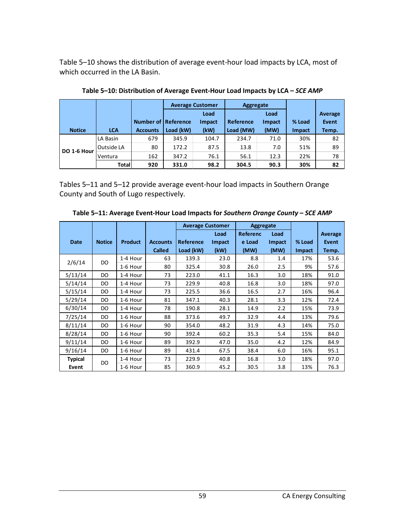Table 5–10 shows the distribution of average event-hour load impacts by LCA, most of which occurred in the LA Basin.

|               |            |                            |           | <b>Average Customer</b> | Aggregate |        |               |         |
|---------------|------------|----------------------------|-----------|-------------------------|-----------|--------|---------------|---------|
|               |            |                            |           | Load                    |           | Load   |               | Average |
|               |            | <b>Number of Reference</b> |           | <b>Impact</b>           | Reference | Impact | % Load        | Event   |
| <b>Notice</b> | <b>LCA</b> | <b>Accounts</b>            | Load (kW) | (kW)                    | Load (MW) | (MW)   | <b>Impact</b> | Temp.   |
|               | LA Basin   | 679                        | 345.9     | 104.7                   | 234.7     | 71.0   | 30%           | 82      |
| DO 1-6 Hour   | Outside LA | 80                         | 172.2     | 87.5                    | 13.8      | 7.0    | 51%           | 89      |
|               | Ventura    | 162                        | 347.2     | 76.1                    | 56.1      | 12.3   | 22%           | 78      |
|               | Totall     | 920                        | 331.0     | 98.2                    | 304.5     | 90.3   | 30%           | 82      |

**Table 5–10: Distribution of Average Event-Hour Load Impacts by LCA –** *SCE AMP*

Tables 5–11 and 5–12 provide average event-hour load impacts in Southern Orange County and South of Lugo respectively.

|                |               |                |                 |           | <b>Average Customer</b> | Aggregate       |        |        |         |
|----------------|---------------|----------------|-----------------|-----------|-------------------------|-----------------|--------|--------|---------|
|                |               |                |                 |           | Load                    | <b>Referenc</b> | Load   |        | Average |
| <b>Date</b>    | <b>Notice</b> | <b>Product</b> | <b>Accounts</b> | Reference | Impact                  | e Load          | Impact | % Load | Event   |
|                |               |                | <b>Called</b>   | Load (kW) | (kW)                    | (MW)            | (MW)   | Impact | Temp.   |
| 2/6/14         | DO            | 1-4 Hour       | 63              | 139.3     | 23.0                    | 8.8             | 1.4    | 17%    | 53.6    |
|                |               | 1-6 Hour       | 80              | 325.4     | 30.8                    | 26.0            | 2.5    | 9%     | 57.6    |
| 5/13/14        | DO            | 1-4 Hour       | 73              | 223.0     | 41.1                    | 16.3            | 3.0    | 18%    | 91.0    |
| 5/14/14        | DO.           | 1-4 Hour       | 73              | 229.9     | 40.8                    | 16.8            | 3.0    | 18%    | 97.0    |
| 5/15/14        | DO            | 1-4 Hour       | 73              | 225.5     | 36.6                    | 16.5            | 2.7    | 16%    | 96.4    |
| 5/29/14        | DO            | 1-6 Hour       | 81              | 347.1     | 40.3                    | 28.1            | 3.3    | 12%    | 72.4    |
| 6/30/14        | DO            | 1-4 Hour       | 78              | 190.8     | 28.1                    | 14.9            | 2.2    | 15%    | 73.9    |
| 7/25/14        | DO            | 1-6 Hour       | 88              | 373.6     | 49.7                    | 32.9            | 4.4    | 13%    | 79.6    |
| 8/11/14        | DO            | 1-6 Hour       | 90              | 354.0     | 48.2                    | 31.9            | 4.3    | 14%    | 75.0    |
| 8/28/14        | DO            | 1-6 Hour       | 90              | 392.4     | 60.2                    | 35.3            | 5.4    | 15%    | 84.0    |
| 9/11/14        | DO            | 1-6 Hour       | 89              | 392.9     | 47.0                    | 35.0            | 4.2    | 12%    | 84.9    |
| 9/16/14        | DO.           | 1-6 Hour       | 89              | 431.4     | 67.5                    | 38.4            | 6.0    | 16%    | 95.1    |
| <b>Typical</b> |               | 1-4 Hour       | 73              | 229.9     | 40.8                    | 16.8            | 3.0    | 18%    | 97.0    |
| Event          | DO            | 1-6 Hour       | 85              | 360.9     | 45.2                    | 30.5            | 3.8    | 13%    | 76.3    |

**Table 5–11: Average Event-Hour Load Impacts for** *Southern Orange County* **–** *SCE AMP*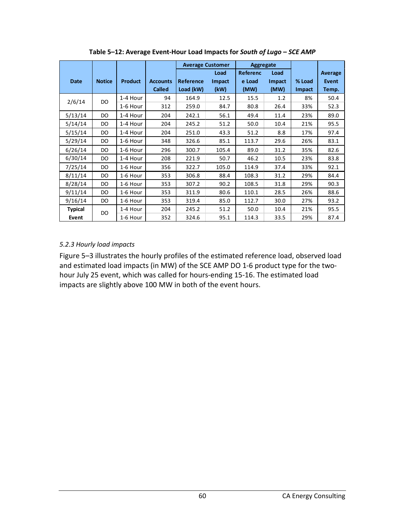|                |               |                |                 | <b>Average Customer</b><br><b>Aggregate</b> |        |                 |        |               |         |
|----------------|---------------|----------------|-----------------|---------------------------------------------|--------|-----------------|--------|---------------|---------|
|                |               |                |                 |                                             | Load   | <b>Referenc</b> | Load   |               | Average |
| <b>Date</b>    | <b>Notice</b> | <b>Product</b> | <b>Accounts</b> | Reference                                   | Impact | e Load          | Impact | % Load        | Event   |
|                |               |                | <b>Called</b>   | Load (kW)                                   | (kW)   | (MW)            | (MW)   | <b>Impact</b> | Temp.   |
| 2/6/14         | DO            | 1-4 Hour       | 94              | 164.9                                       | 12.5   | 15.5            | 1.2    | 8%            | 50.4    |
|                |               | 1-6 Hour       | 312             | 259.0                                       | 84.7   | 80.8            | 26.4   | 33%           | 52.3    |
| 5/13/14        | DO            | 1-4 Hour       | 204             | 242.1                                       | 56.1   | 49.4            | 11.4   | 23%           | 89.0    |
| 5/14/14        | DO            | 1-4 Hour       | 204             | 245.2                                       | 51.2   | 50.0            | 10.4   | 21%           | 95.5    |
| 5/15/14        | DO            | 1-4 Hour       | 204             | 251.0                                       | 43.3   | 51.2            | 8.8    | 17%           | 97.4    |
| 5/29/14        | DO            | 1-6 Hour       | 348             | 326.6                                       | 85.1   | 113.7           | 29.6   | 26%           | 83.1    |
| 6/26/14        | DO            | 1-6 Hour       | 296             | 300.7                                       | 105.4  | 89.0            | 31.2   | 35%           | 82.6    |
| 6/30/14        | DO            | 1-4 Hour       | 208             | 221.9                                       | 50.7   | 46.2            | 10.5   | 23%           | 83.8    |
| 7/25/14        | DO            | 1-6 Hour       | 356             | 322.7                                       | 105.0  | 114.9           | 37.4   | 33%           | 92.1    |
| 8/11/14        | DO            | 1-6 Hour       | 353             | 306.8                                       | 88.4   | 108.3           | 31.2   | 29%           | 84.4    |
| 8/28/14        | DO            | 1-6 Hour       | 353             | 307.2                                       | 90.2   | 108.5           | 31.8   | 29%           | 90.3    |
| 9/11/14        | DO            | 1-6 Hour       | 353             | 311.9                                       | 80.6   | 110.1           | 28.5   | 26%           | 88.6    |
| 9/16/14        | DO            | 1-6 Hour       | 353             | 319.4                                       | 85.0   | 112.7           | 30.0   | 27%           | 93.2    |
| <b>Typical</b> | DO            | 1-4 Hour       | 204             | 245.2                                       | 51.2   | 50.0            | 10.4   | 21%           | 95.5    |
| Event          |               | 1-6 Hour       | 352             | 324.6                                       | 95.1   | 114.3           | 33.5   | 29%           | 87.4    |

**Table 5–12: Average Event-Hour Load Impacts for** *South of Lugo* **–** *SCE AMP*

### *5.2.3 Hourly load impacts*

Figure 5–3 illustrates the hourly profiles of the estimated reference load, observed load and estimated load impacts (in MW) of the SCE AMP DO 1-6 product type for the twohour July 25 event, which was called for hours-ending 15-16. The estimated load impacts are slightly above 100 MW in both of the event hours.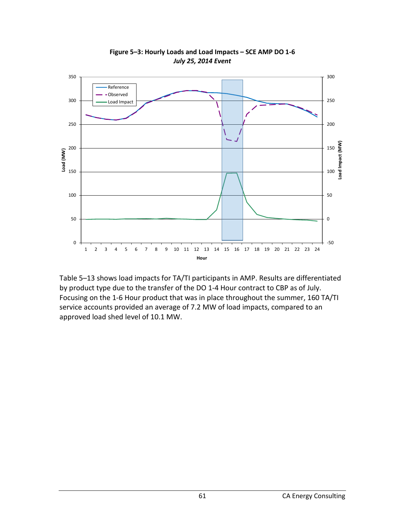

**Figure 5–3: Hourly Loads and Load Impacts – SCE AMP DO 1-6** *July 25, 2014 Event*

Table 5–13 shows load impacts for TA/TI participants in AMP. Results are differentiated by product type due to the transfer of the DO 1-4 Hour contract to CBP as of July. Focusing on the 1-6 Hour product that was in place throughout the summer, 160 TA/TI service accounts provided an average of 7.2 MW of load impacts, compared to an approved load shed level of 10.1 MW.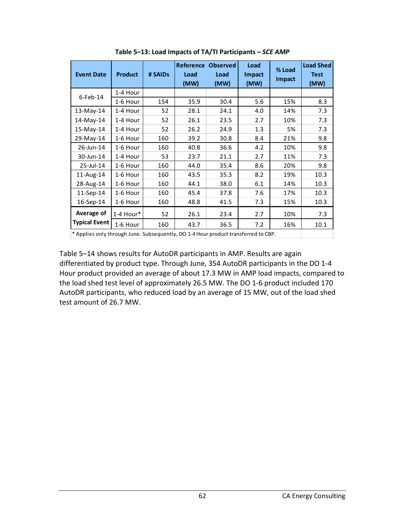| <b>Event Date</b>                                                                  | <b>Product</b> | # SAIDs | Reference<br>Load<br>(MW) | <b>Observed</b><br>Load<br>(MW) | Load<br>Impact<br>(MW) | % Load<br><b>Impact</b> | <b>Load Shed</b><br><b>Test</b><br>(MW) |
|------------------------------------------------------------------------------------|----------------|---------|---------------------------|---------------------------------|------------------------|-------------------------|-----------------------------------------|
| $6$ -Feb-14                                                                        | 1-4 Hour       |         |                           |                                 |                        |                         |                                         |
|                                                                                    | 1-6 Hour       | 154     | 35.9                      | 30.4                            | 5.6                    | 15%                     | 8.3                                     |
| $13$ -May-14                                                                       | 1-4 Hour       | 52      | 28.1                      | 24.1                            | 4.0                    | 14%                     | 7.3                                     |
| 14-May-14                                                                          | 1-4 Hour       | 52      | 26.1                      | 23.5                            | 2.7                    | 10%                     | 7.3                                     |
| 15-May-14                                                                          | 1-4 Hour       | 52      | 26.2                      | 24.9                            | 1.3                    | 5%                      | 7.3                                     |
| 29-May-14                                                                          | 1-6 Hour       | 160     | 39.2                      | 30.8                            | 8.4                    | 21%                     | 9.8                                     |
| 26-Jun-14                                                                          | 1-6 Hour       | 160     | 40.8                      | 36.6                            | 4.2                    | 10%                     | 9.8                                     |
| 30-Jun-14                                                                          | 1-4 Hour       | 53      | 23.7                      | 21.1                            | 2.7                    | 11%                     | 7.3                                     |
| 25-Jul-14                                                                          | 1-6 Hour       | 160     | 44.0                      | 35.4                            | 8.6                    | 20%                     | 9.8                                     |
| 11-Aug-14                                                                          | 1-6 Hour       | 160     | 43.5                      | 35.3                            | 8.2                    | 19%                     | 10.3                                    |
| 28-Aug-14                                                                          | 1-6 Hour       | 160     | 44.1                      | 38.0                            | 6.1                    | 14%                     | 10.3                                    |
| 11-Sep-14                                                                          | 1-6 Hour       | 160     | 45.4                      | 37.8                            | 7.6                    | 17%                     | 10.3                                    |
| 16-Sep-14                                                                          | 1-6 Hour       | 160     | 48.8                      | 41.5                            | 7.3                    | 15%                     | 10.3                                    |
| Average of                                                                         | 1-4 Hour*      | 52      | 26.1                      | 23.4                            | 2.7                    | 10%                     | 7.3                                     |
| <b>Typical Event</b>                                                               | 1-6 Hour       | 160     | 43.7                      | 36.5                            | 7.2                    | 16%                     | 10.1                                    |
| * Applies only through June. Subsequently, DO 1-4 Hour product transferred to CBP. |                |         |                           |                                 |                        |                         |                                         |

**Table 5–13: Load Impacts of TA/TI Participants –** *SCE AMP*

Table 5–14 shows results for AutoDR participants in AMP. Results are again differentiated by product type. Through June, 354 AutoDR participants in the DO 1-4 Hour product provided an average of about 17.3 MW in AMP load impacts, compared to the load shed test level of approximately 26.5 MW. The DO 1-6 product included 170 AutoDR participants, who reduced load by an average of 15 MW, out of the load shed test amount of 26.7 MW.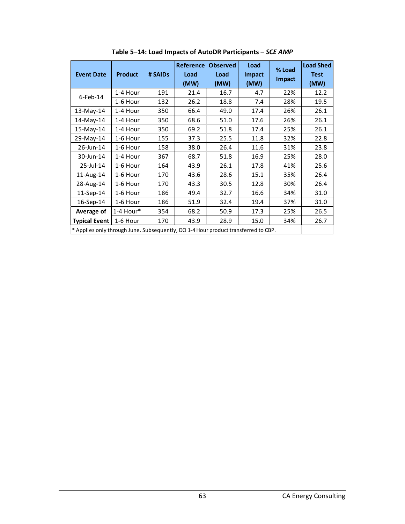| <b>Event Date</b>                                                                  | <b>Product</b> | # SAIDs | Reference<br>Load<br>(MW) | <b>Observed</b><br>Load<br>(MW) | Load<br><b>Impact</b><br>(MW) | % Load<br>Impact | <b>Load Shed</b><br><b>Test</b><br>(MW) |
|------------------------------------------------------------------------------------|----------------|---------|---------------------------|---------------------------------|-------------------------------|------------------|-----------------------------------------|
|                                                                                    | 1-4 Hour       | 191     | 21.4                      | 16.7                            | 4.7                           | 22%              | 12.2                                    |
| $6$ -Feb-14                                                                        | 1-6 Hour       | 132     | 26.2                      | 18.8                            | 7.4                           | 28%              | 19.5                                    |
| $13-May-14$                                                                        | 1-4 Hour       | 350     | 66.4                      | 49.0                            | 17.4                          | 26%              | 26.1                                    |
| 14-May-14                                                                          | 1-4 Hour       | 350     | 68.6                      | 51.0                            | 17.6                          | 26%              | 26.1                                    |
| 15-May-14                                                                          | 1-4 Hour       | 350     | 69.2                      | 51.8                            | 17.4                          | 25%              | 26.1                                    |
| 29-May-14                                                                          | 1-6 Hour       | 155     | 37.3                      | 25.5                            | 11.8                          | 32%              | 22.8                                    |
| 26-Jun-14                                                                          | 1-6 Hour       | 158     | 38.0                      | 26.4                            | 11.6                          | 31%              | 23.8                                    |
| 30-Jun-14                                                                          | 1-4 Hour       | 367     | 68.7                      | 51.8                            | 16.9                          | 25%              | 28.0                                    |
| 25-Jul-14                                                                          | 1-6 Hour       | 164     | 43.9                      | 26.1                            | 17.8                          | 41%              | 25.6                                    |
| 11-Aug-14                                                                          | 1-6 Hour       | 170     | 43.6                      | 28.6                            | 15.1                          | 35%              | 26.4                                    |
| 28-Aug-14                                                                          | 1-6 Hour       | 170     | 43.3                      | 30.5                            | 12.8                          | 30%              | 26.4                                    |
| 11-Sep-14                                                                          | 1-6 Hour       | 186     | 49.4                      | 32.7                            | 16.6                          | 34%              | 31.0                                    |
| 16-Sep-14                                                                          | 1-6 Hour       | 186     | 51.9                      | 32.4                            | 19.4                          | 37%              | 31.0                                    |
| Average of                                                                         | 1-4 Hour*      | 354     | 68.2                      | 50.9                            | 17.3                          | 25%              | 26.5                                    |
| <b>Typical Event</b>                                                               | 1-6 Hour       | 170     | 43.9                      | 28.9                            | 15.0                          | 34%              | 26.7                                    |
| * Applies only through June. Subsequently, DO 1-4 Hour product transferred to CBP. |                |         |                           |                                 |                               |                  |                                         |

**Table 5–14: Load Impacts of AutoDR Participants –** *SCE AMP*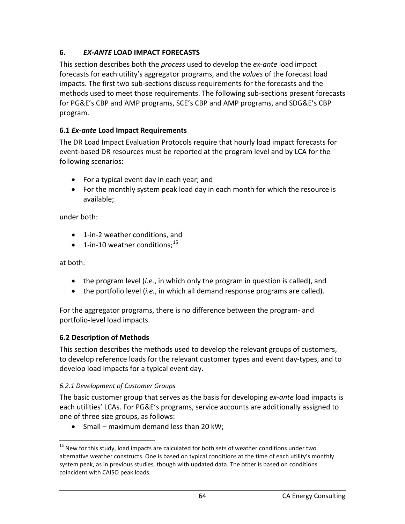# **6.** *EX-ANTE* **LOAD IMPACT FORECASTS**

This section describes both the *process* used to develop the *ex-ante* load impact forecasts for each utility's aggregator programs, and the *values* of the forecast load impacts. The first two sub-sections discuss requirements for the forecasts and the methods used to meet those requirements. The following sub-sections present forecasts for PG&E's CBP and AMP programs, SCE's CBP and AMP programs, and SDG&E's CBP program.

## **6.1** *Ex-ante* **Load Impact Requirements**

The DR Load Impact Evaluation Protocols require that hourly load impact forecasts for event-based DR resources must be reported at the program level and by LCA for the following scenarios:

- For a typical event day in each year; and
- For the monthly system peak load day in each month for which the resource is available;

under both:

- 1-in-2 weather conditions, and
- $\bullet$  1-in-10 weather conditions;<sup>[15](#page-64-0)</sup>

at both:

- the program level (*i.e.*, in which only the program in question is called), and
- the portfolio level (*i.e.*, in which all demand response programs are called).

For the aggregator programs, there is no difference between the program- and portfolio-level load impacts.

## **6.2 Description of Methods**

This section describes the methods used to develop the relevant groups of customers, to develop reference loads for the relevant customer types and event day-types, and to develop load impacts for a typical event day.

## *6.2.1 Development of Customer Groups*

The basic customer group that serves as the basis for developing *ex-ante* load impacts is each utilities' LCAs. For PG&E's programs, service accounts are additionally assigned to one of three size groups, as follows:

• Small – maximum demand less than 20 kW;

<span id="page-64-0"></span><sup>&</sup>lt;sup>15</sup> New for this study, load impacts are calculated for both sets of weather conditions under two alternative weather constructs. One is based on typical conditions at the time of each utility's monthly system peak, as in previous studies, though with updated data. The other is based on conditions coincident with CAISO peak loads.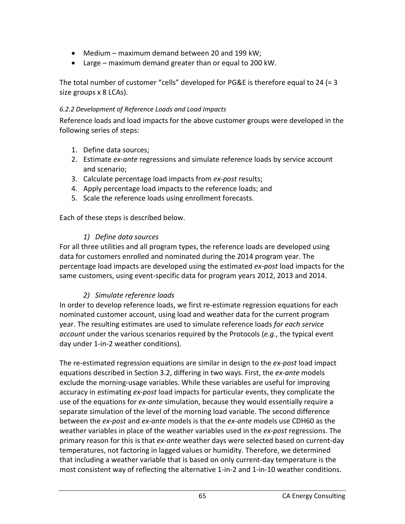- Medium maximum demand between 20 and 199 kW;
- Large maximum demand greater than or equal to 200 kW.

The total number of customer "cells" developed for PG&E is therefore equal to 24 (= 3 size groups x 8 LCAs).

### *6.2.2 Development of Reference Loads and Load Impacts*

Reference loads and load impacts for the above customer groups were developed in the following series of steps:

- 1. Define data sources;
- 2. Estimate *ex-ante* regressions and simulate reference loads by service account and scenario;
- 3. Calculate percentage load impacts from *ex-post* results;
- 4. Apply percentage load impacts to the reference loads; and
- 5. Scale the reference loads using enrollment forecasts.

Each of these steps is described below.

#### *1) Define data sources*

For all three utilities and all program types, the reference loads are developed using data for customers enrolled and nominated during the 2014 program year. The percentage load impacts are developed using the estimated *ex-post* load impacts for the same customers, using event-specific data for program years 2012, 2013 and 2014.

### *2) Simulate reference loads*

In order to develop reference loads, we first re-estimate regression equations for each nominated customer account, using load and weather data for the current program year. The resulting estimates are used to simulate reference loads *for each service account* under the various scenarios required by the Protocols (*e.g.*, the typical event day under 1-in-2 weather conditions).

The re-estimated regression equations are similar in design to the *ex-post* load impact equations described in Section 3.2, differing in two ways. First, the *ex-ante* models exclude the morning-usage variables. While these variables are useful for improving accuracy in estimating *ex-post* load impacts for particular events, they complicate the use of the equations for *ex-ante* simulation, because they would essentially require a separate simulation of the level of the morning load variable. The second difference between the *ex-post* and *ex-ante* models is that the *ex-ante* models use CDH60 as the weather variables in place of the weather variables used in the *ex-post* regressions. The primary reason for this is that *ex-ante* weather days were selected based on current-day temperatures, not factoring in lagged values or humidity. Therefore, we determined that including a weather variable that is based on only current-day temperature is the most consistent way of reflecting the alternative 1-in-2 and 1-in-10 weather conditions.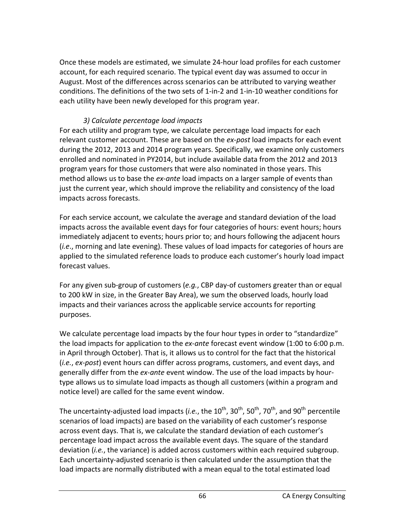Once these models are estimated, we simulate 24-hour load profiles for each customer account, for each required scenario. The typical event day was assumed to occur in August. Most of the differences across scenarios can be attributed to varying weather conditions. The definitions of the two sets of 1-in-2 and 1-in-10 weather conditions for each utility have been newly developed for this program year.

### *3) Calculate percentage load impacts*

For each utility and program type, we calculate percentage load impacts for each relevant customer account. These are based on the *ex-post* load impacts for each event during the 2012, 2013 and 2014 program years. Specifically, we examine only customers enrolled and nominated in PY2014, but include available data from the 2012 and 2013 program years for those customers that were also nominated in those years. This method allows us to base the *ex-ante* load impacts on a larger sample of events than just the current year, which should improve the reliability and consistency of the load impacts across forecasts.

For each service account, we calculate the average and standard deviation of the load impacts across the available event days for four categories of hours: event hours; hours immediately adjacent to events; hours prior to; and hours following the adjacent hours (*i.e*., morning and late evening). These values of load impacts for categories of hours are applied to the simulated reference loads to produce each customer's hourly load impact forecast values.

For any given sub-group of customers (*e.g.*, CBP day-of customers greater than or equal to 200 kW in size, in the Greater Bay Area), we sum the observed loads, hourly load impacts and their variances across the applicable service accounts for reporting purposes.

We calculate percentage load impacts by the four hour types in order to "standardize" the load impacts for application to the *ex-ante* forecast event window (1:00 to 6:00 p.m. in April through October). That is, it allows us to control for the fact that the historical (*i.e.*, *ex-post*) event hours can differ across programs, customers, and event days, and generally differ from the *ex-ante* event window. The use of the load impacts by hourtype allows us to simulate load impacts as though all customers (within a program and notice level) are called for the same event window.

The uncertainty-adjusted load impacts (*i.e.*, the 10<sup>th</sup>, 30<sup>th</sup>, 50<sup>th</sup>, 70<sup>th</sup>, and 90<sup>th</sup> percentile scenarios of load impacts) are based on the variability of each customer's response across event days. That is, we calculate the standard deviation of each customer's percentage load impact across the available event days. The square of the standard deviation (*i.e.*, the variance) is added across customers within each required subgroup. Each uncertainty-adjusted scenario is then calculated under the assumption that the load impacts are normally distributed with a mean equal to the total estimated load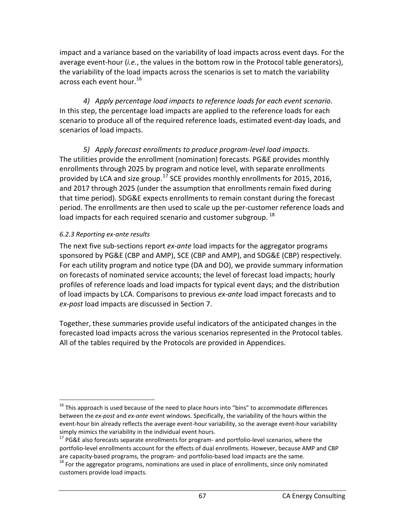impact and a variance based on the variability of load impacts across event days. For the average event-hour (*i.e.*, the values in the bottom row in the Protocol table generators), the variability of the load impacts across the scenarios is set to match the variability across each event hour.<sup>[16](#page-67-0)</sup>

*4) Apply percentage load impacts to reference loads for each event scenario*. In this step, the percentage load impacts are applied to the reference loads for each scenario to produce all of the required reference loads, estimated event-day loads, and scenarios of load impacts.

*5) Apply forecast enrollments to produce program-level load impacts*. The utilities provide the enrollment (nomination) forecasts. PG&E provides monthly enrollments through 2025 by program and notice level, with separate enrollments provided by LCA and size group.<sup>[17](#page-67-1)</sup> SCE provides monthly enrollments for 2015, 2016, and 2017 through 2025 (under the assumption that enrollments remain fixed during that time period). SDG&E expects enrollments to remain constant during the forecast period. The enrollments are then used to scale up the per-customer reference loads and load impacts for each required scenario and customer subgroup.<sup>[18](#page-67-2)</sup>

### *6.2.3 Reporting ex-ante results*

The next five sub-sections report *ex-ante* load impacts for the aggregator programs sponsored by PG&E (CBP and AMP), SCE (CBP and AMP), and SDG&E (CBP) respectively. For each utility program and notice type (DA and DO), we provide summary information on forecasts of nominated service accounts; the level of forecast load impacts; hourly profiles of reference loads and load impacts for typical event days; and the distribution of load impacts by LCA. Comparisons to previous *ex-ante* load impact forecasts and to *ex-post* load impacts are discussed in Section 7.

Together, these summaries provide useful indicators of the anticipated changes in the forecasted load impacts across the various scenarios represented in the Protocol tables. All of the tables required by the Protocols are provided in Appendices.

<span id="page-67-0"></span> $16$  This approach is used because of the need to place hours into "bins" to accommodate differences between the *ex-post* and *ex-ante* event windows. Specifically, the variability of the hours within the event-hour bin already reflects the average event-hour variability, so the average event-hour variability simply mimics the variability in the individual event hours.

<span id="page-67-1"></span> $17$  PG&E also forecasts separate enrollments for program- and portfolio-level scenarios, where the portfolio-level enrollments account for the effects of dual enrollments. However, because AMP and CBP are capacity-based programs, the program- and portfolio-based load impacts are the same.<br><sup>18</sup> For the aggregator programs, nominations are used in place of enrollments, since only nominated

<span id="page-67-2"></span>customers provide load impacts.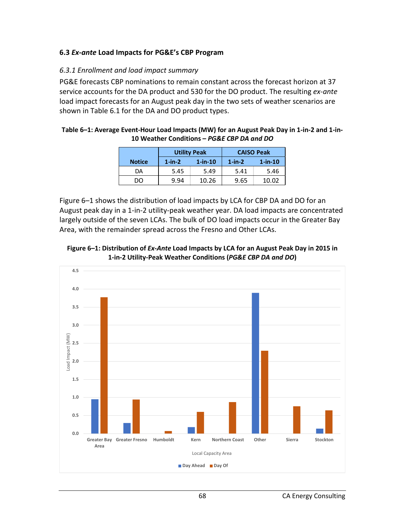### **6.3** *Ex-ante* **Load Impacts for PG&E's CBP Program**

#### *6.3.1 Enrollment and load impact summary*

PG&E forecasts CBP nominations to remain constant across the forecast horizon at 37 service accounts for the DA product and 530 for the DO product. The resulting *ex-ante* load impact forecasts for an August peak day in the two sets of weather scenarios are shown in Table 6.1 for the DA and DO product types.

#### **Table 6–1: Average Event-Hour Load Impacts (MW) for an August Peak Day in 1-in-2 and 1-in-10 Weather Conditions –** *PG&E CBP DA and DO*

|               |           | <b>Utility Peak</b> | <b>CAISO Peak</b> |            |  |
|---------------|-----------|---------------------|-------------------|------------|--|
| <b>Notice</b> | $1$ -in-2 | $1$ -in-10          | $1$ -in-2         | $1$ -in-10 |  |
| DA            | 5.45      | 5.49                | 5.41              | 5.46       |  |
| DO            | 9.94      | 10.26               | 9.65              | 10.02      |  |

Figure 6–1 shows the distribution of load impacts by LCA for CBP DA and DO for an August peak day in a 1-in-2 utility-peak weather year. DA load impacts are concentrated largely outside of the seven LCAs. The bulk of DO load impacts occur in the Greater Bay Area, with the remainder spread across the Fresno and Other LCAs.



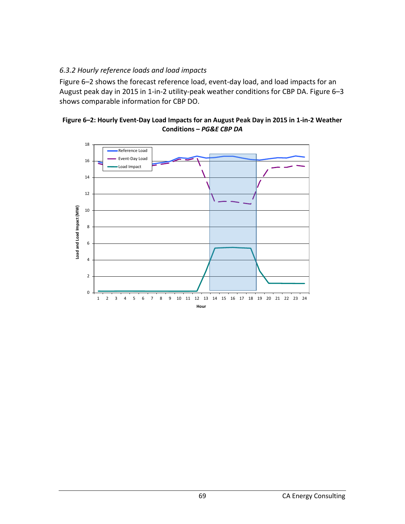### *6.3.2 Hourly reference loads and load impacts*

Figure 6–2 shows the forecast reference load, event-day load, and load impacts for an August peak day in 2015 in 1-in-2 utility-peak weather conditions for CBP DA. Figure 6–3 shows comparable information for CBP DO.



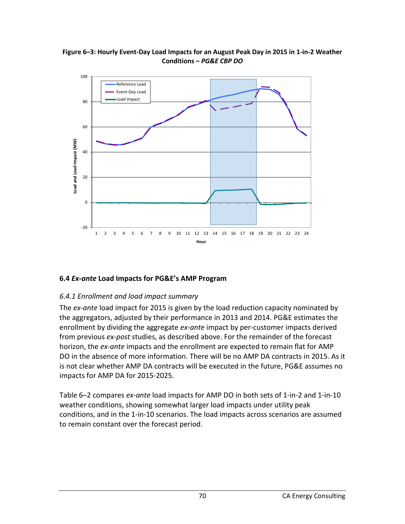

#### **Figure 6–3: Hourly Event-Day Load Impacts for an August Peak Day in 2015 in 1-in-2 Weather Conditions –** *PG&E CBP DO*

## **6.4** *Ex-ante* **Load Impacts for PG&E's AMP Program**

## *6.4.1 Enrollment and load impact summary*

The *ex-ante* load impact for 2015 is given by the load reduction capacity nominated by the aggregators, adjusted by their performance in 2013 and 2014. PG&E estimates the enrollment by dividing the aggregate *ex-ante* impact by per-customer impacts derived from previous *ex-post* studies, as described above. For the remainder of the forecast horizon, the *ex-ante* impacts and the enrollment are expected to remain flat for AMP DO in the absence of more information. There will be no AMP DA contracts in 2015. As it is not clear whether AMP DA contracts will be executed in the future, PG&E assumes no impacts for AMP DA for 2015-2025.

Table 6–2 compares *ex-ante* load impacts for AMP DO in both sets of 1-in-2 and 1-in-10 weather conditions, showing somewhat larger load impacts under utility peak conditions, and in the 1-in-10 scenarios. The load impacts across scenarios are assumed to remain constant over the forecast period.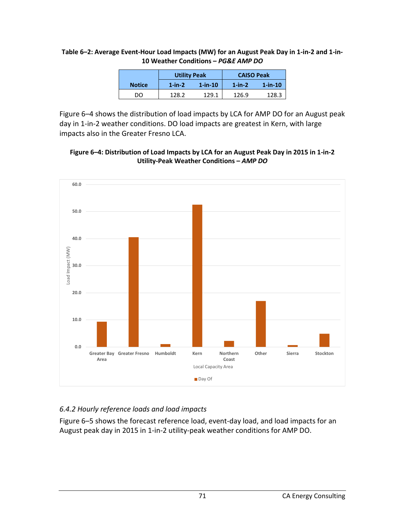|               | <b>Utility Peak</b> |               | <b>CAISO Peak</b> |               |  |
|---------------|---------------------|---------------|-------------------|---------------|--|
| <b>Notice</b> | $1$ -in- $2$        | $1 - in - 10$ | $1$ -in- $2$      | $1 - in - 10$ |  |
| DO            | 128.2               | 129.1         | 126.9             | 128.3         |  |

#### **Table 6–2: Average Event-Hour Load Impacts (MW) for an August Peak Day in 1-in-2 and 1-in-10 Weather Conditions –** *PG&E AMP DO*

Figure 6–4 shows the distribution of load impacts by LCA for AMP DO for an August peak day in 1-in-2 weather conditions. DO load impacts are greatest in Kern, with large impacts also in the Greater Fresno LCA.





## *6.4.2 Hourly reference loads and load impacts*

Figure 6–5 shows the forecast reference load, event-day load, and load impacts for an August peak day in 2015 in 1-in-2 utility-peak weather conditions for AMP DO.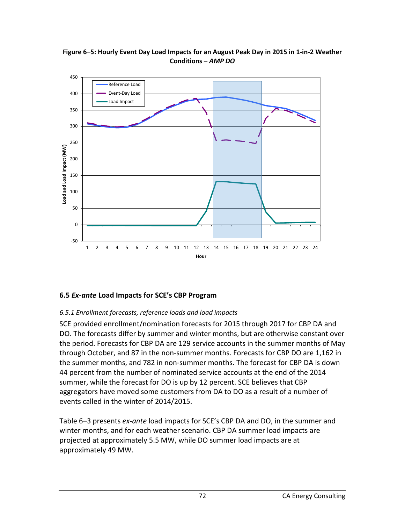

**Figure 6–5: Hourly Event Day Load Impacts for an August Peak Day in 2015 in 1-in-2 Weather Conditions –** *AMP DO*

### **6.5** *Ex-ante* **Load Impacts for SCE's CBP Program**

### *6.5.1 Enrollment forecasts, reference loads and load impacts*

SCE provided enrollment/nomination forecasts for 2015 through 2017 for CBP DA and DO. The forecasts differ by summer and winter months, but are otherwise constant over the period. Forecasts for CBP DA are 129 service accounts in the summer months of May through October, and 87 in the non-summer months. Forecasts for CBP DO are 1,162 in the summer months, and 782 in non-summer months. The forecast for CBP DA is down 44 percent from the number of nominated service accounts at the end of the 2014 summer, while the forecast for DO is up by 12 percent. SCE believes that CBP aggregators have moved some customers from DA to DO as a result of a number of events called in the winter of 2014/2015.

Table 6–3 presents *ex-ante* load impacts for SCE's CBP DA and DO, in the summer and winter months, and for each weather scenario. CBP DA summer load impacts are projected at approximately 5.5 MW, while DO summer load impacts are at approximately 49 MW.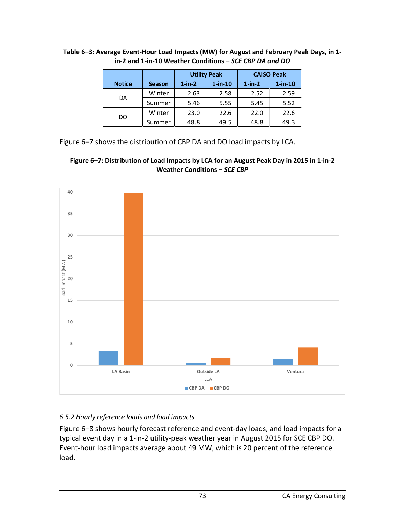|               |               |           | <b>Utility Peak</b> | <b>CAISO Peak</b> |            |  |
|---------------|---------------|-----------|---------------------|-------------------|------------|--|
| <b>Notice</b> | <b>Season</b> | $1$ -in-2 | $1$ -in-10          | $1$ -in- $2$      | $1$ -in-10 |  |
|               | Winter        | 2.63      | 2.58                | 2.52              | 2.59       |  |
| DA            | Summer        | 5.46      | 5.55                | 5.45              | 5.52       |  |
|               | Winter        | 23.0      | 22.6                | 22.0              | 22.6       |  |
| DO            | Summer        | 48.8      | 49.5                | 48.8              | 49.3       |  |

**Table 6–3: Average Event-Hour Load Impacts (MW) for August and February Peak Days, in 1 in-2 and 1-in-10 Weather Conditions –** *SCE CBP DA and DO*

Figure 6–7 shows the distribution of CBP DA and DO load impacts by LCA.





## *6.5.2 Hourly reference loads and load impacts*

Figure 6–8 shows hourly forecast reference and event-day loads, and load impacts for a typical event day in a 1-in-2 utility-peak weather year in August 2015 for SCE CBP DO. Event-hour load impacts average about 49 MW, which is 20 percent of the reference load.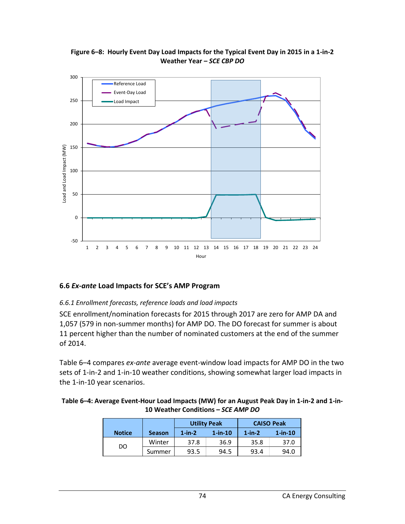

**Figure 6–8: Hourly Event Day Load Impacts for the Typical Event Day in 2015 in a 1-in-2 Weather Year –** *SCE CBP DO*

### **6.6** *Ex-ante* **Load Impacts for SCE's AMP Program**

#### *6.6.1 Enrollment forecasts, reference loads and load impacts*

SCE enrollment/nomination forecasts for 2015 through 2017 are zero for AMP DA and 1,057 (579 in non-summer months) for AMP DO. The DO forecast for summer is about 11 percent higher than the number of nominated customers at the end of the summer of 2014.

Table 6–4 compares *ex-ante* average event-window load impacts for AMP DO in the two sets of 1-in-2 and 1-in-10 weather conditions, showing somewhat larger load impacts in the 1-in-10 year scenarios.

| Table 6-4: Average Event-Hour Load Impacts (MW) for an August Peak Day in 1-in-2 and 1-in- |
|--------------------------------------------------------------------------------------------|
| 10 Weather Conditions – SCE AMP DO                                                         |

|               |               |              | <b>Utility Peak</b> | <b>CAISO Peak</b> |            |  |
|---------------|---------------|--------------|---------------------|-------------------|------------|--|
| <b>Notice</b> | <b>Season</b> | $1$ -in- $2$ | $1$ -in-10          | $1$ -in- $2$      | $1$ -in-10 |  |
| DO            | Winter        | 37.8         | 36.9                | 35.8              | 37.0       |  |
|               | Summer        | 93.5         | 94.5                | 93.4              | 94.0       |  |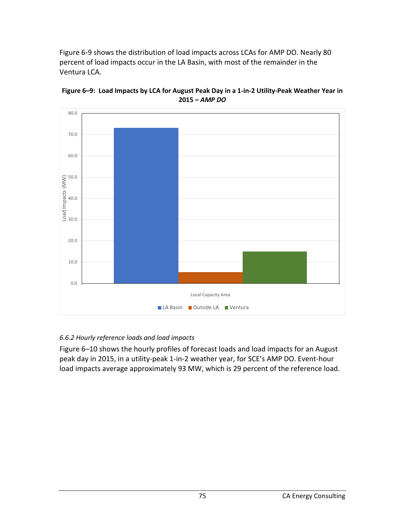Figure 6-9 shows the distribution of load impacts across LCAs for AMP DO. Nearly 80 percent of load impacts occur in the LA Basin, with most of the remainder in the Ventura LCA.



**Figure 6–9: Load Impacts by LCA for August Peak Day in a 1-in-2 Utility-Peak Weather Year in 2015 –** *AMP DO*

## *6.6.2 Hourly reference loads and load impacts*

Figure 6–10 shows the hourly profiles of forecast loads and load impacts for an August peak day in 2015, in a utility-peak 1-in-2 weather year, for SCE's AMP DO. Event-hour load impacts average approximately 93 MW, which is 29 percent of the reference load.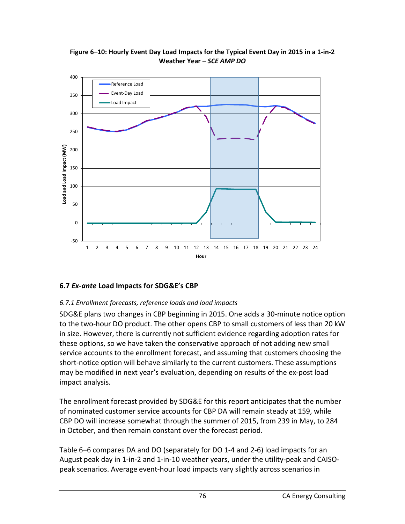

**Figure 6–10: Hourly Event Day Load Impacts for the Typical Event Day in 2015 in a 1-in-2 Weather Year –** *SCE AMP DO*

## **6.7** *Ex-ante* **Load Impacts for SDG&E's CBP**

### *6.7.1 Enrollment forecasts, reference loads and load impacts*

SDG&E plans two changes in CBP beginning in 2015. One adds a 30-minute notice option to the two-hour DO product. The other opens CBP to small customers of less than 20 kW in size. However, there is currently not sufficient evidence regarding adoption rates for these options, so we have taken the conservative approach of not adding new small service accounts to the enrollment forecast, and assuming that customers choosing the short-notice option will behave similarly to the current customers. These assumptions may be modified in next year's evaluation, depending on results of the ex-post load impact analysis.

The enrollment forecast provided by SDG&E for this report anticipates that the number of nominated customer service accounts for CBP DA will remain steady at 159, while CBP DO will increase somewhat through the summer of 2015, from 239 in May, to 284 in October, and then remain constant over the forecast period.

Table 6–6 compares DA and DO (separately for DO 1-4 and 2-6) load impacts for an August peak day in 1-in-2 and 1-in-10 weather years, under the utility-peak and CAISOpeak scenarios. Average event-hour load impacts vary slightly across scenarios in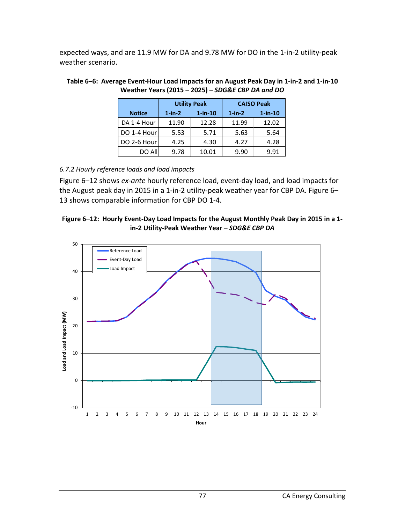expected ways, and are 11.9 MW for DA and 9.78 MW for DO in the 1-in-2 utility-peak weather scenario.

|               |              | <b>Utility Peak</b> | <b>CAISO Peak</b> |            |  |  |
|---------------|--------------|---------------------|-------------------|------------|--|--|
| <b>Notice</b> | $1$ -in- $2$ | $1$ -in- $10$       | $1$ -in- $2$      | $1$ -in-10 |  |  |
| DA 1-4 Hour   | 11.90        | 12.28               | 11.99             | 12.02      |  |  |
| DO 1-4 Hour   | 5.53         | 5.71                | 5.63              | 5.64       |  |  |
| DO 2-6 Hour   | 4.25         | 4.30                | 4.27              | 4.28       |  |  |
| DO All        | 9.78         | 10.01               | 9.90              | 9.91       |  |  |

#### **Table 6–6: Average Event-Hour Load Impacts for an August Peak Day in 1-in-2 and 1-in-10 Weather Years (2015 – 2025) –** *SDG&E CBP DA and DO*

### *6.7.2 Hourly reference loads and load impacts*

Figure 6–12 shows *ex-ante* hourly reference load, event-day load, and load impacts for the August peak day in 2015 in a 1-in-2 utility-peak weather year for CBP DA. Figure 6– 13 shows comparable information for CBP DO 1-4.



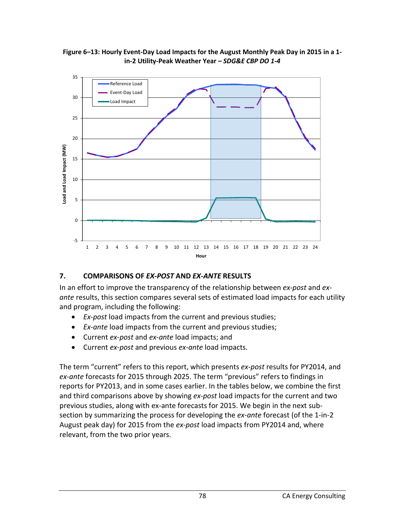



### **7. COMPARISONS OF** *EX-POST* **AND** *EX-ANTE* **RESULTS**

In an effort to improve the transparency of the relationship between *ex-post* and *exante* results, this section compares several sets of estimated load impacts for each utility and program, including the following:

- *Ex-post* load impacts from the current and previous studies;
- *Ex-ante* load impacts from the current and previous studies;
- Current *ex-post* and *ex-ante* load impacts; and
- Current *ex-post* and previous *ex-ante* load impacts.

The term "current" refers to this report, which presents *ex-post* results for PY2014, and *ex-ante* forecasts for 2015 through 2025. The term "previous" refers to findings in reports for PY2013, and in some cases earlier. In the tables below, we combine the first and third comparisons above by showing *ex-post* load impacts for the current and two previous studies, along with ex-ante forecasts for 2015. We begin in the next subsection by summarizing the process for developing the *ex-ante* forecast (of the 1-in-2 August peak day) for 2015 from the *ex-post* load impacts from PY2014 and, where relevant, from the two prior years.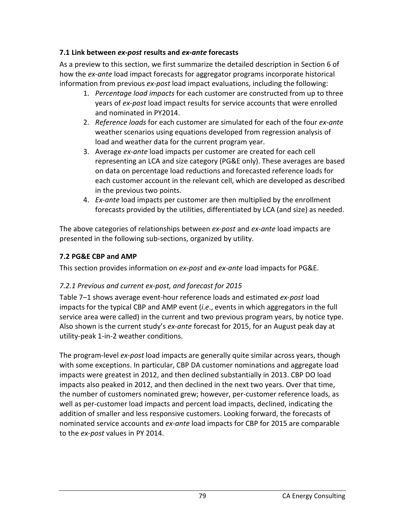### **7.1 Link between** *ex-post* **results and** *ex-ante* **forecasts**

As a preview to this section, we first summarize the detailed description in Section 6 of how the *ex-ante* load impact forecasts for aggregator programs incorporate historical information from previous *ex-post* load impact evaluations, including the following:

- 1. *Percentage load impacts* for each customer are constructed from up to three years of *ex-post* load impact results for service accounts that were enrolled and nominated in PY2014.
- 2. *Reference loads* for each customer are simulated for each of the four *ex-ante* weather scenarios using equations developed from regression analysis of load and weather data for the current program year.
- 3. Average *ex-ante* load impacts per customer are created for each cell representing an LCA and size category (PG&E only). These averages are based on data on percentage load reductions and forecasted reference loads for each customer account in the relevant cell, which are developed as described in the previous two points.
- 4. *Ex-ante* load impacts per customer are then multiplied by the enrollment forecasts provided by the utilities, differentiated by LCA (and size) as needed.

The above categories of relationships between *ex-post* and *ex-ante* load impacts are presented in the following sub-sections, organized by utility.

## **7.2 PG&E CBP and AMP**

This section provides information on *ex-post* and *ex-ante* load impacts for PG&E.

## *7.2.1 Previous and current ex-post, and forecast for 2015*

Table 7–1 shows average event-hour reference loads and estimated *ex-post* load impacts for the typical CBP and AMP event (*i.e*., events in which aggregators in the full service area were called) in the current and two previous program years, by notice type. Also shown is the current study's *ex-ante* forecast for 2015, for an August peak day at utility-peak 1-in-2 weather conditions.

The program-level *ex-post* load impacts are generally quite similar across years, though with some exceptions. In particular, CBP DA customer nominations and aggregate load impacts were greatest in 2012, and then declined substantially in 2013. CBP DO load impacts also peaked in 2012, and then declined in the next two years. Over that time, the number of customers nominated grew; however, per-customer reference loads, as well as per-customer load impacts and percent load impacts, declined, indicating the addition of smaller and less responsive customers. Looking forward, the forecasts of nominated service accounts and *ex-ante* load impacts for CBP for 2015 are comparable to the *ex-post* values in PY 2014.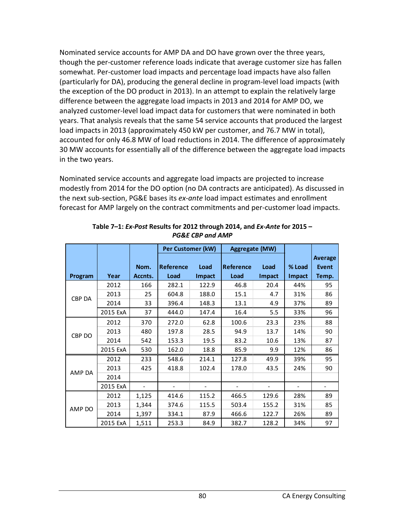Nominated service accounts for AMP DA and DO have grown over the three years, though the per-customer reference loads indicate that average customer size has fallen somewhat. Per-customer load impacts and percentage load impacts have also fallen (particularly for DA), producing the general decline in program-level load impacts (with the exception of the DO product in 2013). In an attempt to explain the relatively large difference between the aggregate load impacts in 2013 and 2014 for AMP DO, we analyzed customer-level load impact data for customers that were nominated in both years. That analysis reveals that the same 54 service accounts that produced the largest load impacts in 2013 (approximately 450 kW per customer, and 76.7 MW in total), accounted for only 46.8 MW of load reductions in 2014. The difference of approximately 30 MW accounts for essentially all of the difference between the aggregate load impacts in the two years.

Nominated service accounts and aggregate load impacts are projected to increase modestly from 2014 for the DO option (no DA contracts are anticipated). As discussed in the next sub-section, PG&E bases its *ex-ante* load impact estimates and enrollment forecast for AMP largely on the contract commitments and per-customer load impacts.

|         |          |         | Per Customer (kW) |        | Aggregate (MW)   |        |        |                |
|---------|----------|---------|-------------------|--------|------------------|--------|--------|----------------|
|         |          |         |                   |        |                  |        |        | <b>Average</b> |
|         |          | Nom.    | <b>Reference</b>  | Load   | <b>Reference</b> | Load   | % Load | <b>Event</b>   |
| Program | Year     | Accnts. | Load              | Impact | Load             | Impact | Impact | Temp.          |
|         | 2012     | 166     | 282.1             | 122.9  | 46.8             | 20.4   | 44%    | 95             |
| CBP DA  | 2013     | 25      | 604.8             | 188.0  | 15.1             | 4.7    | 31%    | 86             |
|         | 2014     | 33      | 396.4             | 148.3  | 13.1             | 4.9    | 37%    | 89             |
|         | 2015 ExA | 37      | 444.0             | 147.4  | 16.4             | 5.5    | 33%    | 96             |
|         | 2012     | 370     | 272.0             | 62.8   | 100.6            | 23.3   | 23%    | 88             |
|         | 2013     | 480     | 197.8             | 28.5   | 94.9             | 13.7   | 14%    | 90             |
| CBP DO  | 2014     | 542     | 153.3             | 19.5   | 83.2             | 10.6   | 13%    | 87             |
|         | 2015 ExA | 530     | 162.0             | 18.8   | 85.9             | 9.9    | 12%    | 86             |
|         | 2012     | 233     | 548.6             | 214.1  | 127.8            | 49.9   | 39%    | 95             |
| AMP DA  | 2013     | 425     | 418.8             | 102.4  | 178.0            | 43.5   | 24%    | 90             |
|         | 2014     |         |                   |        |                  |        |        |                |
|         | 2015 ExA |         |                   |        |                  |        |        |                |
|         | 2012     | 1,125   | 414.6             | 115.2  | 466.5            | 129.6  | 28%    | 89             |
|         | 2013     | 1,344   | 374.6             | 115.5  | 503.4            | 155.2  | 31%    | 85             |
| AMP DO  | 2014     | 1,397   | 334.1             | 87.9   | 466.6            | 122.7  | 26%    | 89             |
|         | 2015 ExA | 1,511   | 253.3             | 84.9   | 382.7            | 128.2  | 34%    | 97             |

**Table 7–1:** *Ex-Post* **Results for 2012 through 2014, and** *Ex-Ante* **for 2015 –** *PG&E CBP and AMP*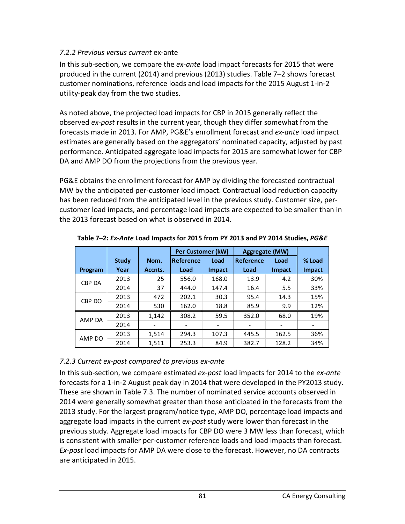### *7.2.2 Previous versus current* ex-ante

In this sub-section, we compare the *ex-ante* load impact forecasts for 2015 that were produced in the current (2014) and previous (2013) studies. Table 7–2 shows forecast customer nominations, reference loads and load impacts for the 2015 August 1-in-2 utility-peak day from the two studies.

As noted above, the projected load impacts for CBP in 2015 generally reflect the observed *ex-post* results in the current year, though they differ somewhat from the forecasts made in 2013. For AMP, PG&E's enrollment forecast and *ex-ante* load impact estimates are generally based on the aggregators' nominated capacity, adjusted by past performance. Anticipated aggregate load impacts for 2015 are somewhat lower for CBP DA and AMP DO from the projections from the previous year.

PG&E obtains the enrollment forecast for AMP by dividing the forecasted contractual MW by the anticipated per-customer load impact. Contractual load reduction capacity has been reduced from the anticipated level in the previous study. Customer size, percustomer load impacts, and percentage load impacts are expected to be smaller than in the 2013 forecast based on what is observed in 2014.

|               |              |         | Per Customer (kW) |               | <b>Aggregate (MW)</b> |               |        |
|---------------|--------------|---------|-------------------|---------------|-----------------------|---------------|--------|
|               | <b>Study</b> | Nom.    | <b>Reference</b>  | Load          | <b>Reference</b>      | Load          | % Load |
| Program       | Year         | Accnts. | Load              | <b>Impact</b> | Load                  | <b>Impact</b> | Impact |
|               | 2013         | 25      | 556.0             | 168.0         | 13.9                  | 4.2           | 30%    |
| <b>CBP DA</b> | 2014         | 37      | 444.0             | 147.4         | 16.4                  | 5.5           | 33%    |
|               | 2013         | 472     | 202.1             | 30.3          | 95.4                  | 14.3          | 15%    |
| CBP DO        | 2014         | 530     | 162.0             | 18.8          | 85.9                  | 9.9           | 12%    |
| AMP DA        | 2013         | 1,142   | 308.2             | 59.5          | 352.0                 | 68.0          | 19%    |
|               | 2014         |         |                   |               |                       |               |        |
| AMP DO        | 2013         | 1,514   | 294.3             | 107.3         | 445.5                 | 162.5         | 36%    |
|               | 2014         | 1,511   | 253.3             | 84.9          | 382.7                 | 128.2         | 34%    |

**Table 7–2:** *Ex-Ante* **Load Impacts for 2015 from PY 2013 and PY 2014 Studies,** *PG&E*

## *7.2.3 Current ex-post compared to previous ex-ante*

In this sub-section, we compare estimated *ex-post* load impacts for 2014 to the *ex-ante* forecasts for a 1-in-2 August peak day in 2014 that were developed in the PY2013 study. These are shown in Table 7.3. The number of nominated service accounts observed in 2014 were generally somewhat greater than those anticipated in the forecasts from the 2013 study. For the largest program/notice type, AMP DO, percentage load impacts and aggregate load impacts in the current *ex-post* study were lower than forecast in the previous study. Aggregate load impacts for CBP DO were 3 MW less than forecast, which is consistent with smaller per-customer reference loads and load impacts than forecast. *Ex-post* load impacts for AMP DA were close to the forecast. However, no DA contracts are anticipated in 2015.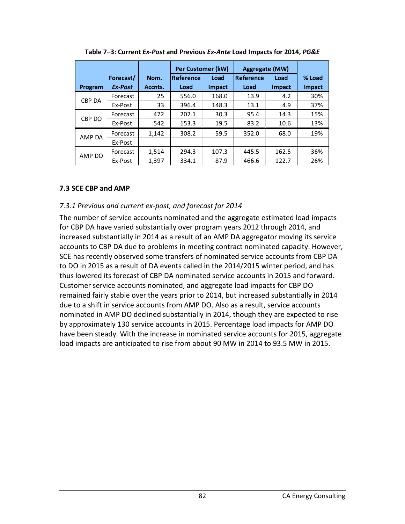|         |           |         | Per Customer (kW) |               | <b>Aggregate (MW)</b> |               |               |
|---------|-----------|---------|-------------------|---------------|-----------------------|---------------|---------------|
|         | Forecast/ | Nom.    | Reference         | Load          | Reference<br>Load     |               | % Load        |
| Program | Ex-Post   | Accnts. | Load              | <b>Impact</b> | Load                  | <b>Impact</b> | <b>Impact</b> |
| CBP DA  | Forecast  | 25      | 556.0             | 168.0         | 13.9                  | 4.2           | 30%           |
|         | Ex-Post   | 33      | 396.4             | 148.3         | 13.1                  | 4.9           | 37%           |
| CBP DO  | Forecast  | 472     | 202.1             | 30.3          | 95.4                  | 14.3          | 15%           |
|         | Ex-Post   | 542     | 153.3             | 19.5          | 83.2                  | 10.6          | 13%           |
| AMP DA  | Forecast  | 1.142   | 308.2             | 59.5          | 352.0                 | 68.0          | 19%           |
|         | Ex-Post   |         |                   |               |                       |               |               |
|         | Forecast  | 1,514   | 294.3             | 107.3         | 445.5                 | 162.5         | 36%           |
| AMP DO  | Ex-Post   | 1,397   | 334.1             | 87.9          | 466.6                 | 122.7         | 26%           |

**Table 7–3: Current** *Ex-Post* **and Previous** *Ex-Ante* **Load Impacts for 2014,** *PG&E*

### **7.3 SCE CBP and AMP**

### *7.3.1 Previous and current ex-post, and forecast for 2014*

The number of service accounts nominated and the aggregate estimated load impacts for CBP DA have varied substantially over program years 2012 through 2014, and increased substantially in 2014 as a result of an AMP DA aggregator moving its service accounts to CBP DA due to problems in meeting contract nominated capacity. However, SCE has recently observed some transfers of nominated service accounts from CBP DA to DO in 2015 as a result of DA events called in the 2014/2015 winter period, and has thus lowered its forecast of CBP DA nominated service accounts in 2015 and forward. Customer service accounts nominated, and aggregate load impacts for CBP DO remained fairly stable over the years prior to 2014, but increased substantially in 2014 due to a shift in service accounts from AMP DO. Also as a result, service accounts nominated in AMP DO declined substantially in 2014, though they are expected to rise by approximately 130 service accounts in 2015. Percentage load impacts for AMP DO have been steady. With the increase in nominated service accounts for 2015, aggregate load impacts are anticipated to rise from about 90 MW in 2014 to 93.5 MW in 2015.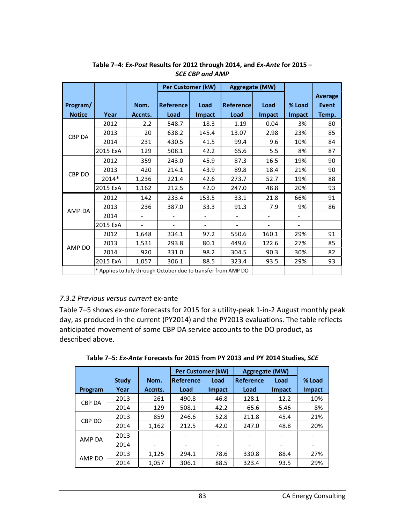|               |          |         | <b>Per Customer (kW)</b>                                      |                          | <b>Aggregate (MW)</b> |               |        |                |
|---------------|----------|---------|---------------------------------------------------------------|--------------------------|-----------------------|---------------|--------|----------------|
|               |          |         |                                                               |                          |                       |               |        | <b>Average</b> |
| Program/      |          | Nom.    | <b>Reference</b>                                              | Load                     | <b>Reference</b>      | Load          | % Load | <b>Event</b>   |
| <b>Notice</b> | Year     | Accnts. | Load                                                          | <b>Impact</b>            | Load                  | <b>Impact</b> | Impact | Temp.          |
|               | 2012     | 2.2     | 548.7                                                         | 18.3                     | 1.19                  | 0.04          | 3%     | 80             |
| CBP DA        | 2013     | 20      | 638.2                                                         | 145.4                    | 13.07                 | 2.98          | 23%    | 85             |
|               | 2014     | 231     | 430.5                                                         | 41.5                     | 99.4                  | 9.6           | 10%    | 84             |
|               | 2015 ExA | 129     | 508.1                                                         | 42.2                     | 65.6                  | 5.5           | 8%     | 87             |
|               | 2012     | 359     | 243.0                                                         | 45.9                     | 87.3                  | 16.5          | 19%    | 90             |
|               | 2013     | 420     | 214.1                                                         | 43.9                     | 89.8                  | 18.4          | 21%    | 90             |
| CBP DO        | 2014*    | 1,236   | 221.4                                                         | 42.6                     | 273.7                 | 52.7          | 19%    | 88             |
|               | 2015 ExA | 1,162   | 212.5                                                         | 42.0                     | 247.0                 | 48.8          | 20%    | 93             |
|               | 2012     | 142     | 233.4                                                         | 153.5                    | 33.1                  | 21.8          | 66%    | 91             |
| AMP DA        | 2013     | 236     | 387.0                                                         | 33.3                     | 91.3                  | 7.9           | 9%     | 86             |
|               | 2014     |         |                                                               | $\overline{\phantom{a}}$ |                       |               |        |                |
|               | 2015 ExA |         |                                                               |                          |                       |               |        |                |
|               | 2012     | 1,648   | 334.1                                                         | 97.2                     | 550.6                 | 160.1         | 29%    | 91             |
|               | 2013     | 1,531   | 293.8                                                         | 80.1                     | 449.6                 | 122.6         | 27%    | 85             |
| AMP DO        | 2014     | 920     | 331.0                                                         | 98.2                     | 304.5                 | 90.3          | 30%    | 82             |
|               | 2015 ExA | 1,057   | 306.1                                                         | 88.5                     | 323.4                 | 93.5          | 29%    | 93             |
|               |          |         | * Applies to July through October due to transfer from AMP DO |                          |                       |               |        |                |

**Table 7–4:** *Ex-Post* **Results for 2012 through 2014, and** *Ex-Ante* **for 2015 –** *SCE CBP and AMP*

#### *7.3.2 Previous versus current* ex-ante

Table 7–5 shows *ex-ante* forecasts for 2015 for a utility-peak 1-in-2 August monthly peak day, as produced in the current (PY2014) and the PY2013 evaluations. The table reflects anticipated movement of some CBP DA service accounts to the DO product, as described above.

|  |  | Table 7-5: Ex-Ante Forecasts for 2015 from PY 2013 and PY 2014 Studies, SCE |
|--|--|-----------------------------------------------------------------------------|
|--|--|-----------------------------------------------------------------------------|

|         |              |         |                  | Per Customer (kW)        |                          | <b>Aggregate (MW)</b> |        |
|---------|--------------|---------|------------------|--------------------------|--------------------------|-----------------------|--------|
|         | <b>Study</b> | Nom.    | <b>Reference</b> | Load                     | Reference                | Load                  | % Load |
| Program | Year         | Accnts. | Load             | <b>Impact</b>            | Load                     | <b>Impact</b>         | Impact |
|         | 2013         | 261     | 490.8            | 46.8                     | 128.1                    | 12.2                  | 10%    |
| CBP DA  | 2014         | 129     | 508.1            | 42.2                     | 65.6                     | 5.46                  | 8%     |
|         | 2013         | 859     | 246.6            | 52.8                     | 211.8                    | 45.4                  | 21%    |
| CBP DO  | 2014         | 1,162   | 212.5            | 42.0                     | 247.0                    | 48.8                  | 20%    |
| AMP DA  | 2013         |         |                  | $\overline{\phantom{0}}$ |                          |                       |        |
|         | 2014         | ۰       |                  | -                        | $\overline{\phantom{0}}$ |                       |        |
|         | 2013         | 1,125   | 294.1            | 78.6                     | 330.8                    | 88.4                  | 27%    |
| AMP DO  | 2014         | 1,057   | 306.1            | 88.5                     | 323.4                    | 93.5                  | 29%    |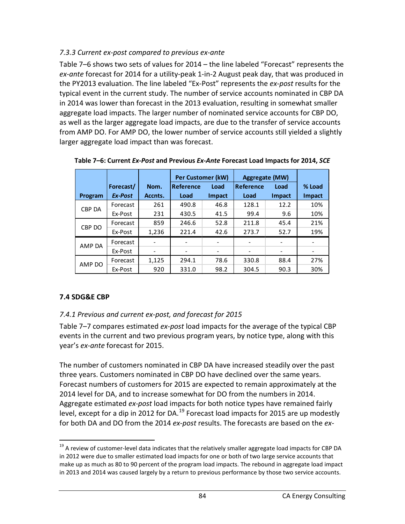## *7.3.3 Current ex-post compared to previous ex-ante*

Table 7–6 shows two sets of values for 2014 – the line labeled "Forecast" represents the *ex-ante* forecast for 2014 for a utility-peak 1-in-2 August peak day, that was produced in the PY2013 evaluation. The line labeled "Ex-Post" represents the *ex-post* results for the typical event in the current study. The number of service accounts nominated in CBP DA in 2014 was lower than forecast in the 2013 evaluation, resulting in somewhat smaller aggregate load impacts. The larger number of nominated service accounts for CBP DO, as well as the larger aggregate load impacts, are due to the transfer of service accounts from AMP DO. For AMP DO, the lower number of service accounts still yielded a slightly larger aggregate load impact than was forecast.

|         |           |         | Per Customer (kW) |        | <b>Aggregate (MW)</b>    |               |               |
|---------|-----------|---------|-------------------|--------|--------------------------|---------------|---------------|
|         | Forecast/ | Nom.    | Reference<br>Load |        | <b>Reference</b><br>Load |               | % Load        |
| Program | Ex-Post   | Accnts. | Load              | Impact | Load                     | <b>Impact</b> | <b>Impact</b> |
| CBP DA  | Forecast  | 261     | 490.8             | 46.8   | 128.1                    | 12.2          | 10%           |
|         | Ex-Post   | 231     | 430.5             | 41.5   | 99.4                     | 9.6           | 10%           |
| CBP DO  | Forecast  | 859     | 246.6             | 52.8   | 211.8                    | 45.4          | 21%           |
|         | Ex-Post   | 1,236   | 221.4             | 42.6   | 273.7                    | 52.7          | 19%           |
| AMP DA  | Forecast  |         |                   |        |                          |               |               |
|         | Ex-Post   |         |                   | -      |                          |               |               |
| AMP DO  | Forecast  | 1,125   | 294.1             | 78.6   | 330.8                    | 88.4          | 27%           |
|         | Ex-Post   | 920     | 331.0             | 98.2   | 304.5                    | 90.3          | 30%           |

**Table 7–6: Current** *Ex-Post* **and Previous** *Ex-Ante* **Forecast Load Impacts for 2014,** *SCE*

## **7.4 SDG&E CBP**

## *7.4.1 Previous and current ex-post, and forecast for 2015*

Table 7–7 compares estimated *ex-post* load impacts for the average of the typical CBP events in the current and two previous program years, by notice type, along with this year's *ex-ante* forecast for 2015.

The number of customers nominated in CBP DA have increased steadily over the past three years. Customers nominated in CBP DO have declined over the same years. Forecast numbers of customers for 2015 are expected to remain approximately at the 2014 level for DA, and to increase somewhat for DO from the numbers in 2014. Aggregate estimated *ex-post* load impacts for both notice types have remained fairly level, except for a dip in 2012 for DA.<sup>[19](#page-84-0)</sup> Forecast load impacts for 2015 are up modestly for both DA and DO from the 2014 *ex-post* results. The forecasts are based on the *ex-*

<span id="page-84-0"></span><sup>&</sup>lt;sup>19</sup> A review of customer-level data indicates that the relatively smaller aggregate load impacts for CBP DA in 2012 were due to smaller estimated load impacts for one or both of two large service accounts that make up as much as 80 to 90 percent of the program load impacts. The rebound in aggregate load impact in 2013 and 2014 was caused largely by a return to previous performance by those two service accounts.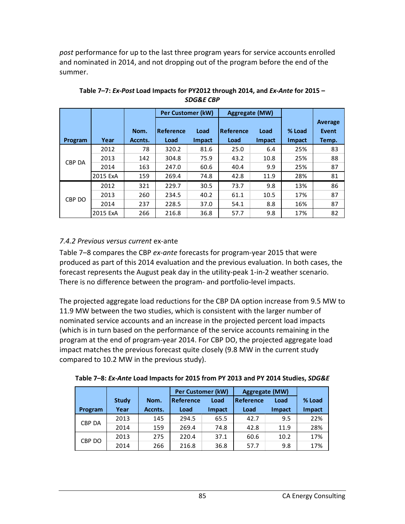*post* performance for up to the last three program years for service accounts enrolled and nominated in 2014, and not dropping out of the program before the end of the summer.

|               |          |         | Per Customer (kW) |               | <b>Aggregate (MW)</b> |               |               |                |
|---------------|----------|---------|-------------------|---------------|-----------------------|---------------|---------------|----------------|
|               |          |         |                   |               |                       |               |               | <b>Average</b> |
|               |          | Nom.    | Reference         | Load          | Reference             | Load          | % Load        | Event          |
| Program       | Year     | Accnts. | Load              | <b>Impact</b> | Load                  | <b>Impact</b> | <b>Impact</b> | Temp.          |
|               | 2012     | 78      | 320.2             | 81.6          | 25.0                  | 6.4           | 25%           | 83             |
| <b>CBP DA</b> | 2013     | 142     | 304.8             | 75.9          | 43.2                  | 10.8          | 25%           | 88             |
|               | 2014     | 163     | 247.0             | 60.6          | 40.4                  | 9.9           | 25%           | 87             |
|               | 2015 ExA | 159     | 269.4             | 74.8          | 42.8                  | 11.9          | 28%           | 81             |
|               | 2012     | 321     | 229.7             | 30.5          | 73.7                  | 9.8           | 13%           | 86             |
| CBP DO        | 2013     | 260     | 234.5             | 40.2          | 61.1                  | 10.5          | 17%           | 87             |
|               | 2014     | 237     | 228.5             | 37.0          | 54.1                  | 8.8           | 16%           | 87             |
|               | 2015 ExA | 266     | 216.8             | 36.8          | 57.7                  | 9.8           | 17%           | 82             |

**Table 7–7:** *Ex-Post* **Load Impacts for PY2012 through 2014, and** *Ex-Ante* **for 2015 –** *SDG&E CBP*

### *7.4.2 Previous versus current* ex-ante

CBP DO

Table 7–8 compares the CBP *ex-ante* forecasts for program-year 2015 that were produced as part of this 2014 evaluation and the previous evaluation. In both cases, the forecast represents the August peak day in the utility-peak 1-in-2 weather scenario. There is no difference between the program- and portfolio-level impacts.

The projected aggregate load reductions for the CBP DA option increase from 9.5 MW to 11.9 MW between the two studies, which is consistent with the larger number of nominated service accounts and an increase in the projected percent load impacts (which is in turn based on the performance of the service accounts remaining in the program at the end of program-year 2014. For CBP DO, the projected aggregate load impact matches the previous forecast quite closely (9.8 MW in the current study compared to 10.2 MW in the previous study).

|               |              |         | <b>Per Customer (kW)</b> |               | <b>Aggregate (MW)</b> |               |               |  |  |
|---------------|--------------|---------|--------------------------|---------------|-----------------------|---------------|---------------|--|--|
|               | <b>Study</b> | Nom.    | <b>Reference</b><br>Load |               | Reference<br>Load     |               | % Load        |  |  |
| Program       | Year         | Accnts. | Load                     | <b>Impact</b> | Load                  | <b>Impact</b> | <b>Impact</b> |  |  |
| <b>CBP DA</b> | 2013         | 145     | 294.5                    | 65.5          | 42.7                  | 9.5           | 22%           |  |  |
|               | 2014         | 159     | 269.4                    | 74.8          | 42.8                  | 11.9          | 28%           |  |  |

2013 275 220.4 37.1 60.6 10.2 17% 2014 266 216.8 36.8 57.7 9.8 17%

**Table 7–8:** *Ex-Ante* **Load Impacts for 2015 from PY 2013 and PY 2014 Studies,** *SDG&E*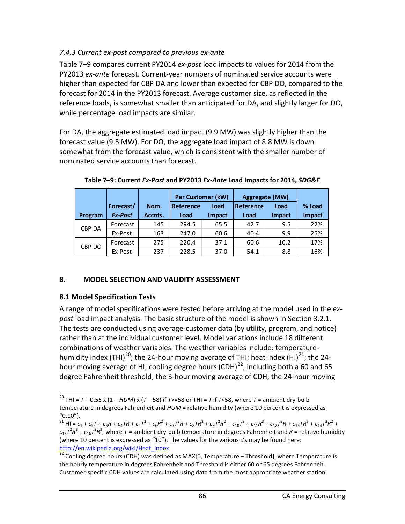## *7.4.3 Current ex-post compared to previous ex-ante*

Table 7–9 compares current PY2014 *ex-post* load impacts to values for 2014 from the PY2013 *ex-ante* forecast. Current-year numbers of nominated service accounts were higher than expected for CBP DA and lower than expected for CBP DO, compared to the forecast for 2014 in the PY2013 forecast. Average customer size, as reflected in the reference loads, is somewhat smaller than anticipated for DA, and slightly larger for DO, while percentage load impacts are similar.

For DA, the aggregate estimated load impact (9.9 MW) was slightly higher than the forecast value (9.5 MW). For DO, the aggregate load impact of 8.8 MW is down somewhat from the forecast value, which is consistent with the smaller number of nominated service accounts than forecast.

|               |           |         | <b>Per Customer (kW)</b> |        | <b>Aggregate (MW)</b>    |               |               |
|---------------|-----------|---------|--------------------------|--------|--------------------------|---------------|---------------|
|               | Forecast/ | Nom.    | Reference<br>Load        |        | <b>Reference</b><br>Load |               | % Load        |
| Program       | Ex-Post   | Accnts. | Load                     | Impact | Load                     | <b>Impact</b> | <b>Impact</b> |
| <b>CBP DA</b> | Forecast  | 145     | 294.5                    | 65.5   | 42.7                     | 9.5           | 22%           |
|               | Ex-Post   | 163     | 247.0                    | 60.6   | 40.4                     | 9.9           | 25%           |
|               | Forecast  | 275     | 220.4                    | 37.1   | 60.6                     | 10.2          | 17%           |
| CBP DO        | Ex-Post   | 237     | 228.5                    | 37.0   | 54.1                     | 8.8           | 16%           |

**Table 7–9: Current** *Ex-Post* **and PY2013** *Ex-Ante* **Load Impacts for 2014,** *SDG&E*

## **8. MODEL SELECTION AND VALIDITY ASSESSMENT**

### **8.1 Model Specification Tests**

A range of model specifications were tested before arriving at the model used in the *expost* load impact analysis. The basic structure of the model is shown in Section 3.2.1. The tests are conducted using average-customer data (by utility, program, and notice) rather than at the individual customer level. Model variations include 18 different combinations of weather variables. The weather variables include: temperaturehumidity index (THI)<sup>20</sup>; the 24-hour moving average of THI; heat index (HI)<sup>21</sup>; the 24hour moving average of HI; cooling degree hours  $(CDH)^{22}$ , including both a 60 and 65 degree Fahrenheit threshold; the 3-hour moving average of CDH; the 24-hour moving

<span id="page-86-0"></span><sup>&</sup>lt;sup>20</sup> THI =  $T$  – 0.55 x (1 – *HUM*) x (*T* – 58) if *T*>=58 or THI = *T* if *T*<58, where *T* = ambient dry-bulb temperature in degrees Fahrenheit and *HUM* = relative humidity (where 10 percent is expressed as

<span id="page-86-1"></span><sup>&</sup>quot;0.10").<br><sup>21</sup> HI =  $c_1$  +  $c_2T$  +  $c_3R$  +  $c_4TR$  +  $c_5T^2$  +  $c_6R^2$  +  $c_7T^2R$  +  $c_8TR^2$  +  $c_9T^2R^2$  +  $c_{10}T^3$  +  $c_{11}R^3$  +  $c_{12}T^3R$  +  $c_{13}TR^3$  +  $c_{14}T^3R^2$  +  $c_{15}$  $7^2R^3$  +  $c_{16}$  $7^3R^3$ , where  $T$  = ambient dry-bulb temperature in degrees Fahrenheit and  $R$  = relative humidity (where 10 percent is expressed as "10"). The values for the various *c*'s may be found here: http://en.wikipedia.org/wiki/Heat index.<br><sup>22</sup> Cooling degree hours (CDH) was defined as MAX[0, Temperature – Threshold], where Temperature is

<span id="page-86-2"></span>the hourly temperature in degrees Fahrenheit and Threshold is either 60 or 65 degrees Fahrenheit. Customer-specific CDH values are calculated using data from the most appropriate weather station.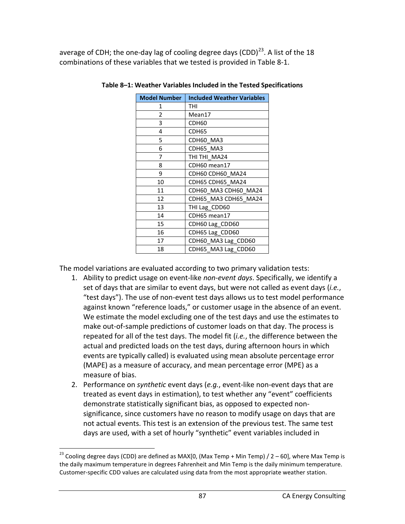average of CDH; the one-day lag of cooling degree days  $(CDD)^{23}$  $(CDD)^{23}$  $(CDD)^{23}$ . A list of the 18 combinations of these variables that we tested is provided in Table 8-1.

| <b>Model Number</b> | <b>Included Weather Variables</b> |  |  |  |  |
|---------------------|-----------------------------------|--|--|--|--|
| 1                   | THI                               |  |  |  |  |
| 2                   | Mean17                            |  |  |  |  |
| 3                   | CDH60                             |  |  |  |  |
| 4                   | CDH65                             |  |  |  |  |
| 5                   | CDH60_MA3                         |  |  |  |  |
| 6                   | CDH65_MA3                         |  |  |  |  |
| 7                   | THI THI_MA24                      |  |  |  |  |
| 8                   | CDH60 mean17                      |  |  |  |  |
| 9                   | CDH60 CDH60_MA24                  |  |  |  |  |
| 10                  | CDH65 CDH65_MA24                  |  |  |  |  |
| 11                  | CDH60_MA3 CDH60_MA24              |  |  |  |  |
| 12                  | CDH65_MA3 CDH65_MA24              |  |  |  |  |
| 13                  | THI Lag_CDD60                     |  |  |  |  |
| 14                  | CDH65 mean17                      |  |  |  |  |
| 15                  | CDH60 Lag_CDD60                   |  |  |  |  |
| 16                  | CDH65 Lag_CDD60                   |  |  |  |  |
| 17                  | CDH60_MA3 Lag_CDD60               |  |  |  |  |
| 18                  | CDH65_MA3 Lag_CDD60               |  |  |  |  |

**Table 8–1: Weather Variables Included in the Tested Specifications**

The model variations are evaluated according to two primary validation tests:

- 1. Ability to predict usage on event-like *non-event days*. Specifically, we identify a set of days that are similar to event days, but were not called as event days (*i.e.*, "test days"). The use of non-event test days allows us to test model performance against known "reference loads," or customer usage in the absence of an event. We estimate the model excluding one of the test days and use the estimates to make out-of-sample predictions of customer loads on that day. The process is repeated for all of the test days. The model fit (*i.e.*, the difference between the actual and predicted loads on the test days, during afternoon hours in which events are typically called) is evaluated using mean absolute percentage error (MAPE) as a measure of accuracy, and mean percentage error (MPE) as a measure of bias.
- 2. Performance on *synthetic* event days (*e.g.*, event-like non-event days that are treated as event days in estimation), to test whether any "event" coefficients demonstrate statistically significant bias, as opposed to expected nonsignificance, since customers have no reason to modify usage on days that are not actual events. This test is an extension of the previous test. The same test days are used, with a set of hourly "synthetic" event variables included in

<span id="page-87-0"></span><sup>&</sup>lt;sup>23</sup> Cooling degree days (CDD) are defined as MAX[0, (Max Temp + Min Temp) / 2 – 60], where Max Temp is the daily maximum temperature in degrees Fahrenheit and Min Temp is the daily minimum temperature. Customer-specific CDD values are calculated using data from the most appropriate weather station.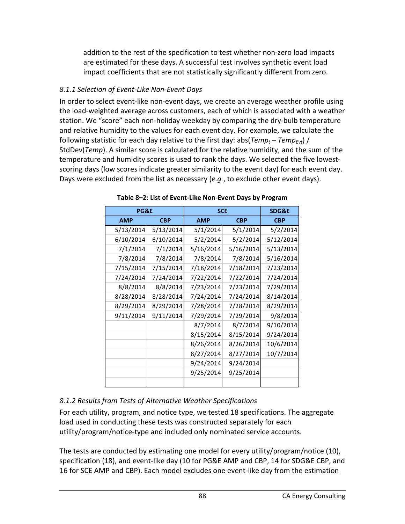addition to the rest of the specification to test whether non-zero load impacts are estimated for these days. A successful test involves synthetic event load impact coefficients that are not statistically significantly different from zero.

## *8.1.1 Selection of Event-Like Non-Event Days*

In order to select event-like non-event days, we create an average weather profile using the load-weighted average across customers, each of which is associated with a weather station. We "score" each non-holiday weekday by comparing the dry-bulb temperature and relative humidity to the values for each event day. For example, we calculate the following statistic for each day relative to the first day: abs( $Temp_t - Temp_{Fvt}$ ) / StdDev(*Temp*). A similar score is calculated for the relative humidity, and the sum of the temperature and humidity scores is used to rank the days. We selected the five lowestscoring days (low scores indicate greater similarity to the event day) for each event day. Days were excluded from the list as necessary (*e.g.*, to exclude other event days).

| <b>PG&amp;E</b> |            | <b>SCE</b> | <b>SDG&amp;E</b> |            |
|-----------------|------------|------------|------------------|------------|
| <b>AMP</b>      | <b>CBP</b> | <b>AMP</b> | <b>CBP</b>       | <b>CBP</b> |
| 5/13/2014       | 5/13/2014  | 5/1/2014   | 5/1/2014         | 5/2/2014   |
| 6/10/2014       | 6/10/2014  | 5/2/2014   | 5/2/2014         | 5/12/2014  |
| 7/1/2014        | 7/1/2014   | 5/16/2014  | 5/16/2014        | 5/13/2014  |
| 7/8/2014        | 7/8/2014   | 7/8/2014   | 7/8/2014         | 5/16/2014  |
| 7/15/2014       | 7/15/2014  | 7/18/2014  | 7/18/2014        | 7/23/2014  |
| 7/24/2014       | 7/24/2014  | 7/22/2014  | 7/22/2014        | 7/24/2014  |
| 8/8/2014        | 8/8/2014   | 7/23/2014  | 7/23/2014        | 7/29/2014  |
| 8/28/2014       | 8/28/2014  | 7/24/2014  | 7/24/2014        | 8/14/2014  |
| 8/29/2014       | 8/29/2014  | 7/28/2014  | 7/28/2014        | 8/29/2014  |
| 9/11/2014       | 9/11/2014  | 7/29/2014  | 7/29/2014        | 9/8/2014   |
|                 |            | 8/7/2014   | 8/7/2014         | 9/10/2014  |
|                 |            | 8/15/2014  | 8/15/2014        | 9/24/2014  |
|                 |            | 8/26/2014  | 8/26/2014        | 10/6/2014  |
|                 |            | 8/27/2014  | 8/27/2014        | 10/7/2014  |
|                 |            | 9/24/2014  | 9/24/2014        |            |
|                 |            | 9/25/2014  | 9/25/2014        |            |
|                 |            |            |                  |            |

**Table 8–2: List of Event-Like Non-Event Days by Program**

# *8.1.2 Results from Tests of Alternative Weather Specifications*

For each utility, program, and notice type, we tested 18 specifications. The aggregate load used in conducting these tests was constructed separately for each utility/program/notice-type and included only nominated service accounts.

The tests are conducted by estimating one model for every utility/program/notice (10), specification (18), and event-like day (10 for PG&E AMP and CBP, 14 for SDG&E CBP, and 16 for SCE AMP and CBP). Each model excludes one event-like day from the estimation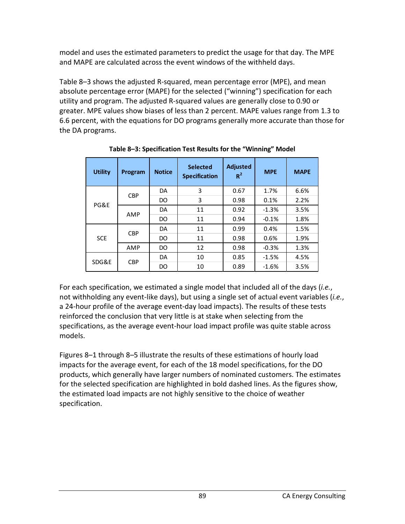model and uses the estimated parameters to predict the usage for that day. The MPE and MAPE are calculated across the event windows of the withheld days.

Table 8–3 shows the adjusted R-squared, mean percentage error (MPE), and mean absolute percentage error (MAPE) for the selected ("winning") specification for each utility and program. The adjusted R-squared values are generally close to 0.90 or greater. MPE values show biases of less than 2 percent. MAPE values range from 1.3 to 6.6 percent, with the equations for DO programs generally more accurate than those for the DA programs.

| <b>Utility</b> | Program    | <b>Notice</b> | <b>Selected</b><br><b>Specification</b> | <b>Adjusted</b><br>$R^2$ | <b>MPE</b> | <b>MAPE</b> |
|----------------|------------|---------------|-----------------------------------------|--------------------------|------------|-------------|
|                | <b>CBP</b> | DA            | 3                                       | 0.67                     | 1.7%       | 6.6%        |
| PG&E           |            | DO            | 3                                       | 0.98                     | 0.1%       | 2.2%        |
|                | AMP        | DA            | 11                                      | 0.92                     | $-1.3%$    | 3.5%        |
|                |            | DO            | 11                                      | 0.94                     | $-0.1%$    | 1.8%        |
| <b>SCE</b>     | <b>CBP</b> | DA            | 11                                      | 0.99                     | 0.4%       | 1.5%        |
|                |            | DO            | 11                                      | 0.98                     | 0.6%       | 1.9%        |
|                | AMP        | DO.           | 12                                      | 0.98                     | $-0.3%$    | 1.3%        |
| SDG&E          | <b>CBP</b> | DA            | 10                                      | 0.85                     | $-1.5%$    | 4.5%        |
|                |            | DO            | 10                                      | 0.89                     | $-1.6%$    | 3.5%        |

**Table 8–3: Specification Test Results for the "Winning" Model**

For each specification, we estimated a single model that included all of the days (*i.e.*, not withholding any event-like days), but using a single set of actual event variables (*i.e.*, a 24-hour profile of the average event-day load impacts). The results of these tests reinforced the conclusion that very little is at stake when selecting from the specifications, as the average event-hour load impact profile was quite stable across models.

Figures 8–1 through 8–5 illustrate the results of these estimations of hourly load impacts for the average event, for each of the 18 model specifications, for the DO products, which generally have larger numbers of nominated customers. The estimates for the selected specification are highlighted in bold dashed lines. As the figures show, the estimated load impacts are not highly sensitive to the choice of weather specification.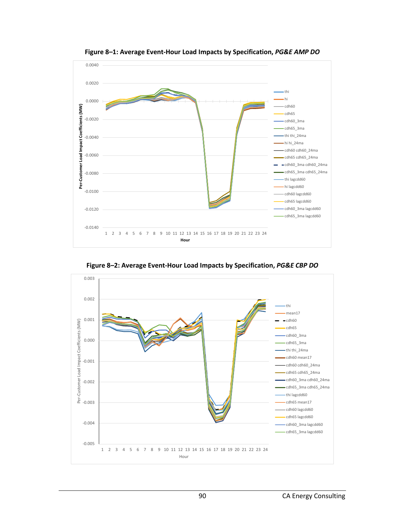

**Figure 8–1: Average Event-Hour Load Impacts by Specification,** *PG&E AMP DO*



**Figure 8–2: Average Event-Hour Load Impacts by Specification,** *PG&E CBP DO*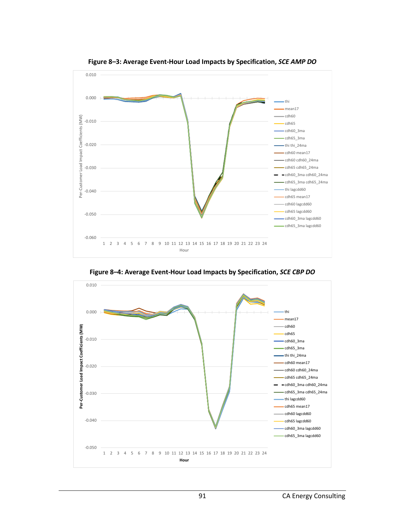

**Figure 8–3: Average Event-Hour Load Impacts by Specification,** *SCE AMP DO*

**Figure 8–4: Average Event-Hour Load Impacts by Specification,** *SCE CBP DO*

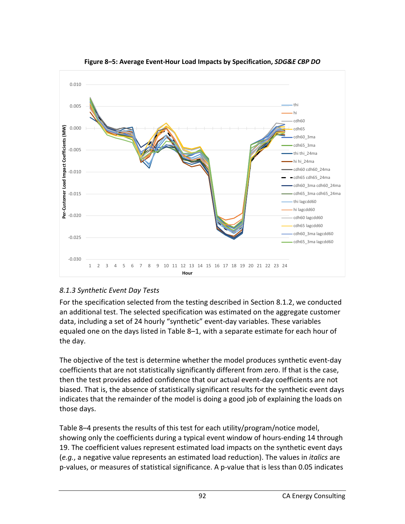

**Figure 8–5: Average Event-Hour Load Impacts by Specification,** *SDG&E CBP DO*

## *8.1.3 Synthetic Event Day Tests*

For the specification selected from the testing described in Section 8.1.2, we conducted an additional test. The selected specification was estimated on the aggregate customer data, including a set of 24 hourly "synthetic" event-day variables. These variables equaled one on the days listed in Table 8–1, with a separate estimate for each hour of the day.

The objective of the test is determine whether the model produces synthetic event-day coefficients that are not statistically significantly different from zero. If that is the case, then the test provides added confidence that our actual event-day coefficients are not biased. That is, the absence of statistically significant results for the synthetic event days indicates that the remainder of the model is doing a good job of explaining the loads on those days.

Table 8–4 presents the results of this test for each utility/program/notice model, showing only the coefficients during a typical event window of hours-ending 14 through 19. The coefficient values represent estimated load impacts on the synthetic event days (*e.g.*, a negative value represents an estimated load reduction). The values in *italics* are p-values, or measures of statistical significance. A p-value that is less than 0.05 indicates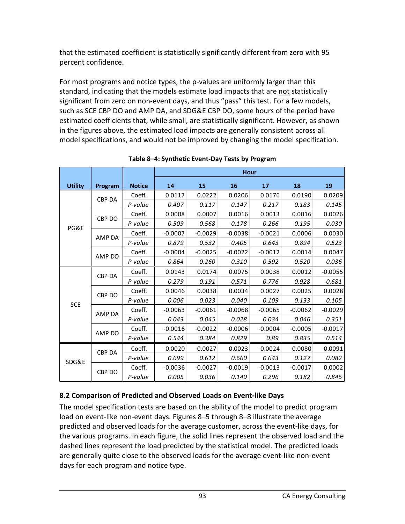that the estimated coefficient is statistically significantly different from zero with 95 percent confidence.

For most programs and notice types, the p-values are uniformly larger than this standard, indicating that the models estimate load impacts that are not statistically significant from zero on non-event days, and thus "pass" this test. For a few models, such as SCE CBP DO and AMP DA, and SDG&E CBP DO, some hours of the period have estimated coefficients that, while small, are statistically significant. However, as shown in the figures above, the estimated load impacts are generally consistent across all model specifications, and would not be improved by changing the model specification.

|                |               |               | <b>Hour</b> |           |           |           |           |           |
|----------------|---------------|---------------|-------------|-----------|-----------|-----------|-----------|-----------|
| <b>Utility</b> | Program       | <b>Notice</b> | 14          | 15        | 16        | 17        | 18        | 19        |
|                | <b>CBP DA</b> | Coeff.        | 0.0117      | 0.0222    | 0.0206    | 0.0176    | 0.0190    | 0.0209    |
|                |               | P-value       | 0.407       | 0.117     | 0.147     | 0.217     | 0.183     | 0.145     |
|                | CBP DO        | Coeff.        | 0.0008      | 0.0007    | 0.0016    | 0.0013    | 0.0016    | 0.0026    |
| PG&E           |               | P-value       | 0.509       | 0.568     | 0.178     | 0.266     | 0.195     | 0.030     |
|                | AMP DA        | Coeff.        | $-0.0007$   | $-0.0029$ | $-0.0038$ | $-0.0021$ | 0.0006    | 0.0030    |
|                |               | P-value       | 0.879       | 0.532     | 0.405     | 0.643     | 0.894     | 0.523     |
|                | AMP DO        | Coeff.        | $-0.0004$   | $-0.0025$ | $-0.0022$ | $-0.0012$ | 0.0014    | 0.0047    |
|                |               | P-value       | 0.864       | 0.260     | 0.310     | 0.592     | 0.520     | 0.036     |
| <b>SCE</b>     | CBP DA        | Coeff.        | 0.0143      | 0.0174    | 0.0075    | 0.0038    | 0.0012    | $-0.0055$ |
|                |               | P-value       | 0.279       | 0.191     | 0.571     | 0.776     | 0.928     | 0.681     |
|                | CBP DO        | Coeff.        | 0.0046      | 0.0038    | 0.0034    | 0.0027    | 0.0025    | 0.0028    |
|                |               | P-value       | 0.006       | 0.023     | 0.040     | 0.109     | 0.133     | 0.105     |
|                | AMP DA        | Coeff.        | $-0.0063$   | $-0.0061$ | $-0.0068$ | $-0.0065$ | $-0.0062$ | $-0.0029$ |
|                |               | P-value       | 0.043       | 0.045     | 0.028     | 0.034     | 0.046     | 0.351     |
|                | AMP DO        | Coeff.        | $-0.0016$   | $-0.0022$ | $-0.0006$ | $-0.0004$ | $-0.0005$ | $-0.0017$ |
|                |               | P-value       | 0.544       | 0.384     | 0.829     | 0.89      | 0.835     | 0.514     |
|                | <b>CBP DA</b> | Coeff.        | $-0.0020$   | $-0.0027$ | 0.0023    | $-0.0024$ | $-0.0080$ | $-0.0091$ |
| SDG&E          |               | P-value       | 0.699       | 0.612     | 0.660     | 0.643     | 0.127     | 0.082     |
|                |               | Coeff.        | $-0.0036$   | $-0.0027$ | $-0.0019$ | $-0.0013$ | $-0.0017$ | 0.0002    |
|                | CBP DO        | P-value       | 0.005       | 0.036     | 0.140     | 0.296     | 0.182     | 0.846     |

**Table 8–4: Synthetic Event-Day Tests by Program**

# **8.2 Comparison of Predicted and Observed Loads on Event-like Days**

The model specification tests are based on the ability of the model to predict program load on event-like non-event days. Figures 8–5 through 8–8 illustrate the average predicted and observed loads for the average customer, across the event-like days, for the various programs. In each figure, the solid lines represent the observed load and the dashed lines represent the load predicted by the statistical model. The predicted loads are generally quite close to the observed loads for the average event-like non-event days for each program and notice type.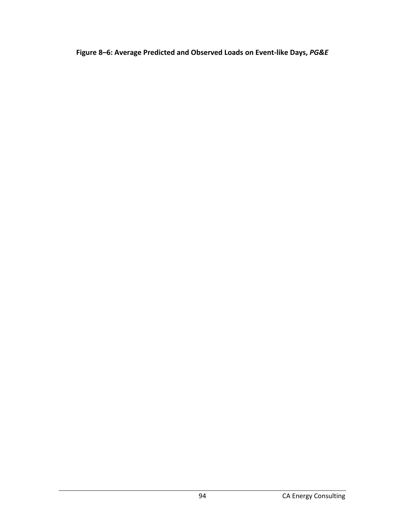**Figure 8–6: Average Predicted and Observed Loads on Event-like Days,** *PG&E*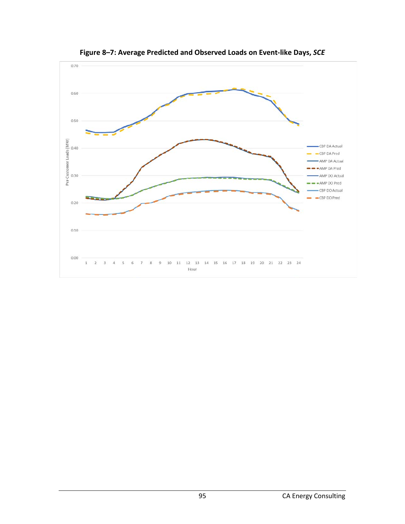

**Figure 8–7: Average Predicted and Observed Loads on Event-like Days,** *SCE*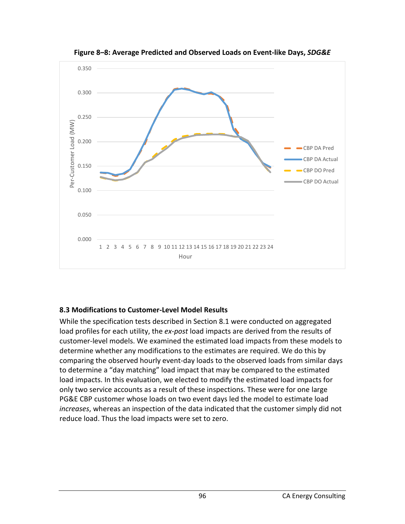

**Figure 8–8: Average Predicted and Observed Loads on Event-like Days,** *SDG&E* 

### **8.3 Modifications to Customer-Level Model Results**

While the specification tests described in Section 8.1 were conducted on aggregated load profiles for each utility, the *ex-post* load impacts are derived from the results of customer-level models. We examined the estimated load impacts from these models to determine whether any modifications to the estimates are required. We do this by comparing the observed hourly event-day loads to the observed loads from similar days to determine a "day matching" load impact that may be compared to the estimated load impacts. In this evaluation, we elected to modify the estimated load impacts for only two service accounts as a result of these inspections. These were for one large PG&E CBP customer whose loads on two event days led the model to estimate load *increases*, whereas an inspection of the data indicated that the customer simply did not reduce load. Thus the load impacts were set to zero.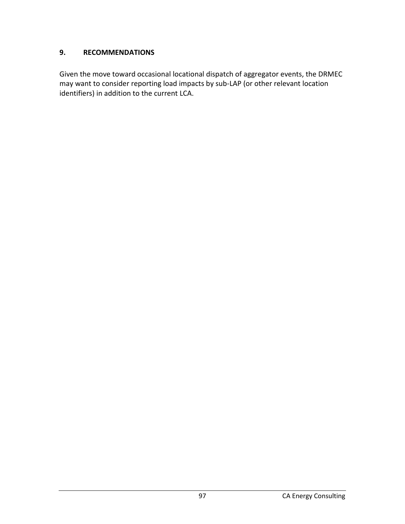### **9. RECOMMENDATIONS**

Given the move toward occasional locational dispatch of aggregator events, the DRMEC may want to consider reporting load impacts by sub-LAP (or other relevant location identifiers) in addition to the current LCA.